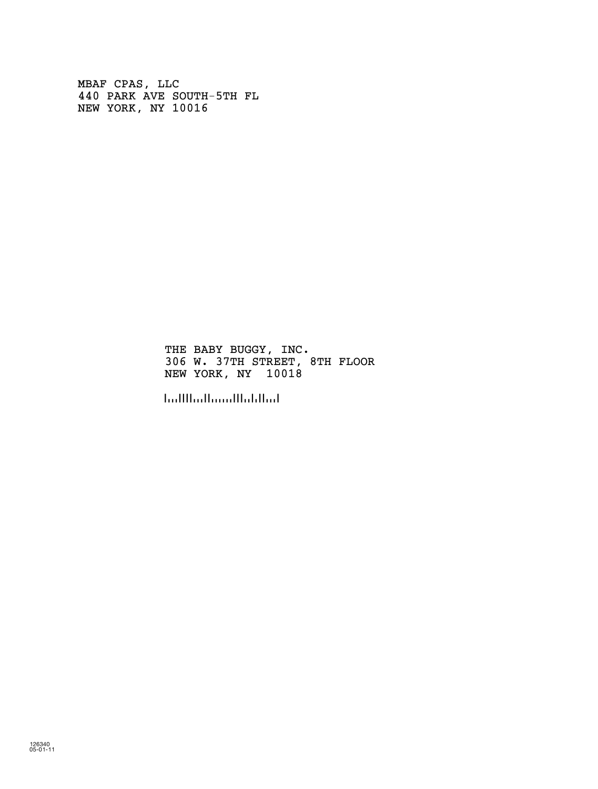MBAF CPAS, LLC 440 PARK AVE SOUTH-5TH FL NEW YORK, NY 10016

> THE BABY BUGGY, INC. 306 W. 37TH STREET, 8TH FLOOR NEW YORK, NY 10018

!100180!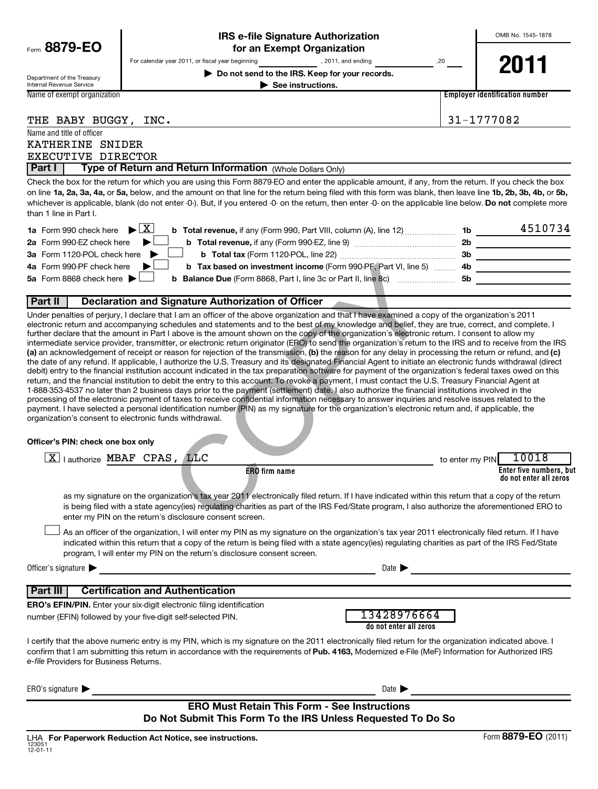|                                                        |                                                                                                                                                                                                                                | <b>IRS e-file Signature Authorization</b>                                                                                                                                                                                                                                                                                                                                                                                                                                                                                                                                                                                                                                                                                                                                                                                                                                                                                                                                                                                                                                                                                                                                                                                                                                                                                                                                                                                                                                                                                                                                                                                                                                                                                                                                                                                                                                                                 |                                       | OMB No. 1545-1878                                                                                                     |
|--------------------------------------------------------|--------------------------------------------------------------------------------------------------------------------------------------------------------------------------------------------------------------------------------|-----------------------------------------------------------------------------------------------------------------------------------------------------------------------------------------------------------------------------------------------------------------------------------------------------------------------------------------------------------------------------------------------------------------------------------------------------------------------------------------------------------------------------------------------------------------------------------------------------------------------------------------------------------------------------------------------------------------------------------------------------------------------------------------------------------------------------------------------------------------------------------------------------------------------------------------------------------------------------------------------------------------------------------------------------------------------------------------------------------------------------------------------------------------------------------------------------------------------------------------------------------------------------------------------------------------------------------------------------------------------------------------------------------------------------------------------------------------------------------------------------------------------------------------------------------------------------------------------------------------------------------------------------------------------------------------------------------------------------------------------------------------------------------------------------------------------------------------------------------------------------------------------------------|---------------------------------------|-----------------------------------------------------------------------------------------------------------------------|
| Form 8879-EO                                           |                                                                                                                                                                                                                                | for an Exempt Organization                                                                                                                                                                                                                                                                                                                                                                                                                                                                                                                                                                                                                                                                                                                                                                                                                                                                                                                                                                                                                                                                                                                                                                                                                                                                                                                                                                                                                                                                                                                                                                                                                                                                                                                                                                                                                                                                                |                                       |                                                                                                                       |
|                                                        | For calendar year 2011, or fiscal year beginning                                                                                                                                                                               | , 2011, and ending                                                                                                                                                                                                                                                                                                                                                                                                                                                                                                                                                                                                                                                                                                                                                                                                                                                                                                                                                                                                                                                                                                                                                                                                                                                                                                                                                                                                                                                                                                                                                                                                                                                                                                                                                                                                                                                                                        | ,20                                   | 2011                                                                                                                  |
| Department of the Treasury<br>Internal Revenue Service |                                                                                                                                                                                                                                | Do not send to the IRS. Keep for your records.<br>$\blacktriangleright$ See instructions.                                                                                                                                                                                                                                                                                                                                                                                                                                                                                                                                                                                                                                                                                                                                                                                                                                                                                                                                                                                                                                                                                                                                                                                                                                                                                                                                                                                                                                                                                                                                                                                                                                                                                                                                                                                                                 |                                       |                                                                                                                       |
| Name of exempt organization                            |                                                                                                                                                                                                                                |                                                                                                                                                                                                                                                                                                                                                                                                                                                                                                                                                                                                                                                                                                                                                                                                                                                                                                                                                                                                                                                                                                                                                                                                                                                                                                                                                                                                                                                                                                                                                                                                                                                                                                                                                                                                                                                                                                           |                                       | <b>Employer identification number</b>                                                                                 |
|                                                        |                                                                                                                                                                                                                                |                                                                                                                                                                                                                                                                                                                                                                                                                                                                                                                                                                                                                                                                                                                                                                                                                                                                                                                                                                                                                                                                                                                                                                                                                                                                                                                                                                                                                                                                                                                                                                                                                                                                                                                                                                                                                                                                                                           |                                       |                                                                                                                       |
| THE BABY BUGGY, INC.                                   |                                                                                                                                                                                                                                |                                                                                                                                                                                                                                                                                                                                                                                                                                                                                                                                                                                                                                                                                                                                                                                                                                                                                                                                                                                                                                                                                                                                                                                                                                                                                                                                                                                                                                                                                                                                                                                                                                                                                                                                                                                                                                                                                                           |                                       | 31-1777082                                                                                                            |
| Name and title of officer                              |                                                                                                                                                                                                                                |                                                                                                                                                                                                                                                                                                                                                                                                                                                                                                                                                                                                                                                                                                                                                                                                                                                                                                                                                                                                                                                                                                                                                                                                                                                                                                                                                                                                                                                                                                                                                                                                                                                                                                                                                                                                                                                                                                           |                                       |                                                                                                                       |
| KATHERINE SNIDER<br>EXECUTIVE DIRECTOR                 |                                                                                                                                                                                                                                |                                                                                                                                                                                                                                                                                                                                                                                                                                                                                                                                                                                                                                                                                                                                                                                                                                                                                                                                                                                                                                                                                                                                                                                                                                                                                                                                                                                                                                                                                                                                                                                                                                                                                                                                                                                                                                                                                                           |                                       |                                                                                                                       |
| Part I                                                 | Type of Return and Return Information (Whole Dollars Only)                                                                                                                                                                     |                                                                                                                                                                                                                                                                                                                                                                                                                                                                                                                                                                                                                                                                                                                                                                                                                                                                                                                                                                                                                                                                                                                                                                                                                                                                                                                                                                                                                                                                                                                                                                                                                                                                                                                                                                                                                                                                                                           |                                       |                                                                                                                       |
|                                                        |                                                                                                                                                                                                                                | Check the box for the return for which you are using this Form 8879-EO and enter the applicable amount, if any, from the return. If you check the box<br>on line 1a, 2a, 3a, 4a, or 5a, below, and the amount on that line for the return being filed with this form was blank, then leave line 1b, 2b, 3b, 4b, or 5b,<br>whichever is applicable, blank (do not enter -0-). But, if you entered -0- on the return, then enter -0- on the applicable line below. Do not complete more                                                                                                                                                                                                                                                                                                                                                                                                                                                                                                                                                                                                                                                                                                                                                                                                                                                                                                                                                                                                                                                                                                                                                                                                                                                                                                                                                                                                                     |                                       |                                                                                                                       |
| than 1 line in Part I.                                 |                                                                                                                                                                                                                                |                                                                                                                                                                                                                                                                                                                                                                                                                                                                                                                                                                                                                                                                                                                                                                                                                                                                                                                                                                                                                                                                                                                                                                                                                                                                                                                                                                                                                                                                                                                                                                                                                                                                                                                                                                                                                                                                                                           |                                       |                                                                                                                       |
| 1a Form 990 check here                                 | $\blacktriangleright$ $\mathbf{X}$                                                                                                                                                                                             |                                                                                                                                                                                                                                                                                                                                                                                                                                                                                                                                                                                                                                                                                                                                                                                                                                                                                                                                                                                                                                                                                                                                                                                                                                                                                                                                                                                                                                                                                                                                                                                                                                                                                                                                                                                                                                                                                                           |                                       | 4510734                                                                                                               |
| 2a Form 990-EZ check here                              |                                                                                                                                                                                                                                |                                                                                                                                                                                                                                                                                                                                                                                                                                                                                                                                                                                                                                                                                                                                                                                                                                                                                                                                                                                                                                                                                                                                                                                                                                                                                                                                                                                                                                                                                                                                                                                                                                                                                                                                                                                                                                                                                                           |                                       |                                                                                                                       |
| 3a Form 1120-POL check here                            |                                                                                                                                                                                                                                |                                                                                                                                                                                                                                                                                                                                                                                                                                                                                                                                                                                                                                                                                                                                                                                                                                                                                                                                                                                                                                                                                                                                                                                                                                                                                                                                                                                                                                                                                                                                                                                                                                                                                                                                                                                                                                                                                                           |                                       |                                                                                                                       |
| 4a Form 990-PF check here<br>5a Form 8868 check here   |                                                                                                                                                                                                                                | b Tax based on investment income (Form 990-PF, Part VI, line 5)  4b _____________________                                                                                                                                                                                                                                                                                                                                                                                                                                                                                                                                                                                                                                                                                                                                                                                                                                                                                                                                                                                                                                                                                                                                                                                                                                                                                                                                                                                                                                                                                                                                                                                                                                                                                                                                                                                                                 |                                       |                                                                                                                       |
|                                                        |                                                                                                                                                                                                                                |                                                                                                                                                                                                                                                                                                                                                                                                                                                                                                                                                                                                                                                                                                                                                                                                                                                                                                                                                                                                                                                                                                                                                                                                                                                                                                                                                                                                                                                                                                                                                                                                                                                                                                                                                                                                                                                                                                           |                                       |                                                                                                                       |
| Part II                                                | Declaration and Signature Authorization of Officer                                                                                                                                                                             |                                                                                                                                                                                                                                                                                                                                                                                                                                                                                                                                                                                                                                                                                                                                                                                                                                                                                                                                                                                                                                                                                                                                                                                                                                                                                                                                                                                                                                                                                                                                                                                                                                                                                                                                                                                                                                                                                                           |                                       |                                                                                                                       |
| Officer's PIN: check one box only                      | organization's consent to electronic funds withdrawal.<br>$X$   authorize MBAF CPAS, LLC<br>enter my PIN on the return's disclosure consent screen.<br>program, I will enter my PIN on the return's disclosure consent screen. | intermediate service provider, transmitter, or electronic return originator (ERO) to send the organization's return to the IRS and to receive from the IRS<br>(a) an acknowledgement of receipt or reason for rejection of the transmission, (b) the reason for any delay in processing the return or refund, and (c)<br>the date of any refund. If applicable, I authorize the U.S. Treasury and its designated Financial Agent to initiate an electronic funds withdrawal (direct<br>debit) entry to the financial institution account indicated in the tax preparation software for payment of the organization's federal taxes owed on this<br>return, and the financial institution to debit the entry to this account. To revoke a payment, I must contact the U.S. Treasury Financial Agent at<br>1-888-353-4537 no later than 2 business days prior to the payment (settlement) date. I also authorize the financial institutions involved in the<br>processing of the electronic payment of taxes to receive confidential information necessary to answer inquiries and resolve issues related to the<br>payment. I have selected a personal identification number (PIN) as my signature for the organization's electronic return and, if applicable, the<br><b>ERO</b> firm name<br>as my signature on the organization's tax year 2011 electronically filed return. If I have indicated within this return that a copy of the return<br>is being filed with a state agency(ies) regulating charities as part of the IRS Fed/State program, I also authorize the aforementioned ERO to<br>As an officer of the organization, I will enter my PIN as my signature on the organization's tax year 2011 electronically filed return. If I have<br>indicated within this return that a copy of the return is being filed with a state agency(ies) regulating charities as part of the IRS Fed/State | to enter my PIN                       | 10018<br>Enter five numbers, but<br>do not enter all zeros                                                            |
| Officer's signature $\blacktriangleright$              |                                                                                                                                                                                                                                | <u> 1989 - Johann Barbara, martxa alemaniar arg</u>                                                                                                                                                                                                                                                                                                                                                                                                                                                                                                                                                                                                                                                                                                                                                                                                                                                                                                                                                                                                                                                                                                                                                                                                                                                                                                                                                                                                                                                                                                                                                                                                                                                                                                                                                                                                                                                       | Date $\blacktriangleright$            | <u> 1989 - Johann Barbara, martin amerikan basar perangan pada sebagai personal perangan perangan perangan perang</u> |
| <b>Part III</b>                                        | <b>Certification and Authentication</b>                                                                                                                                                                                        |                                                                                                                                                                                                                                                                                                                                                                                                                                                                                                                                                                                                                                                                                                                                                                                                                                                                                                                                                                                                                                                                                                                                                                                                                                                                                                                                                                                                                                                                                                                                                                                                                                                                                                                                                                                                                                                                                                           |                                       |                                                                                                                       |
|                                                        | <b>ERO's EFIN/PIN.</b> Enter your six-digit electronic filing identification                                                                                                                                                   |                                                                                                                                                                                                                                                                                                                                                                                                                                                                                                                                                                                                                                                                                                                                                                                                                                                                                                                                                                                                                                                                                                                                                                                                                                                                                                                                                                                                                                                                                                                                                                                                                                                                                                                                                                                                                                                                                                           |                                       |                                                                                                                       |
|                                                        | number (EFIN) followed by your five-digit self-selected PIN.                                                                                                                                                                   |                                                                                                                                                                                                                                                                                                                                                                                                                                                                                                                                                                                                                                                                                                                                                                                                                                                                                                                                                                                                                                                                                                                                                                                                                                                                                                                                                                                                                                                                                                                                                                                                                                                                                                                                                                                                                                                                                                           | 13428976664<br>do not enter all zeros |                                                                                                                       |
| e-file Providers for Business Returns.                 |                                                                                                                                                                                                                                | I certify that the above numeric entry is my PIN, which is my signature on the 2011 electronically filed return for the organization indicated above. I<br>confirm that I am submitting this return in accordance with the requirements of Pub. 4163, Modernized e-File (MeF) Information for Authorized IRS                                                                                                                                                                                                                                                                                                                                                                                                                                                                                                                                                                                                                                                                                                                                                                                                                                                                                                                                                                                                                                                                                                                                                                                                                                                                                                                                                                                                                                                                                                                                                                                              |                                       |                                                                                                                       |
| ERO's signature $\blacktriangleright$                  |                                                                                                                                                                                                                                |                                                                                                                                                                                                                                                                                                                                                                                                                                                                                                                                                                                                                                                                                                                                                                                                                                                                                                                                                                                                                                                                                                                                                                                                                                                                                                                                                                                                                                                                                                                                                                                                                                                                                                                                                                                                                                                                                                           | Date $\blacktriangleright$            |                                                                                                                       |
|                                                        |                                                                                                                                                                                                                                | <b>ERO Must Retain This Form - See Instructions</b>                                                                                                                                                                                                                                                                                                                                                                                                                                                                                                                                                                                                                                                                                                                                                                                                                                                                                                                                                                                                                                                                                                                                                                                                                                                                                                                                                                                                                                                                                                                                                                                                                                                                                                                                                                                                                                                       |                                       |                                                                                                                       |
|                                                        |                                                                                                                                                                                                                                | Do Not Submit This Form To the IRS Unless Requested To Do So                                                                                                                                                                                                                                                                                                                                                                                                                                                                                                                                                                                                                                                                                                                                                                                                                                                                                                                                                                                                                                                                                                                                                                                                                                                                                                                                                                                                                                                                                                                                                                                                                                                                                                                                                                                                                                              |                                       |                                                                                                                       |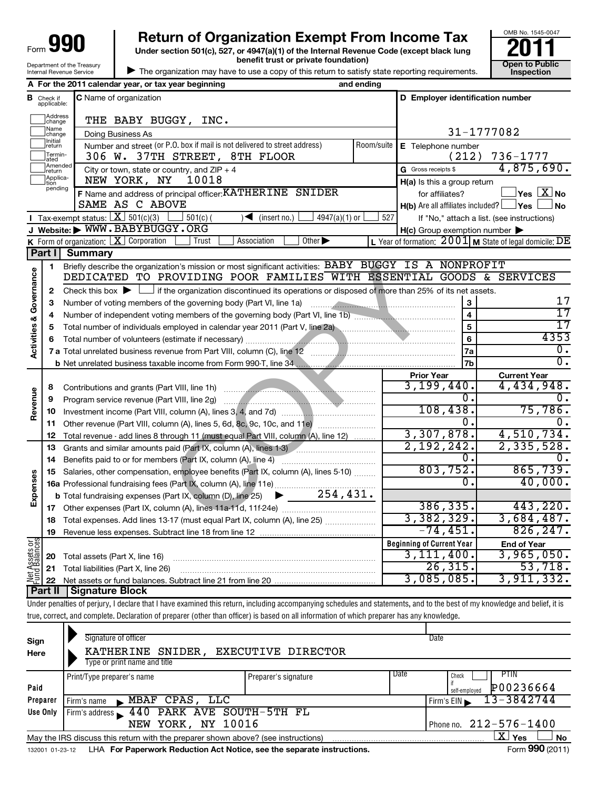| Form 990                   |
|----------------------------|
| Department of the Treasury |
| Internal Revenue Service   |

**Under section 501(c), 527, or 4947(a)(1) of the Internal Revenue Code (except black lung benefit trust or private foundation) Construction Construction Construction Construction 990** Return of Organization Exempt From Income Tax <br>Under section 501(c), 527, or 4947(a)(1) of the Internal Revenue Code (except black lung **2011** 

| The organization may have to use a copy of this return to satisfy state reporting requirements.



|                                    |                               | A For the 2011 calendar year, or tax year beginning                                                                                         | and ending |                                                                                      |                                                           |
|------------------------------------|-------------------------------|---------------------------------------------------------------------------------------------------------------------------------------------|------------|--------------------------------------------------------------------------------------|-----------------------------------------------------------|
|                                    | <b>B</b> Check if applicable: | C Name of organization                                                                                                                      |            | D Employer identification number                                                     |                                                           |
|                                    | Address<br>change             | THE BABY BUGGY, INC.                                                                                                                        |            |                                                                                      |                                                           |
|                                    | Name<br>change                | Doing Business As                                                                                                                           |            |                                                                                      | 31-1777082                                                |
|                                    | Initial<br>return             | Number and street (or P.O. box if mail is not delivered to street address)                                                                  | Room/suite | E Telephone number                                                                   |                                                           |
|                                    | Termin-<br>ated               | 306 W. 37TH STREET, 8TH FLOOR                                                                                                               |            | (212)                                                                                | 736-1777                                                  |
|                                    | Amended<br>return             | City or town, state or country, and $ZIP + 4$                                                                                               |            | G Gross receipts \$                                                                  | 4,875,690.                                                |
|                                    | Applica-<br>Ition<br>pending  | NEW YORK, NY<br>10018                                                                                                                       |            | H(a) Is this a group return                                                          |                                                           |
|                                    |                               | F Name and address of principal officer: KATHERINE SNIDER<br>SAME AS C ABOVE                                                                |            | for affiliates?<br><b>H(b)</b> Are all affiliates included? $\Box$ <b>Yes</b> $\Box$ | $\log$ $\boxed{\text{X}}$ No<br>⊿ No                      |
|                                    |                               | Tax-exempt status: $X \overline{301(c)(3)}$<br>$\sqrt{\phantom{a}}$ (insert no.)<br>$\frac{1}{2}$ 501(c) (<br>4947(a)(1) or                 | 527        |                                                                                      | If "No," attach a list. (see instructions)                |
|                                    |                               | J Website: WWW.BABYBUGGY.ORG                                                                                                                |            | $H(c)$ Group exemption number $\blacktriangleright$                                  |                                                           |
|                                    |                               | <b>K</b> Form of organization: $X$ Corporation<br>Association<br>Other $\blacktriangleright$<br>Trust                                       |            |                                                                                      | L Year of formation: $2001$ M State of legal domicile: DE |
|                                    | Part II                       | Summary                                                                                                                                     |            |                                                                                      |                                                           |
|                                    | 1                             | Briefly describe the organization's mission or most significant activities: BABY BUGGY IS A NONPROFIT                                       |            |                                                                                      |                                                           |
|                                    |                               | DEDICATED TO PROVIDING POOR FAMILIES WITH ESSENTIAL GOODS & SERVICES                                                                        |            |                                                                                      |                                                           |
| <b>Activities &amp; Governance</b> | 2                             | Check this box $\blacktriangleright$ $\Box$ if the organization discontinued its operations or disposed of more than 25% of its net assets. |            |                                                                                      |                                                           |
|                                    | 3                             | Number of voting members of the governing body (Part VI, line 1a)                                                                           |            | 3                                                                                    | 17                                                        |
|                                    | 4                             |                                                                                                                                             |            | 4                                                                                    | 17                                                        |
|                                    | 5                             | Total number of individuals employed in calendar year 2011 (Part V, line 2a)                                                                |            | 5                                                                                    | 17                                                        |
|                                    |                               |                                                                                                                                             |            | 6                                                                                    | 4353                                                      |
|                                    |                               |                                                                                                                                             |            | 7a                                                                                   | 0.                                                        |
|                                    |                               | <b>b</b> Net unrelated business taxable income from Form 990-T, line 34 manufacture incomponent contained to Net and                        |            | 7b                                                                                   | $\overline{0}$ .                                          |
|                                    |                               |                                                                                                                                             |            | <b>Prior Year</b>                                                                    | <b>Current Year</b>                                       |
|                                    | 8                             |                                                                                                                                             |            | 3,199,440.                                                                           | 4,434,948.                                                |
| Revenue                            | 9                             |                                                                                                                                             |            | 0.                                                                                   | $\overline{0}$ .                                          |
|                                    | 10                            |                                                                                                                                             |            | 108,438.                                                                             | 75,786.                                                   |
|                                    | 11                            |                                                                                                                                             |            | 0.                                                                                   | $\overline{0}$ .                                          |
|                                    | 12                            | Total revenue - add lines 8 through 11 (must equal Part VIII, column (A), line 12)                                                          |            | 3,307,878.                                                                           | 4,510,734.                                                |
|                                    | 13                            | Grants and similar amounts paid (Part IX, column (A), lines 1-3)                                                                            |            | 2,192,242.<br>0.                                                                     | 2,335,528.<br>0.                                          |
|                                    | 14                            |                                                                                                                                             |            | 803,752.                                                                             | 865,739.                                                  |
|                                    | 15                            | Salaries, other compensation, employee benefits (Part IX, column (A), lines 5-10)                                                           |            | 0.                                                                                   | 40,000.                                                   |
| Expenses                           |                               | 254, 431.                                                                                                                                   |            |                                                                                      |                                                           |
|                                    |                               | <b>b</b> Total fundraising expenses (Part IX, column (D), line 25)                                                                          |            | 386, 335.                                                                            | 443,220.                                                  |
|                                    | 18                            |                                                                                                                                             |            | 3,382,329.                                                                           | 3,684,487.                                                |
|                                    | 19                            |                                                                                                                                             |            | $-74, 451.$                                                                          | 826, 247.                                                 |
|                                    |                               |                                                                                                                                             |            | <b>Beginning of Current Year</b>                                                     | <b>End of Year</b>                                        |
| <b>Assets or</b>                   | 20                            | Total assets (Part X, line 16)                                                                                                              |            | 3,111,400.                                                                           | 3,965,050.                                                |
|                                    |                               | 21 Total liabilities (Part X, line 26)                                                                                                      |            | 26, 315.                                                                             | 53,718.                                                   |
| Net As<br>Fund E                   |                               |                                                                                                                                             |            | 3,085,085.                                                                           | 3,911,332.                                                |
|                                    |                               | Part II   Signature Block                                                                                                                   |            |                                                                                      |                                                           |

Under penalties of perjury, I declare that I have examined this return, including accompanying schedules and statements, and to the best of my knowledge and belief, it is true, correct, and complete. Declaration of preparer (other than officer) is based on all information of which preparer has any knowledge.

| Sign<br>Here | Signature of officer<br>KATHERINE SNIDER, EXECUTIVE DIRECTOR                                                 |                      | Date                            |  |  |
|--------------|--------------------------------------------------------------------------------------------------------------|----------------------|---------------------------------|--|--|
|              | Type or print name and title                                                                                 |                      |                                 |  |  |
|              | Print/Type preparer's name                                                                                   | Preparer's signature | Date<br>PTIN<br>Check           |  |  |
| Paid         |                                                                                                              |                      | P00236664<br>self-emploved      |  |  |
| Preparer     | MBAF CPAS, LLC<br>Firm's name<br>$\mathbf{r}$                                                                |                      | 13-3842744<br>Firm's $EIN$      |  |  |
| Use Only     | 440 PARK AVE SOUTH-5TH FL<br>Firm's address $\blacksquare$                                                   |                      |                                 |  |  |
|              | NEW YORK, NY 10016                                                                                           |                      | $212 - 576 - 1400$<br>Phone no. |  |  |
|              | $\mathbf{X}$ Yes<br>No<br>May the IRS discuss this return with the preparer shown above? (see instructions)  |                      |                                 |  |  |
|              | Form 990 (2011)<br>LHA For Paperwork Reduction Act Notice, see the separate instructions.<br>132001 01-23-12 |                      |                                 |  |  |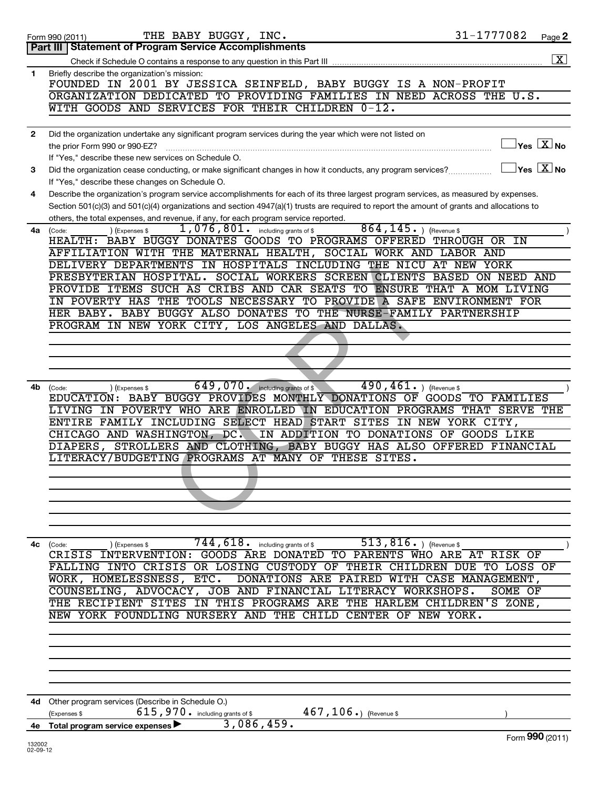|              | 31-1777082<br>THE BABY BUGGY, INC.<br>Form 990 (2011)                                                                                          | Page 2                                                                     |
|--------------|------------------------------------------------------------------------------------------------------------------------------------------------|----------------------------------------------------------------------------|
|              | Part III   Statement of Program Service Accomplishments                                                                                        |                                                                            |
|              |                                                                                                                                                | $\boxed{\textbf{X}}$                                                       |
| 1            | Briefly describe the organization's mission:                                                                                                   |                                                                            |
|              | FOUNDED IN 2001 BY JESSICA SEINFELD, BABY BUGGY IS A NON-PROFIT                                                                                |                                                                            |
|              | ORGANIZATION DEDICATED TO PROVIDING FAMILIES IN NEED ACROSS THE U.S.                                                                           |                                                                            |
|              | WITH GOODS AND SERVICES FOR THEIR CHILDREN 0-12.                                                                                               |                                                                            |
|              |                                                                                                                                                |                                                                            |
| $\mathbf{2}$ | Did the organization undertake any significant program services during the year which were not listed on                                       |                                                                            |
|              | the prior Form 990 or 990-EZ?                                                                                                                  | $ {\mathsf Y}{\mathsf e}{\mathsf s} \mathrel  \overline{{\mathsf X}}  $ No |
|              | If "Yes," describe these new services on Schedule O.                                                                                           |                                                                            |
| 3            | Did the organization cease conducting, or make significant changes in how it conducts, any program services?                                   | $Yes$ $\boxed{X}$ No                                                       |
|              | If "Yes," describe these changes on Schedule O.                                                                                                |                                                                            |
| 4            | Describe the organization's program service accomplishments for each of its three largest program services, as measured by expenses.           |                                                                            |
|              | Section 501(c)(3) and 501(c)(4) organizations and section 4947(a)(1) trusts are required to report the amount of grants and allocations to     |                                                                            |
|              | others, the total expenses, and revenue, if any, for each program service reported.                                                            |                                                                            |
| 4a           | $864, 145.$ (Revenue \$<br>$1,076,801$ $\ldots$ including grants of \$<br>) (Expenses \$<br>(Code:                                             |                                                                            |
|              | HEALTH: BABY BUGGY DONATES GOODS TO PROGRAMS OFFERED THROUGH OR IN                                                                             |                                                                            |
|              | AFFILIATION WITH THE MATERNAL HEALTH, SOCIAL WORK AND LABOR AND                                                                                |                                                                            |
|              | DELIVERY DEPARTMENTS IN HOSPITALS INCLUDING THE NICU AT NEW YORK                                                                               |                                                                            |
|              | PRESBYTERIAN HOSPITAL. SOCIAL WORKERS SCREEN CLIENTS BASED ON NEED AND                                                                         |                                                                            |
|              | PROVIDE ITEMS SUCH AS CRIBS AND CAR SEATS TO ENSURE THAT A MOM LIVING<br>IN POVERTY HAS THE TOOLS NECESSARY TO PROVIDE A SAFE ENVIRONMENT FOR  |                                                                            |
|              | HER BABY. BABY BUGGY ALSO DONATES TO THE NURSE-FAMILY PARTNERSHIP                                                                              |                                                                            |
|              | PROGRAM IN NEW YORK CITY, LOS ANGELES AND DALLAS.                                                                                              |                                                                            |
|              |                                                                                                                                                |                                                                            |
|              |                                                                                                                                                |                                                                            |
|              |                                                                                                                                                |                                                                            |
|              |                                                                                                                                                |                                                                            |
| 4b           | 649,070. including grants of \$<br>490, 461.<br>(Revenue \$<br>(Expenses \$<br>(Code:                                                          |                                                                            |
|              | EDUCATION: BABY BUGGY PROVIDES MONTHLY DONATIONS OF GOODS TO FAMILIES                                                                          |                                                                            |
|              | LIVING IN POVERTY WHO ARE ENROLLED IN EDUCATION PROGRAMS THAT SERVE THE                                                                        |                                                                            |
|              | ENTIRE FAMILY INCLUDING SELECT HEAD START SITES IN NEW YORK CITY,                                                                              |                                                                            |
|              | CHICAGO AND WASHINGTON, DC.<br>IN ADDITION TO DONATIONS OF GOODS LIKE                                                                          |                                                                            |
|              | DIAPERS, STROLLERS AND CLOTHING, BABY BUGGY HAS ALSO OFFERED FINANCIAL                                                                         |                                                                            |
|              | LITERACY/BUDGETING PROGRAMS AT MANY OF THESE SITES.                                                                                            |                                                                            |
|              |                                                                                                                                                |                                                                            |
|              |                                                                                                                                                |                                                                            |
|              |                                                                                                                                                |                                                                            |
|              |                                                                                                                                                |                                                                            |
|              |                                                                                                                                                |                                                                            |
|              |                                                                                                                                                |                                                                            |
| 4с           | $\overline{744}$ , $\overline{618}$ including grants of \$<br>513, 816. $ $ (Revenue \$<br>) (Expenses \$<br>(Code:                            |                                                                            |
|              | CRISIS INTERVENTION: GOODS ARE DONATED TO PARENTS WHO ARE AT RISK OF                                                                           |                                                                            |
|              | FALLING INTO CRISIS OR LOSING CUSTODY OF THEIR CHILDREN DUE TO LOSS OF                                                                         |                                                                            |
|              | WORK, HOMELESSNESS, ETC. DONATIONS ARE PAIRED WITH CASE MANAGEMENT,                                                                            |                                                                            |
|              | COUNSELING, ADVOCACY, JOB AND FINANCIAL LITERACY WORKSHOPS.<br>SOME OF<br>THE RECIPIENT SITES IN THIS PROGRAMS ARE THE HARLEM CHILDREN'S ZONE, |                                                                            |
|              | NEW YORK FOUNDLING NURSERY AND THE CHILD CENTER OF NEW YORK.                                                                                   |                                                                            |
|              |                                                                                                                                                |                                                                            |
|              |                                                                                                                                                |                                                                            |
|              |                                                                                                                                                |                                                                            |
|              |                                                                                                                                                |                                                                            |
|              |                                                                                                                                                |                                                                            |
|              |                                                                                                                                                |                                                                            |
| 4d           | Other program services (Describe in Schedule O.)                                                                                               |                                                                            |
|              | $615$ , 970. including grants of \$<br>$467, 106.$ (Revenue \$)<br>(Expenses \$                                                                |                                                                            |
|              | 3,086,459.<br>4e Total program service expenses                                                                                                |                                                                            |
| 100000       |                                                                                                                                                | Form 990 (2011)                                                            |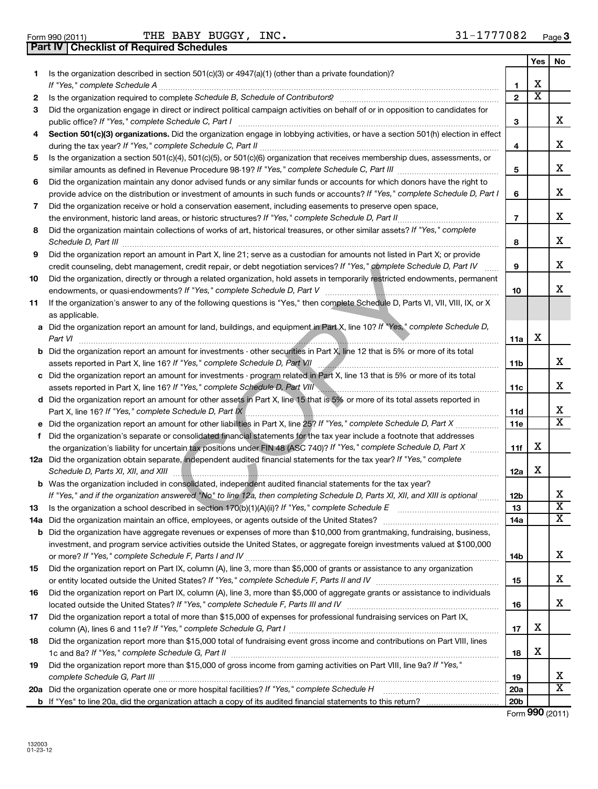**Part IV Checklist of Required Schedules**

Form 990 (2011) 'I'HE BABY BUGGY, I.NC. 3 J|\_ I//// U 8 Z Page THE BABY BUGGY, INC. 31-1777082

|    |                                                                                                                                                                                                                                      |                          | Yes                     | No                      |
|----|--------------------------------------------------------------------------------------------------------------------------------------------------------------------------------------------------------------------------------------|--------------------------|-------------------------|-------------------------|
| 1. | Is the organization described in section 501(c)(3) or 4947(a)(1) (other than a private foundation)?                                                                                                                                  |                          |                         |                         |
|    | If "Yes," complete Schedule A                                                                                                                                                                                                        | 1                        | x                       |                         |
| 2  |                                                                                                                                                                                                                                      | $\mathbf{2}$             | $\overline{\textbf{x}}$ |                         |
| 3  | Did the organization engage in direct or indirect political campaign activities on behalf of or in opposition to candidates for<br>public office? If "Yes," complete Schedule C, Part I                                              | З                        |                         | x.                      |
| 4  | Section 501(c)(3) organizations. Did the organization engage in lobbying activities, or have a section 501(h) election in effect                                                                                                     |                          |                         |                         |
|    |                                                                                                                                                                                                                                      | 4                        |                         | x.                      |
| 5  | Is the organization a section 501(c)(4), 501(c)(5), or 501(c)(6) organization that receives membership dues, assessments, or                                                                                                         |                          |                         |                         |
|    |                                                                                                                                                                                                                                      | 5                        |                         | x                       |
| 6  | Did the organization maintain any donor advised funds or any similar funds or accounts for which donors have the right to                                                                                                            |                          |                         |                         |
|    | provide advice on the distribution or investment of amounts in such funds or accounts? If "Yes," complete Schedule D, Part I                                                                                                         | 6                        |                         | x                       |
| 7  | Did the organization receive or hold a conservation easement, including easements to preserve open space,                                                                                                                            | $\overline{\phantom{a}}$ |                         | x.                      |
| 8  | the environment, historic land areas, or historic structures? If "Yes," complete Schedule D, Part II<br>Did the organization maintain collections of works of art, historical treasures, or other similar assets? If "Yes," complete |                          |                         |                         |
|    | Schedule D, Part III                                                                                                                                                                                                                 | 8                        |                         | x                       |
| 9  | Did the organization report an amount in Part X, line 21; serve as a custodian for amounts not listed in Part X; or provide                                                                                                          |                          |                         |                         |
|    | credit counseling, debt management, credit repair, or debt negotiation services? If "Yes," complete Schedule D, Part IV                                                                                                              | 9                        |                         | x                       |
| 10 | Did the organization, directly or through a related organization, hold assets in temporarily restricted endowments, permanent<br>endowments, or quasi-endowments? If "Yes," complete Schedule D, Part V                              | 10                       |                         | X.                      |
| 11 | If the organization's answer to any of the following questions is "Yes," then complete Schedule D, Parts VI, VIII, VIII, IX, or X                                                                                                    |                          |                         |                         |
|    | as applicable.                                                                                                                                                                                                                       |                          |                         |                         |
|    | a Did the organization report an amount for land, buildings, and equipment in Part X, line 10? If "Yes," complete Schedule D,                                                                                                        |                          |                         |                         |
|    | Part VI                                                                                                                                                                                                                              | 11a                      | X                       |                         |
|    | <b>b</b> Did the organization report an amount for investments - other securities in Part X, line 12 that is 5% or more of its total                                                                                                 |                          |                         |                         |
|    | assets reported in Part X, line 16? If "Yes," complete Schedule D, Part VII [100] [100] [100] [100] assets reported in Part X, line 16? If "Yes," complete Schedule D, Part VII                                                      | 11b                      |                         | x.                      |
|    | c Did the organization report an amount for investments - program related in Part X, line 13 that is 5% or more of its total                                                                                                         |                          |                         |                         |
|    |                                                                                                                                                                                                                                      | 11c                      |                         | x                       |
|    | d Did the organization report an amount for other assets in Part X, line 15 that is 5% or more of its total assets reported in                                                                                                       |                          |                         | x                       |
|    | Part X, line 16? If "Yes," complete Schedule D, Part IX<br><b>e</b> Did the organization report an amount for other liabilities in Part X, line 25? If "Yes," complete Schedule D, Part X                                            | 11d<br>11e               |                         | $\overline{\mathtt{x}}$ |
| f. | Did the organization's separate or consolidated financial statements for the tax year include a footnote that addresses                                                                                                              |                          |                         |                         |
|    | the organization's liability for uncertain tax positions under FIN 48 (ASC 740)? If "Yes," complete Schedule D, Part X                                                                                                               | 11f                      | х                       |                         |
|    | 12a Did the organization obtain separate, independent audited financial statements for the tax year? If "Yes," complete                                                                                                              |                          |                         |                         |
|    | Schedule D, Parts XI, XII, and XIII                                                                                                                                                                                                  | 12a                      | x                       |                         |
|    | <b>b</b> Was the organization included in consolidated, independent audited financial statements for the tax year?                                                                                                                   |                          |                         |                         |
|    | If "Yes," and if the organization answered "No" to line 12a, then completing Schedule D, Parts XI, XII, and XIII is optional                                                                                                         | <b>12b</b>               |                         | x                       |
|    |                                                                                                                                                                                                                                      | 13                       |                         | $\overline{\textbf{x}}$ |
|    |                                                                                                                                                                                                                                      | 14a                      |                         | $\overline{\mathtt{x}}$ |
|    | <b>b</b> Did the organization have aggregate revenues or expenses of more than \$10,000 from grantmaking, fundraising, business,                                                                                                     |                          |                         |                         |
|    | investment, and program service activities outside the United States, or aggregate foreign investments valued at \$100,000                                                                                                           |                          |                         |                         |
|    |                                                                                                                                                                                                                                      | 14b                      |                         | x.                      |
| 15 | Did the organization report on Part IX, column (A), line 3, more than \$5,000 of grants or assistance to any organization                                                                                                            |                          |                         | x                       |
|    | Did the organization report on Part IX, column (A), line 3, more than \$5,000 of aggregate grants or assistance to individuals                                                                                                       | 15                       |                         |                         |
| 16 |                                                                                                                                                                                                                                      | 16                       |                         | x                       |
| 17 | Did the organization report a total of more than \$15,000 of expenses for professional fundraising services on Part IX,                                                                                                              |                          |                         |                         |
|    |                                                                                                                                                                                                                                      | 17                       | x                       |                         |
| 18 | Did the organization report more than \$15,000 total of fundraising event gross income and contributions on Part VIII, lines                                                                                                         |                          |                         |                         |
|    |                                                                                                                                                                                                                                      | 18                       | x                       |                         |
| 19 | Did the organization report more than \$15,000 of gross income from gaming activities on Part VIII, line 9a? If "Yes,"                                                                                                               |                          |                         |                         |
|    |                                                                                                                                                                                                                                      | 19                       |                         | x                       |
|    | 20a Did the organization operate one or more hospital facilities? If "Yes," complete Schedule H                                                                                                                                      | <b>20a</b>               |                         | $\overline{\text{X}}$   |
|    |                                                                                                                                                                                                                                      | 20 <sub>b</sub>          |                         |                         |

Form (2011) **990**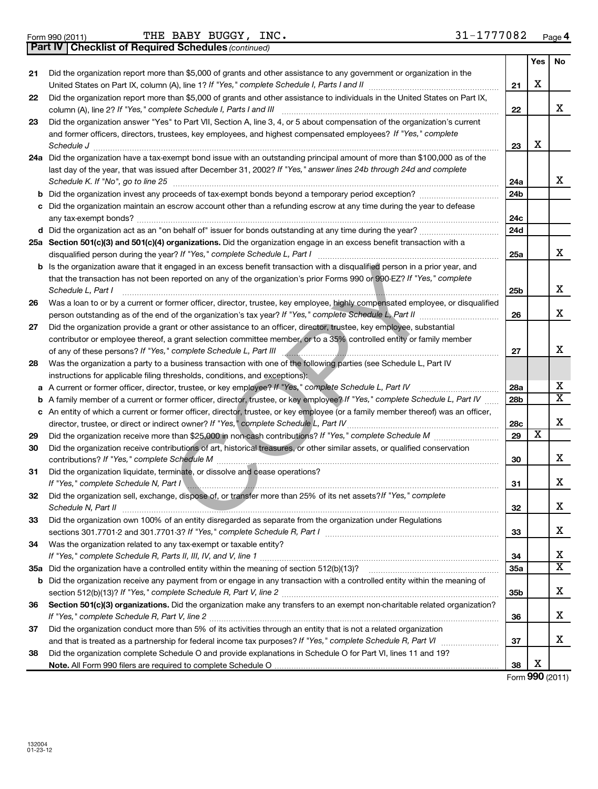**37**

|    | Part IV   Checklist of Required Schedules (continued)                                                                                                                                                                                                                                       |                 |            |    |
|----|---------------------------------------------------------------------------------------------------------------------------------------------------------------------------------------------------------------------------------------------------------------------------------------------|-----------------|------------|----|
|    |                                                                                                                                                                                                                                                                                             |                 | <b>Yes</b> | No |
| 21 | Did the organization report more than \$5,000 of grants and other assistance to any government or organization in the                                                                                                                                                                       | 21              | х          |    |
| 22 | Did the organization report more than \$5,000 of grants and other assistance to individuals in the United States on Part IX,<br>column (A), line 2? If "Yes," complete Schedule I, Parts I and III                                                                                          | 22              |            | x  |
| 23 | Did the organization answer "Yes" to Part VII, Section A, line 3, 4, or 5 about compensation of the organization's current<br>and former officers, directors, trustees, key employees, and highest compensated employees? If "Yes," complete                                                |                 |            |    |
|    |                                                                                                                                                                                                                                                                                             | 23              | X          |    |
|    | 24a Did the organization have a tax-exempt bond issue with an outstanding principal amount of more than \$100,000 as of the<br>last day of the year, that was issued after December 31, 2002? If "Yes," answer lines 24b through 24d and complete                                           |                 |            | x  |
|    | Schedule K. If "No", go to line 25                                                                                                                                                                                                                                                          | 24a             |            |    |
|    | b Did the organization invest any proceeds of tax-exempt bonds beyond a temporary period exception?                                                                                                                                                                                         | 24 <sub>b</sub> |            |    |
|    | c Did the organization maintain an escrow account other than a refunding escrow at any time during the year to defease                                                                                                                                                                      | 24c             |            |    |
|    |                                                                                                                                                                                                                                                                                             | 24d             |            |    |
|    | 25a Section 501(c)(3) and 501(c)(4) organizations. Did the organization engage in an excess benefit transaction with a                                                                                                                                                                      | 25a             |            |    |
|    | <b>b</b> Is the organization aware that it engaged in an excess benefit transaction with a disqualified person in a prior year, and<br>that the transaction has not been reported on any of the organization's prior Forms 990 or 990-EZ? If "Yes," complete<br>Schedule L, Part I          | 25 <sub>b</sub> |            |    |
| 26 | Was a loan to or by a current or former officer, director, trustee, key employee, highly compensated employee, or disqualified                                                                                                                                                              |                 |            |    |
|    |                                                                                                                                                                                                                                                                                             | 26              |            |    |
| 27 | Did the organization provide a grant or other assistance to an officer, director, trustee, key employee, substantial<br>contributor or employee thereof, a grant selection committee member, or to a 35% controlled entity or family member                                                 | 27              |            |    |
| 28 | Was the organization a party to a business transaction with one of the following parties (see Schedule L, Part IV<br>instructions for applicable filing thresholds, conditions, and exceptions):                                                                                            |                 |            |    |
|    | a A current or former officer, director, trustee, or key employee? If "Yes," complete Schedule L, Part IV                                                                                                                                                                                   | 28a             |            |    |
|    | <b>b</b> A family member of a current or former officer, director, trustee, or key employee? If "Yes," complete Schedule L, Part IV                                                                                                                                                         | 28 <sub>b</sub> |            |    |
|    | c An entity of which a current or former officer, director, trustee, or key employee (or a family member thereof) was an officer,                                                                                                                                                           | 28c             |            |    |
| 29 |                                                                                                                                                                                                                                                                                             | 29              | х          |    |
| 30 | Did the organization receive contributions of art, historical treasures, or other similar assets, or qualified conservation<br>contributions? If "Yes," complete Schedule M                                                                                                                 | 30              |            |    |
| 31 | Did the organization liquidate, terminate, or dissolve and cease operations?<br>If "Yes," complete Schedule N, Part I encourage and an account of the Schedule N, Part I and The Communication                                                                                              | 31              |            |    |
| 32 | Did the organization sell, exchange, dispose of, or transfer more than 25% of its net assets? If "Yes," complete<br>Schedule N, Part II                                                                                                                                                     | 32              |            |    |
| 33 | Did the organization own 100% of an entity disregarded as separate from the organization under Regulations<br>sections 301.7701-2 and 301.7701-3? If "Yes," complete Schedule R, Part I [111] [11] [11] [11] [11] sections 301.7701-2 and 301.7701-3? If "Yes," complete Schedule R, Part I | 33              |            |    |
| 34 | Was the organization related to any tax-exempt or taxable entity?                                                                                                                                                                                                                           | 34              |            |    |
|    |                                                                                                                                                                                                                                                                                             | 35a             |            |    |
|    | <b>b</b> Did the organization receive any payment from or engage in any transaction with a controlled entity within the meaning of                                                                                                                                                          | 35b             |            |    |
| 36 | Section 501(c)(3) organizations. Did the organization make any transfers to an exempt non-charitable related organization?                                                                                                                                                                  |                 |            | x  |
|    |                                                                                                                                                                                                                                                                                             | 36              |            |    |
|    |                                                                                                                                                                                                                                                                                             |                 |            | x  |

**38 Note.**  All Form 990 filers are required to complete Schedule O and that is treated as a partnership for federal income tax purposes? If "Yes," complete Schedule R, Part VI medi Did the organization complete Schedule O and provide explanations in Schedule O for Part VI, lines 11 and 19?

Did the organization conduct more than 5% of its activities through an entity that is not a related organization

Form (2011) **990** X

X

**37**

**38**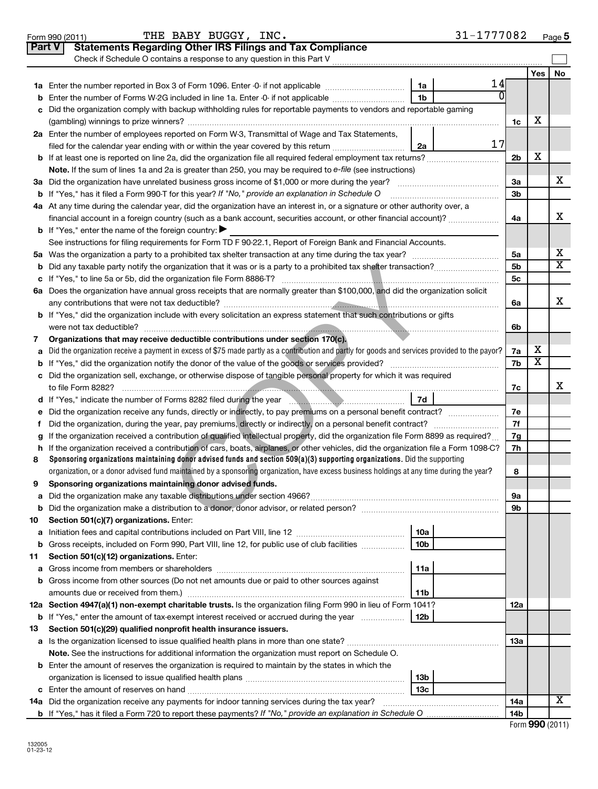|               | THE BABY BUGGY, INC.<br>Form 990 (2011)                                                                                                         | 31-1777082      |                |     | Page 5 |
|---------------|-------------------------------------------------------------------------------------------------------------------------------------------------|-----------------|----------------|-----|--------|
| <b>Part V</b> | <b>Statements Regarding Other IRS Filings and Tax Compliance</b>                                                                                |                 |                |     |        |
|               | Check if Schedule O contains a response to any question in this Part V                                                                          |                 |                |     |        |
|               |                                                                                                                                                 |                 |                | Yes | No     |
|               |                                                                                                                                                 | 14<br>1a        |                |     |        |
| b             | Enter the number of Forms W-2G included in line 1a. Enter -0- if not applicable                                                                 | 1b              |                |     |        |
| c             | Did the organization comply with backup withholding rules for reportable payments to vendors and reportable gaming                              |                 |                |     |        |
|               |                                                                                                                                                 |                 | 1c             | х   |        |
|               | 2a Enter the number of employees reported on Form W-3, Transmittal of Wage and Tax Statements,                                                  |                 |                |     |        |
|               | filed for the calendar year ending with or within the year covered by this return <i>[[[[[[[[[[[[[]]]]</i> ]]                                   | 17<br>2a        |                |     |        |
| b             |                                                                                                                                                 |                 | 2 <sub>b</sub> | х   |        |
|               | Note. If the sum of lines 1a and 2a is greater than 250, you may be required to e-file (see instructions)                                       |                 |                |     |        |
|               | 3a Did the organization have unrelated business gross income of \$1,000 or more during the year?                                                |                 | За             |     | x.     |
|               | <b>b</b> If "Yes," has it filed a Form 990-T for this year? If "No," provide an explanation in Schedule O                                       |                 | 3b             |     |        |
|               | 4a At any time during the calendar year, did the organization have an interest in, or a signature or other authority over, a                    |                 |                |     |        |
|               | financial account in a foreign country (such as a bank account, securities account, or other financial account)?                                |                 | 4a             |     | x      |
|               | <b>b</b> If "Yes," enter the name of the foreign country:                                                                                       |                 |                |     |        |
|               | See instructions for filing requirements for Form TD F 90-22.1, Report of Foreign Bank and Financial Accounts.                                  |                 |                |     |        |
|               |                                                                                                                                                 |                 | 5а             |     | х      |
| b             |                                                                                                                                                 |                 | 5b             |     | x      |
| c             |                                                                                                                                                 |                 | 5c             |     |        |
|               | 6a Does the organization have annual gross receipts that are normally greater than \$100,000, and did the organization solicit                  |                 |                |     |        |
|               |                                                                                                                                                 |                 | 6a             |     | x      |
|               | <b>b</b> If "Yes," did the organization include with every solicitation an express statement that such contributions or gifts                   |                 |                |     |        |
|               |                                                                                                                                                 |                 | 6b             |     |        |
| 7             | Organizations that may receive deductible contributions under section 170(c).                                                                   |                 |                |     |        |
| a             | Did the organization receive a payment in excess of \$75 made partly as a contribution and partly for goods and services provided to the payor? |                 | 7a             | х   |        |
| b             |                                                                                                                                                 |                 | 7b             | х   |        |
| с             | Did the organization sell, exchange, or otherwise dispose of tangible personal property for which it was required                               |                 |                |     |        |
|               | to file Form 8282?                                                                                                                              |                 | 7c             |     | x      |
|               | d If "Yes," indicate the number of Forms 8282 filed during the year manuscription and result of 7d                                              |                 |                |     |        |
| е             |                                                                                                                                                 |                 | 7е             |     |        |
| f.            |                                                                                                                                                 |                 | 7f             |     |        |
| a             | If the organization received a contribution of qualified intellectual property, did the organization file Form 8899 as required?                |                 | 7g             |     |        |
| h             | If the organization received a contribution of cars, boats, airplanes, or other vehicles, did the organization file a Form 1098-C?              |                 | 7h             |     |        |
| 8             | Sponsoring organizations maintaining donor advised funds and section $509(a)(3)$ supporting organizations. Did the supporting                   |                 |                |     |        |
|               | organization, or a donor advised fund maintained by a sponsoring organization, have excess business holdings at any time during the year?       |                 | 8              |     |        |
| 9             | Sponsoring organizations maintaining donor advised funds.                                                                                       |                 |                |     |        |
| а             |                                                                                                                                                 |                 | 9а             |     |        |
| b             |                                                                                                                                                 |                 | 9b             |     |        |
| 10            | Section 501(c)(7) organizations. Enter:                                                                                                         |                 |                |     |        |
| a             |                                                                                                                                                 | 10a             |                |     |        |
| b             | Gross receipts, included on Form 990, Part VIII, line 12, for public use of club facilities                                                     | 10 <sub>b</sub> |                |     |        |
| 11            | Section 501(c)(12) organizations. Enter:                                                                                                        |                 |                |     |        |
| а             |                                                                                                                                                 | 11a             |                |     |        |
| b             | Gross income from other sources (Do not net amounts due or paid to other sources against                                                        |                 |                |     |        |
|               |                                                                                                                                                 | 11 <sub>b</sub> |                |     |        |
|               | 12a Section 4947(a)(1) non-exempt charitable trusts. Is the organization filing Form 990 in lieu of Form 1041?                                  |                 | 12a            |     |        |
| b             | If "Yes," enter the amount of tax-exempt interest received or accrued during the year                                                           | 12b             |                |     |        |
| 13            | Section 501(c)(29) qualified nonprofit health insurance issuers.                                                                                |                 |                |     |        |
| а             |                                                                                                                                                 |                 | <b>13a</b>     |     |        |
|               | Note. See the instructions for additional information the organization must report on Schedule O.                                               |                 |                |     |        |
|               | <b>b</b> Enter the amount of reserves the organization is required to maintain by the states in which the                                       |                 |                |     |        |
|               |                                                                                                                                                 | 13 <sub>b</sub> |                |     |        |
|               |                                                                                                                                                 | 13с             |                |     |        |
| 14a           | Did the organization receive any payments for indoor tanning services during the tax year?                                                      |                 | <b>14a</b>     |     | х      |
|               |                                                                                                                                                 |                 | 14b            |     |        |

| Form 990 (2011) |  |
|-----------------|--|
|-----------------|--|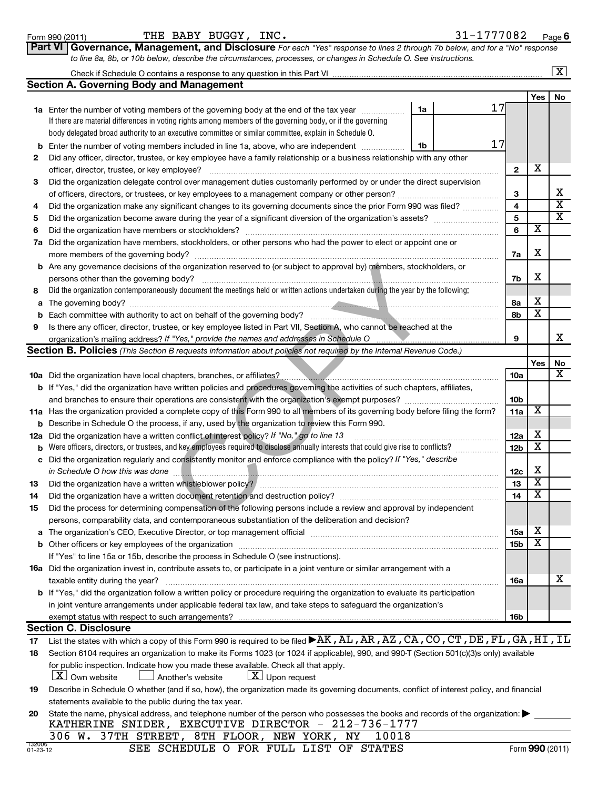| <u>Form 990 (2011)</u> |  |
|------------------------|--|
|------------------------|--|

| Form 990 (2011) | BUGGY,<br>INC.<br>BABY<br>THE | .777082<br>- -<br>Page |
|-----------------|-------------------------------|------------------------|
|-----------------|-------------------------------|------------------------|

**6**

| Part VI Governance, Management, and Disclosure For each "Yes" response to lines 2 through 7b below, and for a "No" response |  |
|-----------------------------------------------------------------------------------------------------------------------------|--|
| to line 8a, 8b, or 10b below, describe the circumstances, processes, or changes in Schedule O. See instructions.            |  |

| <b>Cootian A. Coverning Body and Monographs</b>                         |
|-------------------------------------------------------------------------|
| Check if Schedule O contains a response to any question in this Part VI |
|                                                                         |

|                    | <b>Section A. Governing Body and Management</b>                                                                                                                                             |    |    |                 |                         |                         |
|--------------------|---------------------------------------------------------------------------------------------------------------------------------------------------------------------------------------------|----|----|-----------------|-------------------------|-------------------------|
|                    |                                                                                                                                                                                             |    |    |                 | Yes                     | No                      |
|                    | 1a Enter the number of voting members of the governing body at the end of the tax year                                                                                                      | 1a | 17 |                 |                         |                         |
|                    | If there are material differences in voting rights among members of the governing body, or if the governing                                                                                 |    |    |                 |                         |                         |
|                    | body delegated broad authority to an executive committee or similar committee, explain in Schedule O.                                                                                       |    |    |                 |                         |                         |
| b                  | Enter the number of voting members included in line 1a, above, who are independent                                                                                                          | 1b | 17 |                 |                         |                         |
| 2                  | Did any officer, director, trustee, or key employee have a family relationship or a business relationship with any other                                                                    |    |    |                 |                         |                         |
|                    | officer, director, trustee, or key employee?                                                                                                                                                |    | .  | $\mathbf{2}$    | х                       |                         |
| 3                  | Did the organization delegate control over management duties customarily performed by or under the direct supervision                                                                       |    |    |                 |                         |                         |
|                    |                                                                                                                                                                                             |    |    | 3               |                         | x                       |
| 4                  | Did the organization make any significant changes to its governing documents since the prior Form 990 was filed?                                                                            |    |    | 4               |                         | $\overline{\mathbf{X}}$ |
| 5                  |                                                                                                                                                                                             |    |    | 5               |                         | $\overline{\mathtt{x}}$ |
| 6                  | Did the organization have members or stockholders?                                                                                                                                          |    |    | 6               | х                       |                         |
| 7а                 | Did the organization have members, stockholders, or other persons who had the power to elect or appoint one or                                                                              |    |    |                 |                         |                         |
|                    | more members of the governing body?                                                                                                                                                         |    |    | 7a              | х                       |                         |
|                    | <b>b</b> Are any governance decisions of the organization reserved to (or subject to approval by) members, stockholders, or                                                                 |    |    |                 |                         |                         |
|                    | persons other than the governing body?                                                                                                                                                      |    |    | 7b              | х                       |                         |
| 8                  | Did the organization contemporaneously document the meetings held or written actions undertaken during the year by the following:                                                           |    |    |                 |                         |                         |
| а                  |                                                                                                                                                                                             |    |    | 8а              | х                       |                         |
| b                  |                                                                                                                                                                                             |    |    | 8b              | х                       |                         |
| 9                  | Is there any officer, director, trustee, or key employee listed in Part VII, Section A, who cannot be reached at the                                                                        |    |    |                 |                         |                         |
|                    | organization's mailing address? If "Yes," provide the names and addresses in Schedule O                                                                                                     |    |    | 9               |                         | x                       |
|                    | Section B. Policies (This Section B requests information about policies not required by the Internal Revenue Code.)                                                                         |    |    |                 |                         |                         |
|                    |                                                                                                                                                                                             |    |    |                 | Yes                     | No<br>x                 |
|                    | 10a Did the organization have local chapters, branches, or affiliates?<br>10a Did the organization have local chapters, branches, or affiliates?                                            |    |    | 10a             |                         |                         |
|                    | <b>b</b> If "Yes," did the organization have written policies and procedures governing the activities of such chapters, affiliates,                                                         |    |    |                 |                         |                         |
|                    |                                                                                                                                                                                             |    |    | 10 <sub>b</sub> | X                       |                         |
|                    | 11a Has the organization provided a complete copy of this Form 990 to all members of its governing body before filing the form?                                                             |    |    | 11a             |                         |                         |
| b                  | Describe in Schedule O the process, if any, used by the organization to review this Form 990.<br>Did the organization have a written conflict of interest policy? If "No," go to line 13    |    |    | 12a             | х                       |                         |
| 12a<br>b           | Were officers, directors, or trustees, and key employees required to disclose annually interests that could give rise to conflicts?                                                         |    |    | <b>12b</b>      | X                       |                         |
|                    | Did the organization regularly and consistently monitor and enforce compliance with the policy? If "Yes," describe                                                                          |    |    |                 |                         |                         |
| с                  | in Schedule O how this was done                                                                                                                                                             |    |    | 12c             | х                       |                         |
| 13                 |                                                                                                                                                                                             |    |    | 13              | $\overline{\textbf{X}}$ |                         |
| 14                 |                                                                                                                                                                                             |    |    | 14              | X                       |                         |
| 15                 | Did the process for determining compensation of the following persons include a review and approval by independent                                                                          |    |    |                 |                         |                         |
|                    | persons, comparability data, and contemporaneous substantiation of the deliberation and decision?                                                                                           |    |    |                 |                         |                         |
|                    |                                                                                                                                                                                             |    |    | ioa             | X                       |                         |
|                    | <b>b</b> Other officers or key employees of the organization                                                                                                                                |    |    | 15b             | $\overline{\textbf{x}}$ |                         |
|                    | If "Yes" to line 15a or 15b, describe the process in Schedule O (see instructions).                                                                                                         |    |    |                 |                         |                         |
|                    | 16a Did the organization invest in, contribute assets to, or participate in a joint venture or similar arrangement with a                                                                   |    |    |                 |                         |                         |
|                    | taxable entity during the year?                                                                                                                                                             |    |    | 16a             |                         | X                       |
|                    | b If "Yes," did the organization follow a written policy or procedure requiring the organization to evaluate its participation                                                              |    |    |                 |                         |                         |
|                    | in joint venture arrangements under applicable federal tax law, and take steps to safequard the organization's                                                                              |    |    |                 |                         |                         |
|                    | exempt status with respect to such arrangements?                                                                                                                                            |    |    | 16b             |                         |                         |
|                    | <b>Section C. Disclosure</b>                                                                                                                                                                |    |    |                 |                         |                         |
| 17                 | List the states with which a copy of this Form 990 is required to be filed <b>&gt;AK, AL, AR, AZ, CA, CO, CT, DE, FL, GA, HI, IL</b>                                                        |    |    |                 |                         |                         |
| 18                 | Section 6104 requires an organization to make its Forms 1023 (or 1024 if applicable), 990, and 990-T (Section 501(c)(3)s only) available                                                    |    |    |                 |                         |                         |
|                    | for public inspection. Indicate how you made these available. Check all that apply.<br>$\lfloor x \rfloor$ Own website<br>$\lfloor \underline{X} \rfloor$ Upon request<br>Another's website |    |    |                 |                         |                         |
| 19                 | Describe in Schedule O whether (and if so, how), the organization made its governing documents, conflict of interest policy, and financial                                                  |    |    |                 |                         |                         |
|                    | statements available to the public during the tax year.                                                                                                                                     |    |    |                 |                         |                         |
| 20                 | State the name, physical address, and telephone number of the person who possesses the books and records of the organization:<br>KATHERINE SNIDER, EXECUTIVE DIRECTOR - 212-736-1777        |    |    |                 |                         |                         |
|                    | 306 W. 37TH STREET, 8TH FLOOR, NEW YORK, NY<br>10018                                                                                                                                        |    |    |                 |                         |                         |
| 132006<br>01-23-12 | SEE SCHEDULE O FOR FULL LIST OF STATES                                                                                                                                                      |    |    |                 |                         | Form 990 (2011)         |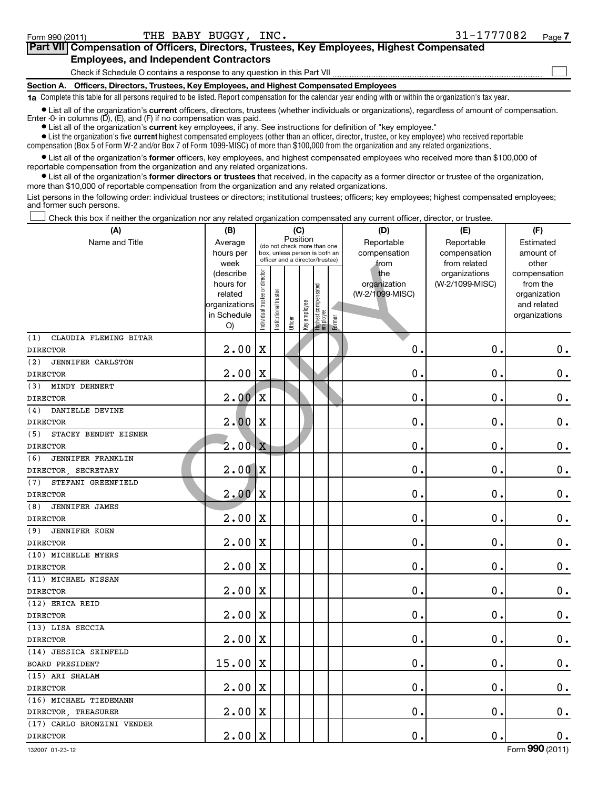| Part VII Compensation of Officers, Directors, Trustees, Key Employees, Highest Compensated                                                                 |  |
|------------------------------------------------------------------------------------------------------------------------------------------------------------|--|
| <b>Employees, and Independent Contractors</b>                                                                                                              |  |
| Check if Schedule O contains a response to any question in this Part VII                                                                                   |  |
| Section A. Officers, Directors, Trustees, Key Employees, and Highest Compensated Employees                                                                 |  |
| 1a Complete this table for all persons required to be listed. Report compensation for the calendar year ending with or within the organization's tax year. |  |

• List all of the organization's current officers, directors, trustees (whether individuals or organizations), regardless of amount of compensation. Enter -0- in columns (D), (E), and (F) if no compensation was paid.

**•** List all of the organization's **current** key employees, if any. See instructions for definition of "key employee."

 $\bullet$  List the organization's five  $\tt current$  highest compensated employees (other than an officer, director, trustee, or key employee) who received reportable compensation (Box 5 of Form W-2 and/or Box 7 of Form 1099-MISC) of more than \$100,000 from the organization and any related organizations .

 $\bullet$  List all of the organization's former officers, key employees, and highest compensated employees who received more than \$100,000 of reportable compensation from the organization and any related organizations.

**•** List all of the organization's former directors or trustees that received, in the capacity as a former director or trustee of the organization, more than \$10,000 of reportable compensation from the organization and any related organizations.

List persons in the following order: individual trustees or directors; institutional trustees; officers; key employees; highest compensated employees; and former such persons.

Check this box if neither the organization nor any related organization compensated any current officer, director, or trustee.  $\Box$ 

| (A)                             | (B)                          |                                |                        | (C)                                                              |              |                                 |        | (D)             | (E)             | (F)                          |
|---------------------------------|------------------------------|--------------------------------|------------------------|------------------------------------------------------------------|--------------|---------------------------------|--------|-----------------|-----------------|------------------------------|
| Name and Title                  | Average                      |                                |                        | Position<br>(do not check more than one                          |              |                                 |        | Reportable      | Reportable      | Estimated                    |
|                                 | hours per                    |                                |                        | box, unless person is both an<br>officer and a director/trustee) |              |                                 |        | compensation    | compensation    | amount of                    |
|                                 | week                         |                                |                        |                                                                  |              |                                 |        | from            | from related    | other                        |
|                                 | (describe                    |                                |                        |                                                                  |              |                                 |        | the             | organizations   | compensation                 |
|                                 | hours for                    |                                |                        |                                                                  |              |                                 |        | organization    | (W-2/1099-MISC) | from the                     |
|                                 | related                      |                                |                        |                                                                  |              |                                 |        | (W-2/1099-MISC) |                 | organization                 |
|                                 | organizations<br>in Schedule |                                |                        |                                                                  |              |                                 |        |                 |                 | and related<br>organizations |
|                                 | O)                           | Individual trustee or director | In stitutional trustee | Officer                                                          | Key employee | Highest compensated<br>employee | Former |                 |                 |                              |
| (1)<br>CLAUDIA FLEMING BITAR    |                              |                                |                        |                                                                  |              |                                 |        |                 |                 |                              |
| <b>DIRECTOR</b>                 | 2.00                         | $\mathbf X$                    |                        |                                                                  |              |                                 |        | $\mathbf 0$     | $\mathbf 0$ .   | $\mathbf 0$ .                |
| (2)<br>JENNIFER CARLSTON        |                              |                                |                        |                                                                  |              |                                 |        |                 |                 |                              |
| <b>DIRECTOR</b>                 | 2.00                         | $\mathbf X$                    |                        |                                                                  |              |                                 |        | $\mathbf 0$ .   | $\mathbf 0$     | $\mathbf 0$ .                |
| MINDY DEHNERT<br>(3)            |                              |                                |                        |                                                                  |              |                                 |        |                 |                 |                              |
| <b>DIRECTOR</b>                 | 2.00                         | $\mathbf X$                    |                        |                                                                  |              |                                 |        | $\mathbf 0$     | $\mathbf 0$     | $\mathbf 0$ .                |
| DANIELLE DEVINE<br>(4)          |                              |                                |                        |                                                                  |              |                                 |        |                 |                 |                              |
| <b>DIRECTOR</b>                 | 2.00                         | X                              |                        |                                                                  |              |                                 |        | $\mathbf 0$ .   | $\mathbf 0$     | $\mathbf 0$ .                |
| STACEY BENDET EISNER<br>(5)     |                              |                                |                        |                                                                  |              |                                 |        |                 |                 |                              |
| <b>DIRECTOR</b>                 | $2.00 \, \mathrm{X}$         |                                |                        |                                                                  |              |                                 |        | 0.              | $\mathbf 0$ .   | $\mathbf 0$ .                |
| (6)<br><b>JENNIFER FRANKLIN</b> |                              |                                |                        |                                                                  |              |                                 |        |                 |                 |                              |
| DIRECTOR, SECRETARY             | 2.00                         | $\mathbf X$                    |                        |                                                                  |              |                                 |        | $\mathbf 0$     | $\mathbf 0$     | $\mathbf 0$ .                |
| STEFANI GREENFIELD<br>(7)       |                              |                                |                        |                                                                  |              |                                 |        |                 |                 |                              |
| <b>DIRECTOR</b>                 | 2.00                         | $\mathbf X$                    |                        |                                                                  |              |                                 |        | $\mathbf 0$     | $\mathbf 0$     | $\mathbf 0$ .                |
| <b>JENNIFER JAMES</b><br>(8)    |                              |                                |                        |                                                                  |              |                                 |        |                 |                 |                              |
| <b>DIRECTOR</b>                 | 2.00                         | X                              |                        |                                                                  |              |                                 |        | $\mathbf 0$     | $\mathbf 0$     | $\mathbf 0$ .                |
| (9)<br><b>JENNIFER KOEN</b>     |                              |                                |                        |                                                                  |              |                                 |        |                 |                 |                              |
| <b>DIRECTOR</b>                 | 2.00                         | $\mathbf X$                    |                        |                                                                  |              |                                 |        | $\mathbf 0$     | $\mathbf 0$     | $\mathbf 0$ .                |
| (10) MICHELLE MYERS             |                              |                                |                        |                                                                  |              |                                 |        |                 |                 |                              |
| <b>DIRECTOR</b>                 | 2.00                         | $\mathbf X$                    |                        |                                                                  |              |                                 |        | $\mathbf 0$     | $\mathbf 0$     | $\mathbf 0$ .                |
| (11) MICHAEL NISSAN             |                              |                                |                        |                                                                  |              |                                 |        |                 |                 |                              |
| <b>DIRECTOR</b>                 | 2.00                         | $\mathbf X$                    |                        |                                                                  |              |                                 |        | $\mathbf 0$     | $\mathbf 0$     | $\mathbf 0$ .                |
| (12) ERICA REID                 |                              |                                |                        |                                                                  |              |                                 |        |                 |                 |                              |
| <b>DIRECTOR</b>                 | 2.00                         | X                              |                        |                                                                  |              |                                 |        | $\mathbf 0$     | $\mathbf 0$     | $\mathbf 0$ .                |
| (13) LISA SECCIA                |                              |                                |                        |                                                                  |              |                                 |        |                 |                 |                              |
| <b>DIRECTOR</b>                 | 2.00                         | $\mathbf X$                    |                        |                                                                  |              |                                 |        | $\mathbf 0$     | $\mathbf 0$     | $\mathbf 0$ .                |
| (14) JESSICA SEINFELD           |                              |                                |                        |                                                                  |              |                                 |        |                 |                 |                              |
| <b>BOARD PRESIDENT</b>          | 15.00                        | X                              |                        |                                                                  |              |                                 |        | 0               | $\mathbf 0$     | $\mathbf 0$ .                |
| (15) ARI SHALAM                 |                              |                                |                        |                                                                  |              |                                 |        |                 |                 |                              |
| <b>DIRECTOR</b>                 | 2.00                         | $\mathbf X$                    |                        |                                                                  |              |                                 |        | $\mathbf 0$     | $\mathbf 0$     | $\mathbf 0$ .                |
| (16) MICHAEL TIEDEMANN          |                              |                                |                        |                                                                  |              |                                 |        |                 |                 |                              |
| DIRECTOR TREASURER              | 2.00                         | $\mathbf X$                    |                        |                                                                  |              |                                 |        | $\mathbf 0$     | $\mathbf 0$     | $\mathbf 0$ .                |
| (17) CARLO BRONZINI VENDER      |                              |                                |                        |                                                                  |              |                                 |        |                 |                 |                              |
| <b>DIRECTOR</b>                 | 2.00                         | $\mathbf X$                    |                        |                                                                  |              |                                 |        | $\mathbf 0$ .   | 0.              | $\mathbf 0$ .                |

132007 01-23-12

Form (2011) **990**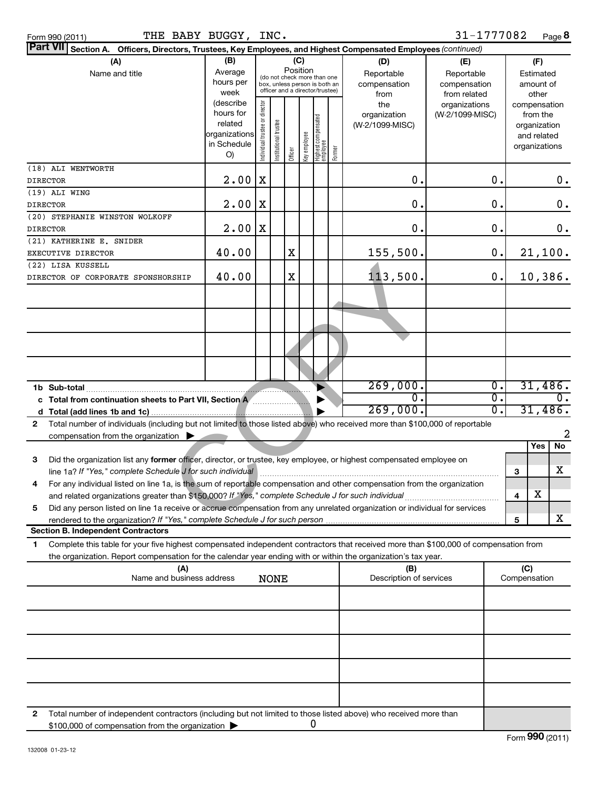| Part VII Section A. Officers, Directors, Trustees, Key Employees, and Highest Compensated Employees (continued)                                                                         |                   |                                         |                                                                  |         |              |                                             |                                |                                  |                  |     |                          |       |  |
|-----------------------------------------------------------------------------------------------------------------------------------------------------------------------------------------|-------------------|-----------------------------------------|------------------------------------------------------------------|---------|--------------|---------------------------------------------|--------------------------------|----------------------------------|------------------|-----|--------------------------|-------|--|
| (A)                                                                                                                                                                                     | (B)               |                                         |                                                                  | (C)     |              |                                             | (D)                            | (E)                              |                  | (F) |                          |       |  |
| Name and title                                                                                                                                                                          | Average           | Position<br>(do not check more than one |                                                                  |         |              |                                             | Reportable                     | Reportable                       |                  |     | Estimated                |       |  |
|                                                                                                                                                                                         | hours per         |                                         | box, unless person is both an<br>officer and a director/trustee) |         |              |                                             | compensation                   | compensation                     |                  |     | amount of                |       |  |
|                                                                                                                                                                                         | week<br>(describe |                                         |                                                                  |         |              |                                             | from                           | from related                     |                  |     | other                    |       |  |
|                                                                                                                                                                                         | hours for         |                                         |                                                                  |         |              |                                             | the<br>organization            | organizations<br>(W-2/1099-MISC) |                  |     | compensation<br>from the |       |  |
|                                                                                                                                                                                         | related           |                                         |                                                                  |         |              |                                             | (W-2/1099-MISC)                |                                  |                  |     | organization             |       |  |
|                                                                                                                                                                                         | organizations     |                                         |                                                                  |         |              |                                             |                                |                                  |                  |     | and related              |       |  |
|                                                                                                                                                                                         | in Schedule<br>O) | Individual trustee or director          | nstitutional trustee                                             | Officer | Key employee | Highest compensated<br> employee<br> Former |                                |                                  |                  |     | organizations            |       |  |
| (18) ALI WENTWORTH                                                                                                                                                                      |                   |                                         |                                                                  |         |              |                                             |                                |                                  |                  |     |                          |       |  |
| <b>DIRECTOR</b>                                                                                                                                                                         | 2.00              | X                                       |                                                                  |         |              |                                             | $\mathbf 0$                    |                                  | $\mathbf 0$ .    |     |                          | $0$ . |  |
| (19) ALI WING                                                                                                                                                                           |                   |                                         |                                                                  |         |              |                                             |                                |                                  |                  |     |                          |       |  |
| <b>DIRECTOR</b>                                                                                                                                                                         | 2.00              | ΙX                                      |                                                                  |         |              |                                             | $\mathbf 0$ .                  |                                  | $\mathbf 0$ .    |     |                          | 0.    |  |
| (20) STEPHANIE WINSTON WOLKOFF                                                                                                                                                          |                   |                                         |                                                                  |         |              |                                             |                                |                                  |                  |     |                          |       |  |
| <b>DIRECTOR</b>                                                                                                                                                                         | 2.00              | X                                       |                                                                  |         |              |                                             | $\mathbf 0$ .                  |                                  | $\mathbf 0$      |     |                          | 0.    |  |
| (21) KATHERINE E. SNIDER                                                                                                                                                                |                   |                                         |                                                                  |         |              |                                             |                                |                                  |                  |     |                          |       |  |
| EXECUTIVE DIRECTOR                                                                                                                                                                      | 40.00             |                                         |                                                                  | X       |              |                                             | 155,500.                       |                                  | 0.               |     | 21,100.                  |       |  |
| (22) LISA KUSSELL                                                                                                                                                                       |                   |                                         |                                                                  |         |              |                                             |                                |                                  |                  |     |                          |       |  |
| DIRECTOR OF CORPORATE SPONSHORSHIP                                                                                                                                                      | 40.00             |                                         |                                                                  | X       |              |                                             | 113,500.                       |                                  | 0.               |     | 10,386.                  |       |  |
|                                                                                                                                                                                         |                   |                                         |                                                                  |         |              |                                             |                                |                                  |                  |     |                          |       |  |
|                                                                                                                                                                                         |                   |                                         |                                                                  |         |              |                                             |                                |                                  |                  |     |                          |       |  |
|                                                                                                                                                                                         |                   |                                         |                                                                  |         |              |                                             |                                |                                  |                  |     |                          |       |  |
|                                                                                                                                                                                         |                   |                                         |                                                                  |         |              |                                             |                                |                                  |                  |     |                          |       |  |
|                                                                                                                                                                                         |                   |                                         |                                                                  |         |              |                                             |                                |                                  |                  |     |                          |       |  |
|                                                                                                                                                                                         |                   |                                         |                                                                  |         |              |                                             |                                |                                  |                  |     |                          |       |  |
|                                                                                                                                                                                         |                   |                                         |                                                                  |         |              |                                             |                                |                                  |                  |     |                          |       |  |
|                                                                                                                                                                                         |                   |                                         |                                                                  |         |              |                                             | 269,000.                       |                                  | $\overline{0}$ . |     | 31,486.                  |       |  |
| Total from continuation sheets to Part VII, Section A<br>c                                                                                                                              |                   |                                         |                                                                  |         |              |                                             | $\mathbf{0}$                   |                                  | σ.               |     |                          | 0.    |  |
|                                                                                                                                                                                         |                   |                                         |                                                                  |         |              |                                             | 269,000.                       |                                  | σ.               |     | 31,486.                  |       |  |
| Total number of individuals (including but not limited to those listed above) who received more than \$100,000 of reportable<br>$\mathbf{2}$                                            |                   |                                         |                                                                  |         |              |                                             |                                |                                  |                  |     |                          |       |  |
| compensation from the organization                                                                                                                                                      |                   |                                         |                                                                  |         |              |                                             |                                |                                  |                  |     |                          | 2     |  |
|                                                                                                                                                                                         |                   |                                         |                                                                  |         |              |                                             |                                |                                  |                  |     | Yes                      | No    |  |
| 3<br>Did the organization list any former officer, director, or trustee, key employee, or highest compensated employee on<br>line 1a? If "Yes," complete Schedule J for such individual |                   |                                         |                                                                  |         |              |                                             |                                |                                  |                  |     |                          | x     |  |
| For any individual listed on line 1a, is the sum of reportable compensation and other compensation from the organization<br>4                                                           |                   |                                         |                                                                  |         |              |                                             |                                |                                  |                  | 3   |                          |       |  |
| and related organizations greater than \$150,000? If "Yes," complete Schedule J for such individual                                                                                     |                   |                                         |                                                                  |         |              |                                             |                                |                                  |                  | 4   | х                        |       |  |
| Did any person listed on line 1a receive or accrue compensation from any unrelated organization or individual for services<br>5                                                         |                   |                                         |                                                                  |         |              |                                             |                                |                                  |                  |     |                          |       |  |
| rendered to the organization? If "Yes," complete Schedule J for such person                                                                                                             |                   |                                         |                                                                  |         |              |                                             |                                |                                  |                  | 5   |                          | x     |  |
| <b>Section B. Independent Contractors</b>                                                                                                                                               |                   |                                         |                                                                  |         |              |                                             |                                |                                  |                  |     |                          |       |  |
| Complete this table for your five highest compensated independent contractors that received more than \$100,000 of compensation from<br>1.                                              |                   |                                         |                                                                  |         |              |                                             |                                |                                  |                  |     |                          |       |  |
| the organization. Report compensation for the calendar year ending with or within the organization's tax year.                                                                          |                   |                                         |                                                                  |         |              |                                             |                                |                                  |                  |     |                          |       |  |
| (A)<br>Name and business address                                                                                                                                                        |                   |                                         | <b>NONE</b>                                                      |         |              |                                             | (B)<br>Description of services |                                  |                  |     | (C)<br>Compensation      |       |  |
|                                                                                                                                                                                         |                   |                                         |                                                                  |         |              |                                             |                                |                                  |                  |     |                          |       |  |
|                                                                                                                                                                                         |                   |                                         |                                                                  |         |              |                                             |                                |                                  |                  |     |                          |       |  |
|                                                                                                                                                                                         |                   |                                         |                                                                  |         |              |                                             |                                |                                  |                  |     |                          |       |  |
|                                                                                                                                                                                         |                   |                                         |                                                                  |         |              |                                             |                                |                                  |                  |     |                          |       |  |
|                                                                                                                                                                                         |                   |                                         |                                                                  |         |              |                                             |                                |                                  |                  |     |                          |       |  |
|                                                                                                                                                                                         |                   |                                         |                                                                  |         |              |                                             |                                |                                  |                  |     |                          |       |  |
|                                                                                                                                                                                         |                   |                                         |                                                                  |         |              |                                             |                                |                                  |                  |     |                          |       |  |
| Total number of independent contractors (including but not limited to those listed above) who received more than<br>2                                                                   |                   |                                         |                                                                  |         |              |                                             |                                |                                  |                  |     |                          |       |  |
| \$100,000 of compensation from the organization $\blacktriangleright$                                                                                                                   |                   |                                         |                                                                  |         |              | 0                                           |                                |                                  |                  |     |                          |       |  |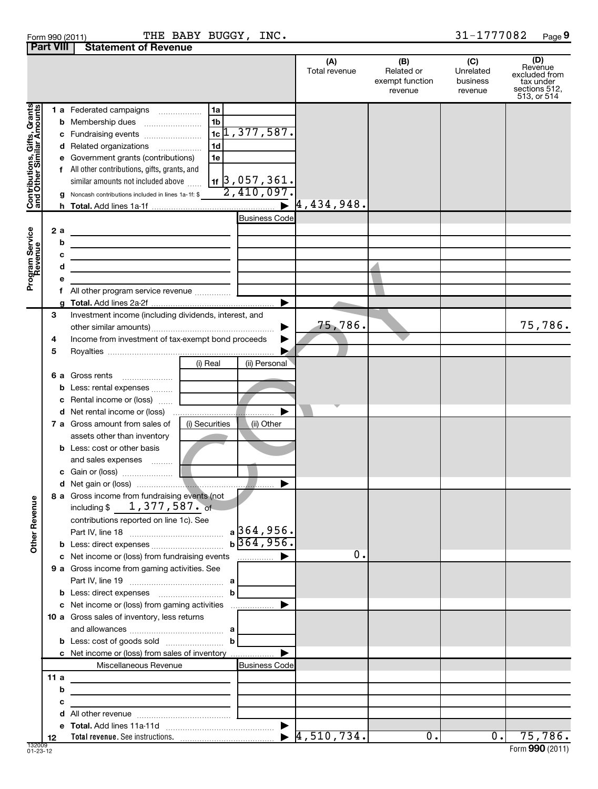| Form 990 (2011) |                                       | THE BAB |  |
|-----------------|---------------------------------------|---------|--|
|                 | <b>Part VIII Statement of Revenue</b> |         |  |

Form 990 (2011)  $\qquad \qquad \text{THE BABY BUGGY, INC.}$   $\qquad \qquad \qquad 31\text{--}1777082$  Page

31-1777082 Page 9

|                                                           |                   |                                                                                                                                                                                                                                                                                                                                                                                                                                  | (A)<br>Total revenue        | (B)<br>Related or<br>exempt function<br>revenue | (C)<br>Unrelated<br>business<br>revenue | (D)<br>Revenue<br>excluded from<br>tax under<br>sections 512,<br>513, or 514 |
|-----------------------------------------------------------|-------------------|----------------------------------------------------------------------------------------------------------------------------------------------------------------------------------------------------------------------------------------------------------------------------------------------------------------------------------------------------------------------------------------------------------------------------------|-----------------------------|-------------------------------------------------|-----------------------------------------|------------------------------------------------------------------------------|
| Contributions, Gifts, Grants<br>and Other Similar Amounts | f                 | 1a<br><b>1 a</b> Federated campaigns<br>.<br>1 <sub>b</sub><br><b>b</b> Membership dues<br>$1c$ [1,377,587.<br>c Fundraising events<br>1 <sub>d</sub><br>d Related organizations<br>.<br>e Government grants (contributions)<br>1e<br>All other contributions, gifts, grants, and<br>$\frac{1}{11}$ 3,057,361.<br>similar amounts not included above<br>2,410,097.<br><b>g</b> Noncash contributions included in lines 1a-1f: \$ | $\triangleright$ 4,434,948. |                                                 |                                         |                                                                              |
| Program Service<br>Revenue                                | 2a<br>b<br>с<br>d | <b>Business Code</b><br><u> 1989 - Johann Stein, mars an t-Amerikaansk kommunister (</u><br><u> 1980 - Johann Barn, mars ann an t-Alban ann an t-</u><br>f All other program service revenue                                                                                                                                                                                                                                     |                             |                                                 |                                         |                                                                              |
|                                                           | 3<br>4<br>5       | ▶<br>Investment income (including dividends, interest, and<br>▶<br>Income from investment of tax-exempt bond proceeds<br>▶                                                                                                                                                                                                                                                                                                       | 75,786.                     |                                                 |                                         | 75,786.                                                                      |
|                                                           |                   | (i) Real<br>(ii) Personal<br>6 a Gross rents<br><b>b</b> Less: rental expenses<br>c Rental income or (loss)<br><b>d</b> Net rental income or (loss)<br><b>7 a</b> Gross amount from sales of<br>(i) Securities<br>(ii) Other                                                                                                                                                                                                     |                             |                                                 |                                         |                                                                              |
|                                                           |                   | assets other than inventory<br><b>b</b> Less: cost or other basis<br>and sales expenses<br>▶                                                                                                                                                                                                                                                                                                                                     |                             |                                                 |                                         |                                                                              |
| ₾<br>Other Reven                                          |                   | 8 a Gross income from fundraising events (not<br>including $$1,377,587$ . of<br>contributions reported on line 1c). See<br>$a$ 364,956.<br>$b\overline{364,956}$                                                                                                                                                                                                                                                                 |                             |                                                 |                                         |                                                                              |
|                                                           |                   | c Net income or (loss) from fundraising events<br>9 a Gross income from gaming activities. See<br>b                                                                                                                                                                                                                                                                                                                              | Ο.                          |                                                 |                                         |                                                                              |
|                                                           |                   | c Net income or (loss) from gaming activities<br>10 a Gross sales of inventory, less returns                                                                                                                                                                                                                                                                                                                                     |                             |                                                 |                                         |                                                                              |
|                                                           | 11a<br>b          | c Net income or (loss) from sales of inventory<br>Miscellaneous Revenue<br><b>Business Code</b><br>the control of the control of the control of<br>the control of the control of the control of the control of the control of                                                                                                                                                                                                    |                             |                                                 |                                         |                                                                              |
|                                                           | с<br>12           |                                                                                                                                                                                                                                                                                                                                                                                                                                  |                             | $\overline{0}$ .                                | $\overline{0}$ .                        | 75,786.                                                                      |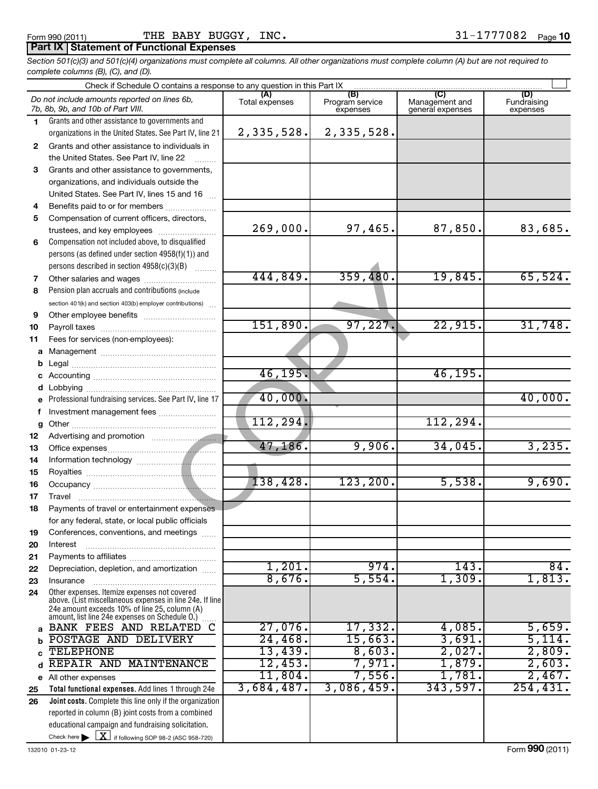# **Part IX Statement of Functional Expenses**

*Section 501(c)(3) and 501(c)(4) organizations must complete all columns. All other organizations must complete column (A) but are not required to complete columns (B), (C), and (D).*

|        | Check if Schedule O contains a response to any question in this Part IX [11] manufactured in the Schedule O contains a response to any question in this Part IX [11] manufactured in the Schedule O contains are set of the Sc |                |                                    |                                           |                                |  |  |  |  |  |  |
|--------|--------------------------------------------------------------------------------------------------------------------------------------------------------------------------------------------------------------------------------|----------------|------------------------------------|-------------------------------------------|--------------------------------|--|--|--|--|--|--|
|        | Do not include amounts reported on lines 6b,<br>7b, 8b, 9b, and 10b of Part VIII.                                                                                                                                              | Total expenses | (B)<br>Program service<br>expenses | (C)<br>Management and<br>general expenses | (D)<br>Fundraising<br>expenses |  |  |  |  |  |  |
| 1.     | Grants and other assistance to governments and                                                                                                                                                                                 |                |                                    |                                           |                                |  |  |  |  |  |  |
|        | organizations in the United States. See Part IV, line 21                                                                                                                                                                       | 2,335,528.     | 2,335,528.                         |                                           |                                |  |  |  |  |  |  |
| 2      | Grants and other assistance to individuals in                                                                                                                                                                                  |                |                                    |                                           |                                |  |  |  |  |  |  |
|        | the United States. See Part IV, line 22                                                                                                                                                                                        |                |                                    |                                           |                                |  |  |  |  |  |  |
| 3      | Grants and other assistance to governments,                                                                                                                                                                                    |                |                                    |                                           |                                |  |  |  |  |  |  |
|        | organizations, and individuals outside the                                                                                                                                                                                     |                |                                    |                                           |                                |  |  |  |  |  |  |
|        | United States. See Part IV, lines 15 and 16                                                                                                                                                                                    |                |                                    |                                           |                                |  |  |  |  |  |  |
| 4      | Benefits paid to or for members                                                                                                                                                                                                |                |                                    |                                           |                                |  |  |  |  |  |  |
| 5      | Compensation of current officers, directors,                                                                                                                                                                                   |                |                                    |                                           |                                |  |  |  |  |  |  |
|        | trustees, and key employees                                                                                                                                                                                                    | 269,000.       | 97,465.                            | 87,850.                                   | 83,685.                        |  |  |  |  |  |  |
| 6      | Compensation not included above, to disqualified                                                                                                                                                                               |                |                                    |                                           |                                |  |  |  |  |  |  |
|        | persons (as defined under section 4958(f)(1)) and                                                                                                                                                                              |                |                                    |                                           |                                |  |  |  |  |  |  |
|        | persons described in section 4958(c)(3)(B)                                                                                                                                                                                     | 444,849.       |                                    | 19,845.                                   |                                |  |  |  |  |  |  |
| 7      | Other salaries and wages                                                                                                                                                                                                       |                | 359,480.                           |                                           | 65,524.                        |  |  |  |  |  |  |
| 8      | Pension plan accruals and contributions (include                                                                                                                                                                               |                |                                    |                                           |                                |  |  |  |  |  |  |
|        | section 401(k) and section 403(b) employer contributions)                                                                                                                                                                      |                |                                    |                                           |                                |  |  |  |  |  |  |
| 9      |                                                                                                                                                                                                                                | 151,890.       | 97,227.                            | 22,915.                                   | 31,748.                        |  |  |  |  |  |  |
| 10     |                                                                                                                                                                                                                                |                |                                    |                                           |                                |  |  |  |  |  |  |
| 11     | Fees for services (non-employees):                                                                                                                                                                                             |                |                                    |                                           |                                |  |  |  |  |  |  |
| a      |                                                                                                                                                                                                                                |                |                                    |                                           |                                |  |  |  |  |  |  |
| b      |                                                                                                                                                                                                                                | 46,195.        |                                    | 46, 195.                                  |                                |  |  |  |  |  |  |
| c      |                                                                                                                                                                                                                                |                |                                    |                                           |                                |  |  |  |  |  |  |
| d<br>e | Professional fundraising services. See Part IV, line 17                                                                                                                                                                        | 40,000.        |                                    |                                           | 40,000.                        |  |  |  |  |  |  |
| f      | Investment management fees                                                                                                                                                                                                     |                |                                    |                                           |                                |  |  |  |  |  |  |
| g      |                                                                                                                                                                                                                                | 112, 294.      |                                    | 112, 294.                                 |                                |  |  |  |  |  |  |
| 12     |                                                                                                                                                                                                                                |                |                                    |                                           |                                |  |  |  |  |  |  |
| 13     |                                                                                                                                                                                                                                | 47, 186.       | 9,906.                             | 34,045.                                   | 3,235.                         |  |  |  |  |  |  |
| 14     |                                                                                                                                                                                                                                |                |                                    |                                           |                                |  |  |  |  |  |  |
| 15     |                                                                                                                                                                                                                                |                |                                    |                                           |                                |  |  |  |  |  |  |
| 16     |                                                                                                                                                                                                                                | 138,428.       | 123, 200.                          | 5,538.                                    | 9,690.                         |  |  |  |  |  |  |
| 17     |                                                                                                                                                                                                                                |                |                                    |                                           |                                |  |  |  |  |  |  |
| 18     | Payments of travel or entertainment expenses                                                                                                                                                                                   |                |                                    |                                           |                                |  |  |  |  |  |  |
|        | for any federal, state, or local public officials                                                                                                                                                                              |                |                                    |                                           |                                |  |  |  |  |  |  |
| 19     | Conferences, conventions, and meetings                                                                                                                                                                                         |                |                                    |                                           |                                |  |  |  |  |  |  |
| 20     | Interest                                                                                                                                                                                                                       |                |                                    |                                           |                                |  |  |  |  |  |  |
| 21     |                                                                                                                                                                                                                                |                |                                    |                                           |                                |  |  |  |  |  |  |
| 22     | Depreciation, depletion, and amortization                                                                                                                                                                                      | 1,201.         | 974.                               | 143.                                      | 84.                            |  |  |  |  |  |  |
| 23     | Insurance                                                                                                                                                                                                                      | 8,676.         | 5,554.                             | 1,309.                                    | 1,813.                         |  |  |  |  |  |  |
| 24     | Other expenses. Itemize expenses not covered<br>above. (List miscellaneous expenses in line 24e. If line<br>24e amount exceeds 10% of line 25, column (A)<br>amount, list line 24e expenses on Schedule O.)                    |                |                                    |                                           |                                |  |  |  |  |  |  |
| a      | BANK FEES AND RELATED<br>C                                                                                                                                                                                                     | $27,076$ .     | 17,332.                            | 4,085.                                    | 5,659.                         |  |  |  |  |  |  |
| b      | POSTAGE AND DELIVERY                                                                                                                                                                                                           | 24,468.        | 15,663.                            | 3,691.                                    | 5,114.                         |  |  |  |  |  |  |
| C      | <b>TELEPHONE</b>                                                                                                                                                                                                               | 13,439.        | 8,603.                             | 2,027.                                    | 2,809.                         |  |  |  |  |  |  |
| d      | REPAIR AND MAINTENANCE                                                                                                                                                                                                         | 12,453.        | 7,971.                             | 1,879.                                    | 2,603.                         |  |  |  |  |  |  |
|        | e All other expenses                                                                                                                                                                                                           | 11,804.        | 7,556.                             | 1,781.                                    | 2,467.                         |  |  |  |  |  |  |
| 25     | Total functional expenses. Add lines 1 through 24e                                                                                                                                                                             | 3,684,487.     | 3,086,459.                         | 343,597.                                  | 254, 431.                      |  |  |  |  |  |  |
| 26     | Joint costs. Complete this line only if the organization                                                                                                                                                                       |                |                                    |                                           |                                |  |  |  |  |  |  |
|        | reported in column (B) joint costs from a combined                                                                                                                                                                             |                |                                    |                                           |                                |  |  |  |  |  |  |
|        | educational campaign and fundraising solicitation.                                                                                                                                                                             |                |                                    |                                           |                                |  |  |  |  |  |  |
|        | Check here $\blacktriangleright$ $\boxed{\textbf{X}}$ if following SOP 98-2 (ASC 958-720)                                                                                                                                      |                |                                    |                                           |                                |  |  |  |  |  |  |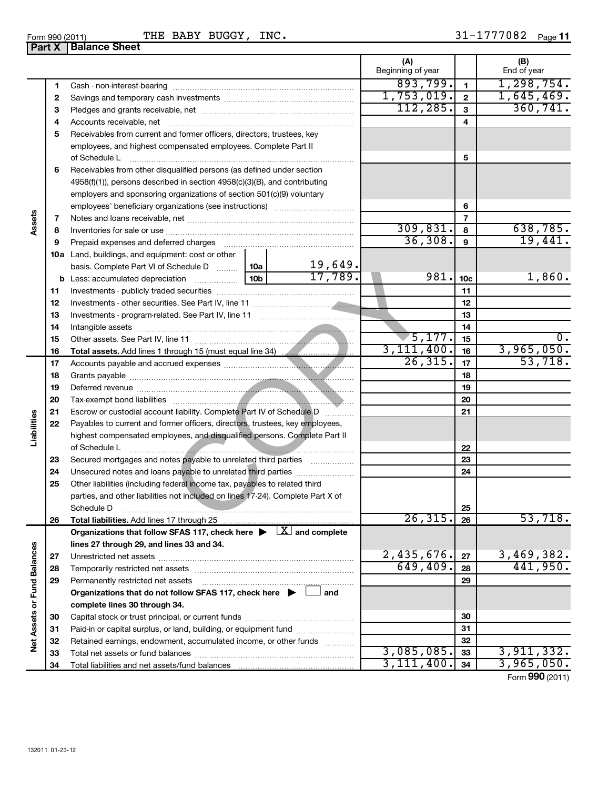| orm 990 (2011) |                        | THE |
|----------------|------------------------|-----|
|                | Part X   Balance Sheet |     |

### Form 990 (2011) 'I'HE BABY BUGGY, INC. 3l-l///U82 Page BABY BUGGY, INC.

31-1777082 Page 11

|                             |    |                                                                                                                                                                                                                                      |                  | (A)               |                | (B)          |
|-----------------------------|----|--------------------------------------------------------------------------------------------------------------------------------------------------------------------------------------------------------------------------------------|------------------|-------------------|----------------|--------------|
|                             |    |                                                                                                                                                                                                                                      |                  | Beginning of year |                | End of year  |
|                             | 1  |                                                                                                                                                                                                                                      |                  | 893,799.          | $\blacksquare$ | 1, 298, 754. |
|                             | 2  |                                                                                                                                                                                                                                      | 1,753,019.       | $\mathbf{2}$      | 1,645,469.     |              |
|                             | 3  |                                                                                                                                                                                                                                      | 112, 285.        | 3                 | 360, 741.      |              |
|                             | 4  |                                                                                                                                                                                                                                      |                  | 4                 |                |              |
|                             | 5  | Receivables from current and former officers, directors, trustees, key                                                                                                                                                               |                  |                   |                |              |
|                             |    | employees, and highest compensated employees. Complete Part II                                                                                                                                                                       |                  |                   |                |              |
|                             |    | of Schedule L                                                                                                                                                                                                                        |                  |                   | 5              |              |
|                             | 6  | Receivables from other disqualified persons (as defined under section                                                                                                                                                                |                  |                   |                |              |
|                             |    | 4958(f)(1)), persons described in section 4958(c)(3)(B), and contributing                                                                                                                                                            |                  |                   |                |              |
|                             |    | employers and sponsoring organizations of section 501(c)(9) voluntary                                                                                                                                                                |                  |                   |                |              |
|                             |    |                                                                                                                                                                                                                                      |                  |                   | 6              |              |
| Assets                      | 7  |                                                                                                                                                                                                                                      |                  |                   | 7              |              |
|                             | 8  |                                                                                                                                                                                                                                      |                  | 309,831.          | 8              | 638,785.     |
|                             | 9  |                                                                                                                                                                                                                                      |                  | 36,308.           | 9              | 19,441.      |
|                             |    | <b>10a</b> Land, buildings, and equipment: cost or other                                                                                                                                                                             |                  |                   |                |              |
|                             |    | basis. Complete Part VI of Schedule D    10a                                                                                                                                                                                         | 19,649.          |                   |                |              |
|                             |    |                                                                                                                                                                                                                                      | 17,789.          | 981.              | 10c            | 1,860.       |
|                             | 11 |                                                                                                                                                                                                                                      |                  |                   | 11             |              |
|                             | 12 |                                                                                                                                                                                                                                      |                  | 12                |                |              |
|                             | 13 |                                                                                                                                                                                                                                      |                  | 13                |                |              |
|                             | 14 |                                                                                                                                                                                                                                      |                  | 14                |                |              |
|                             | 15 |                                                                                                                                                                                                                                      | $\sqrt{5,177}$ . | 15                | 0.             |              |
|                             | 16 |                                                                                                                                                                                                                                      |                  | 3, 111, 400.      | 16             | 3,965,050.   |
|                             | 17 |                                                                                                                                                                                                                                      |                  | 26, 315.          | 17             | 53,718.      |
|                             | 18 |                                                                                                                                                                                                                                      |                  |                   | 18             |              |
|                             | 19 | Deferred revenue <b>contract and the contract of the contract of the contract of the contract of the contract of the contract of the contract of the contract of the contract of the contract of the contract of the contract of</b> |                  |                   | 19             |              |
|                             | 20 |                                                                                                                                                                                                                                      |                  |                   | 20             |              |
|                             | 21 | Escrow or custodial account liability. Complete Part IV of Schedule D                                                                                                                                                                |                  |                   | 21             |              |
| Liabilities                 | 22 | Payables to current and former officers, directors, trustees, key employees,                                                                                                                                                         |                  |                   |                |              |
|                             |    | highest compensated employees, and disqualified persons. Complete Part II                                                                                                                                                            |                  |                   |                |              |
|                             |    | of Schedule L                                                                                                                                                                                                                        |                  |                   | 22             |              |
|                             | 23 | Secured mortgages and notes payable to unrelated third parties                                                                                                                                                                       |                  |                   | 23             |              |
|                             | 24 |                                                                                                                                                                                                                                      |                  |                   | 24             |              |
|                             | 25 | Other liabilities (including federal income tax, payables to related third                                                                                                                                                           |                  |                   |                |              |
|                             |    | parties, and other liabilities not included on lines 17-24). Complete Part X of                                                                                                                                                      |                  |                   |                |              |
|                             |    |                                                                                                                                                                                                                                      |                  |                   | 25             |              |
|                             | 26 | Schedule D                                                                                                                                                                                                                           |                  | 26, 315.          | 26             | 53,718.      |
|                             |    | Organizations that follow SFAS 117, check here $\blacktriangleright \Box X$ and complete                                                                                                                                             |                  |                   |                |              |
|                             |    | lines 27 through 29, and lines 33 and 34.                                                                                                                                                                                            |                  |                   |                |              |
|                             | 27 |                                                                                                                                                                                                                                      |                  | 2,435,676.        | 27             | 3,469,382.   |
|                             | 28 |                                                                                                                                                                                                                                      |                  | 649,409.          | 28             | 441,950.     |
|                             | 29 | Permanently restricted net assets                                                                                                                                                                                                    |                  |                   | 29             |              |
|                             |    |                                                                                                                                                                                                                                      |                  |                   |                |              |
|                             |    | Organizations that do not follow SFAS 117, check here $\blacktriangleright \Box$ and                                                                                                                                                 |                  |                   |                |              |
|                             |    | complete lines 30 through 34.                                                                                                                                                                                                        |                  |                   |                |              |
|                             | 30 |                                                                                                                                                                                                                                      |                  |                   | 30             |              |
| Net Assets or Fund Balances | 31 | Paid-in or capital surplus, or land, building, or equipment fund                                                                                                                                                                     |                  |                   | 31             |              |
|                             | 32 | Retained earnings, endowment, accumulated income, or other funds                                                                                                                                                                     |                  | 3,085,085.        | 32             | 3,911,332.   |
|                             | 33 |                                                                                                                                                                                                                                      |                  | 3, 111, 400.      | 33             |              |
|                             | 34 |                                                                                                                                                                                                                                      |                  |                   | 34             | 3,965,050.   |

Form (2011) **990**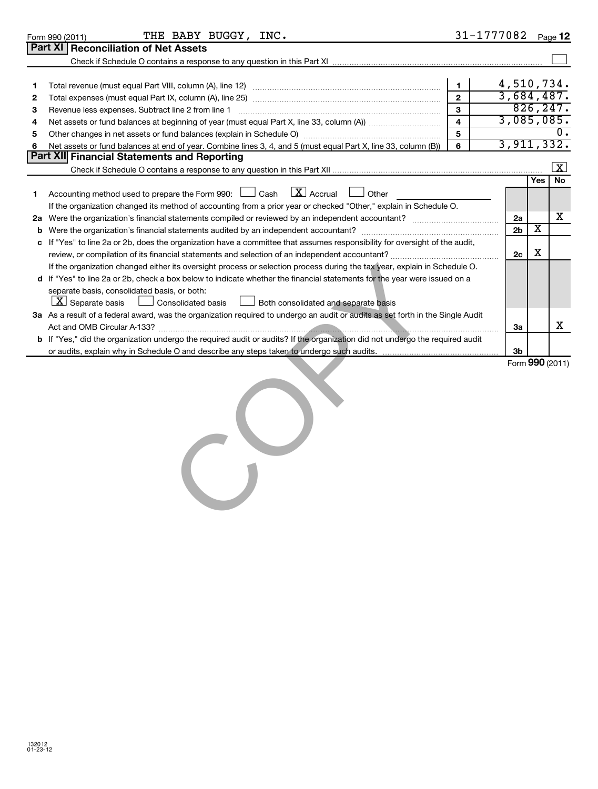|    | Form 990 (2011) | THE BABY BUGGY, INC.                                                                                                                                                                                                           |                         | 31-1777082     |                         | Page 12              |
|----|-----------------|--------------------------------------------------------------------------------------------------------------------------------------------------------------------------------------------------------------------------------|-------------------------|----------------|-------------------------|----------------------|
|    | <b>Part XI</b>  | <b>Reconciliation of Net Assets</b>                                                                                                                                                                                            |                         |                |                         |                      |
|    |                 |                                                                                                                                                                                                                                |                         |                |                         |                      |
|    |                 |                                                                                                                                                                                                                                |                         |                |                         |                      |
| 1. |                 |                                                                                                                                                                                                                                | $\mathbf 1$             | 4,510,734.     |                         |                      |
| 2  |                 |                                                                                                                                                                                                                                | $\mathfrak{p}$          |                |                         | 3,684,487.           |
| 3  |                 | Revenue less expenses. Subtract line 2 from line 1                                                                                                                                                                             | 3                       |                |                         | 826, 247.            |
| 4  |                 |                                                                                                                                                                                                                                | $\overline{\mathbf{4}}$ |                |                         | 3,085,085.           |
| 5  |                 | Other changes in net assets or fund balances (explain in Schedule O) manufactured controller than grow of the controller controller controller controller controller controller controller controller controller controller co | $\overline{5}$          |                |                         |                      |
| 6  |                 | Net assets or fund balances at end of year. Combine lines 3, 4, and 5 (must equal Part X, line 33, column (B))                                                                                                                 | 6                       |                |                         | 3,911,332.           |
|    |                 | <b>Part XII Financial Statements and Reporting</b>                                                                                                                                                                             |                         |                |                         |                      |
|    |                 |                                                                                                                                                                                                                                |                         |                |                         | $\boxed{\textbf{X}}$ |
|    |                 |                                                                                                                                                                                                                                |                         |                | <b>Yes</b>              | <b>No</b>            |
| 1  |                 | Accounting method used to prepare the Form 990: $\Box$ Cash $\Box X$ Accrual $\Box$ Other                                                                                                                                      |                         |                |                         |                      |
|    |                 | If the organization changed its method of accounting from a prior year or checked "Other," explain in Schedule O.                                                                                                              |                         |                |                         |                      |
| 2a |                 |                                                                                                                                                                                                                                |                         | 2a             |                         | х                    |
| b  |                 | Were the organization's financial statements audited by an independent accountant?                                                                                                                                             |                         | 2 <sub>b</sub> | $\overline{\textbf{x}}$ |                      |
| c  |                 | If "Yes" to line 2a or 2b, does the organization have a committee that assumes responsibility for oversight of the audit,                                                                                                      |                         |                |                         |                      |
|    |                 |                                                                                                                                                                                                                                |                         | 2c             | х                       |                      |
|    |                 | If the organization changed either its oversight process or selection process during the tax year, explain in Schedule O.                                                                                                      |                         |                |                         |                      |
|    |                 | d If "Yes" to line 2a or 2b, check a box below to indicate whether the financial statements for the year were issued on a                                                                                                      |                         |                |                         |                      |
|    |                 | separate basis, consolidated basis, or both:                                                                                                                                                                                   |                         |                |                         |                      |
|    |                 | $ \mathbf{X} $ Separate basis<br><b>Consolidated basis</b><br>Both consolidated and separate basis                                                                                                                             |                         |                |                         |                      |
|    |                 | 3a As a result of a federal award, was the organization required to undergo an audit or audits as set forth in the Single Audit                                                                                                |                         |                |                         |                      |
|    |                 |                                                                                                                                                                                                                                |                         | 3a             |                         | x                    |
|    |                 | b If "Yes," did the organization undergo the required audit or audits? If the organization did not undergo the required audit                                                                                                  |                         |                |                         |                      |
|    |                 |                                                                                                                                                                                                                                |                         | 3 <sub>b</sub> |                         |                      |
|    |                 |                                                                                                                                                                                                                                |                         |                |                         | Form 990 (2011)      |
|    |                 |                                                                                                                                                                                                                                |                         |                |                         |                      |
|    |                 |                                                                                                                                                                                                                                |                         |                |                         |                      |
|    |                 |                                                                                                                                                                                                                                |                         |                |                         |                      |
|    |                 |                                                                                                                                                                                                                                |                         |                |                         |                      |

 $\mathbf{C}$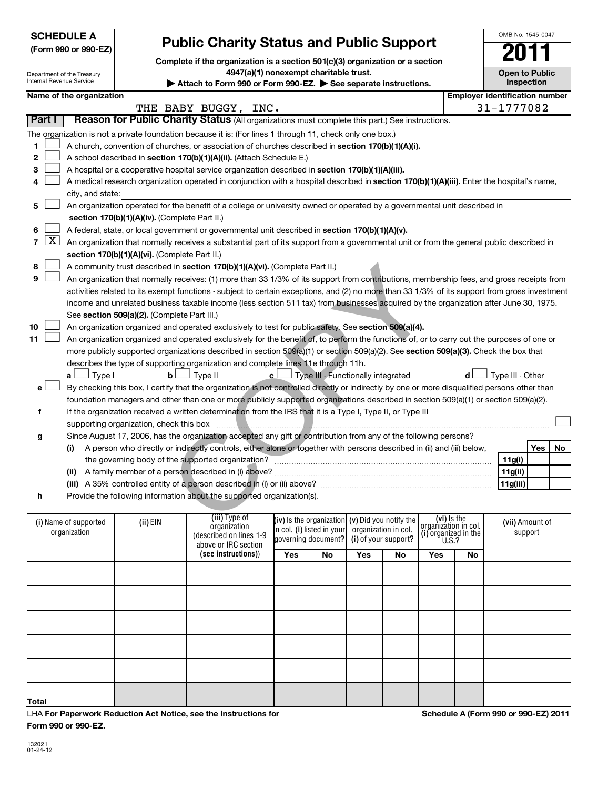| <b>SCHEDULE A</b>    |
|----------------------|
| (Form 990 or 990-EZ) |

# **Public Charity Status and Public Support**

**Complete if the organization is a section 501(c)(3) organization or a section**

**4947(a)(1) nonexempt charitable trust.**

|    |                                                                                                                                            | Department of the Treasury<br>Internal Revenue Service |                                               | 4947(a)(1) nonexempt charitable trust.<br>Attach to Form 990 or Form 990-EZ. See separate instructions.                                       |                                                   |    |                                                   |    |                                              |     | <b>Open to Public</b><br>Inspection   |           |
|----|--------------------------------------------------------------------------------------------------------------------------------------------|--------------------------------------------------------|-----------------------------------------------|-----------------------------------------------------------------------------------------------------------------------------------------------|---------------------------------------------------|----|---------------------------------------------------|----|----------------------------------------------|-----|---------------------------------------|-----------|
|    |                                                                                                                                            | Name of the organization                               |                                               |                                                                                                                                               |                                                   |    |                                                   |    |                                              |     | <b>Employer identification number</b> |           |
|    | Part I                                                                                                                                     |                                                        |                                               | THE BABY BUGGY, INC.<br>Reason for Public Charity Status (All organizations must complete this part.) See instructions.                       |                                                   |    |                                                   |    |                                              |     | 31-1777082                            |           |
|    |                                                                                                                                            |                                                        |                                               | The organization is not a private foundation because it is: (For lines 1 through 11, check only one box.)                                     |                                                   |    |                                                   |    |                                              |     |                                       |           |
| 1  |                                                                                                                                            |                                                        |                                               | A church, convention of churches, or association of churches described in section 170(b)(1)(A)(i).                                            |                                                   |    |                                                   |    |                                              |     |                                       |           |
| 2  |                                                                                                                                            |                                                        |                                               | A school described in section 170(b)(1)(A)(ii). (Attach Schedule E.)                                                                          |                                                   |    |                                                   |    |                                              |     |                                       |           |
| 3  |                                                                                                                                            |                                                        |                                               | A hospital or a cooperative hospital service organization described in section 170(b)(1)(A)(iii).                                             |                                                   |    |                                                   |    |                                              |     |                                       |           |
| 4  | A medical research organization operated in conjunction with a hospital described in section 170(b)(1)(A)(iii). Enter the hospital's name, |                                                        |                                               |                                                                                                                                               |                                                   |    |                                                   |    |                                              |     |                                       |           |
|    |                                                                                                                                            | city, and state:                                       |                                               |                                                                                                                                               |                                                   |    |                                                   |    |                                              |     |                                       |           |
| 5  |                                                                                                                                            |                                                        |                                               | An organization operated for the benefit of a college or university owned or operated by a governmental unit described in                     |                                                   |    |                                                   |    |                                              |     |                                       |           |
|    |                                                                                                                                            |                                                        | section 170(b)(1)(A)(iv). (Complete Part II.) |                                                                                                                                               |                                                   |    |                                                   |    |                                              |     |                                       |           |
| 6  | <u>x</u>                                                                                                                                   |                                                        |                                               | A federal, state, or local government or governmental unit described in section 170(b)(1)(A)(v).                                              |                                                   |    |                                                   |    |                                              |     |                                       |           |
| 7  |                                                                                                                                            |                                                        | section 170(b)(1)(A)(vi). (Complete Part II.) | An organization that normally receives a substantial part of its support from a governmental unit or from the general public described in     |                                                   |    |                                                   |    |                                              |     |                                       |           |
| 8  |                                                                                                                                            |                                                        |                                               | A community trust described in section 170(b)(1)(A)(vi). (Complete Part II.)                                                                  |                                                   |    |                                                   |    |                                              |     |                                       |           |
| 9  |                                                                                                                                            |                                                        |                                               | An organization that normally receives: (1) more than 33 1/3% of its support from contributions, membership fees, and gross receipts from     |                                                   |    |                                                   |    |                                              |     |                                       |           |
|    |                                                                                                                                            |                                                        |                                               | activities related to its exempt functions - subject to certain exceptions, and (2) no more than 33 1/3% of its support from gross investment |                                                   |    |                                                   |    |                                              |     |                                       |           |
|    |                                                                                                                                            |                                                        |                                               | income and unrelated business taxable income (less section 511 tax) from businesses acquired by the organization after June 30, 1975.         |                                                   |    |                                                   |    |                                              |     |                                       |           |
|    |                                                                                                                                            |                                                        | See section 509(a)(2). (Complete Part III.)   |                                                                                                                                               |                                                   |    |                                                   |    |                                              |     |                                       |           |
| 10 |                                                                                                                                            |                                                        |                                               | An organization organized and operated exclusively to test for public safety. See section 509(a)(4).                                          |                                                   |    |                                                   |    |                                              |     |                                       |           |
| 11 |                                                                                                                                            |                                                        |                                               | An organization organized and operated exclusively for the benefit of, to perform the functions of, or to carry out the purposes of one or    |                                                   |    |                                                   |    |                                              |     |                                       |           |
|    |                                                                                                                                            |                                                        |                                               | more publicly supported organizations described in section 509(a)(1) or section 509(a)(2). See section 509(a)(3). Check the box that          |                                                   |    |                                                   |    |                                              |     |                                       |           |
|    |                                                                                                                                            | Type I<br>a L                                          | b <sub>l</sub>                                | describes the type of supporting organization and complete lines 11e through 11h.<br>J Type II                                                | c l                                               |    | Type III - Functionally integrated                |    |                                              | d l | Type III - Other                      |           |
| e۱ |                                                                                                                                            |                                                        |                                               | By checking this box, I certify that the organization is not controlled directly or indirectly by one or more disqualified persons other than |                                                   |    |                                                   |    |                                              |     |                                       |           |
|    |                                                                                                                                            |                                                        |                                               | foundation managers and other than one or more publicly supported organizations described in section 509(a)(1) or section 509(a)(2).          |                                                   |    |                                                   |    |                                              |     |                                       |           |
| f  |                                                                                                                                            |                                                        |                                               | If the organization received a written determination from the IRS that it is a Type I, Type II, or Type III                                   |                                                   |    |                                                   |    |                                              |     |                                       |           |
|    |                                                                                                                                            |                                                        | supporting organization, check this box       |                                                                                                                                               |                                                   |    |                                                   |    |                                              |     |                                       |           |
| g  |                                                                                                                                            |                                                        |                                               | Since August 17, 2006, has the organization accepted any gift or contribution from any of the following persons?                              |                                                   |    |                                                   |    |                                              |     |                                       |           |
|    |                                                                                                                                            | (i)                                                    |                                               | A person who directly or indirectly controls, either alone or together with persons described in (ii) and (iii) below,                        |                                                   |    |                                                   |    |                                              |     |                                       | Yes<br>No |
|    |                                                                                                                                            |                                                        |                                               |                                                                                                                                               |                                                   |    |                                                   |    |                                              |     | 11g(i)                                |           |
|    |                                                                                                                                            |                                                        |                                               |                                                                                                                                               |                                                   |    |                                                   |    |                                              |     | 11g(ii)                               |           |
| h  |                                                                                                                                            |                                                        |                                               | Provide the following information about the supported organization(s).                                                                        |                                                   |    |                                                   |    |                                              |     | 11g(iii)                              |           |
|    |                                                                                                                                            |                                                        |                                               |                                                                                                                                               |                                                   |    |                                                   |    |                                              |     |                                       |           |
|    |                                                                                                                                            | (i) Name of supported                                  | (ii) EIN                                      | (iii) Type of                                                                                                                                 |                                                   |    | (iv) is the organization $(v)$ Did you notify the |    | $(vi)$ is the                                |     | (vii) Amount of                       |           |
|    |                                                                                                                                            | organization                                           |                                               | organization<br>(described on lines 1-9                                                                                                       | in col. (i) listed in your<br>governing document? |    | organization in col.<br>(i) of your support?      |    | organization in col.<br>(i) organized in the |     | support                               |           |
|    |                                                                                                                                            |                                                        |                                               | above or IRC section                                                                                                                          |                                                   |    |                                                   |    | U.S.?                                        |     |                                       |           |
|    |                                                                                                                                            |                                                        |                                               | (see instructions))                                                                                                                           | Yes                                               | No | Yes                                               | No | Yes                                          | No  |                                       |           |
|    |                                                                                                                                            |                                                        |                                               |                                                                                                                                               |                                                   |    |                                                   |    |                                              |     |                                       |           |
|    |                                                                                                                                            |                                                        |                                               |                                                                                                                                               |                                                   |    |                                                   |    |                                              |     |                                       |           |
|    |                                                                                                                                            |                                                        |                                               |                                                                                                                                               |                                                   |    |                                                   |    |                                              |     |                                       |           |
|    |                                                                                                                                            |                                                        |                                               |                                                                                                                                               |                                                   |    |                                                   |    |                                              |     |                                       |           |
|    |                                                                                                                                            |                                                        |                                               |                                                                                                                                               |                                                   |    |                                                   |    |                                              |     |                                       |           |

LHA **For Paperwork Reduction Act Notice, see the Instructions for Form 990 or 990-EZ.**

**Schedule A (Form 990 or 990-EZ) 2011**

OMB No. 1545-0047

**Open to Public**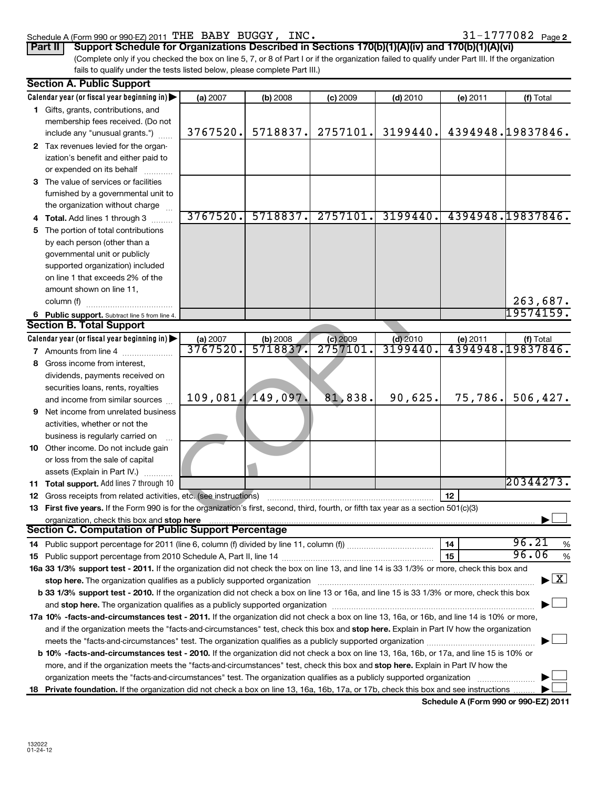## Schedule A (Form 990 or 990-EZ) 2011  $\texttt{THE}$  BABY BUGGY, INC.  $31\texttt{-}1777082$  Page

|  |  |  |  |  |  |  | 31-1777082 <sub>Page 2</sub> |
|--|--|--|--|--|--|--|------------------------------|
|--|--|--|--|--|--|--|------------------------------|

(Complete only if you checked the box on line 5, 7, or 8 of Part I or if the organization failed to qualify under Part III. If the organization fails to qualify under the tests listed below, please complete Part III.) **Part II Support Schedule for Organizations Described in Sections 170(b)(1)(A)(iv) and 170(b)(1)(A)(vi)** 

| <b>Section A. Public Support</b>                                                                                                                                                                                              |          |                   |            |            |          |                                          |
|-------------------------------------------------------------------------------------------------------------------------------------------------------------------------------------------------------------------------------|----------|-------------------|------------|------------|----------|------------------------------------------|
| Calendar year (or fiscal year beginning in)                                                                                                                                                                                   | (a) 2007 | (b) 2008          | $(c)$ 2009 | $(d)$ 2010 | (e) 2011 | (f) Total                                |
| 1 Gifts, grants, contributions, and                                                                                                                                                                                           |          |                   |            |            |          |                                          |
| membership fees received. (Do not                                                                                                                                                                                             |          |                   |            |            |          |                                          |
| include any "unusual grants.")                                                                                                                                                                                                | 3767520. | 5718837.          | 2757101.   | 3199440.   |          | 4394948.19837846.                        |
| 2 Tax revenues levied for the organ-                                                                                                                                                                                          |          |                   |            |            |          |                                          |
| ization's benefit and either paid to                                                                                                                                                                                          |          |                   |            |            |          |                                          |
| or expended on its behalf                                                                                                                                                                                                     |          |                   |            |            |          |                                          |
| 3 The value of services or facilities                                                                                                                                                                                         |          |                   |            |            |          |                                          |
| furnished by a governmental unit to                                                                                                                                                                                           |          |                   |            |            |          |                                          |
| the organization without charge                                                                                                                                                                                               |          |                   |            |            |          |                                          |
| 4 Total. Add lines 1 through 3                                                                                                                                                                                                | 3767520. | 5718837.          | 2757101.   | 3199440.   |          | 4394948.19837846.                        |
| 5 The portion of total contributions                                                                                                                                                                                          |          |                   |            |            |          |                                          |
| by each person (other than a                                                                                                                                                                                                  |          |                   |            |            |          |                                          |
| governmental unit or publicly                                                                                                                                                                                                 |          |                   |            |            |          |                                          |
| supported organization) included                                                                                                                                                                                              |          |                   |            |            |          |                                          |
| on line 1 that exceeds 2% of the                                                                                                                                                                                              |          |                   |            |            |          |                                          |
| amount shown on line 11,                                                                                                                                                                                                      |          |                   |            |            |          |                                          |
| column (f)                                                                                                                                                                                                                    |          |                   |            |            |          | 263,687.                                 |
| 6 Public support. Subtract line 5 from line 4.                                                                                                                                                                                |          |                   |            |            |          | 19574159.                                |
| <b>Section B. Total Support</b>                                                                                                                                                                                               |          |                   |            |            |          |                                          |
| Calendar year (or fiscal year beginning in)                                                                                                                                                                                   | (a) 2007 | (b) 2008          | $(c)$ 2009 | $(d)$ 2010 |          |                                          |
| <b>7</b> Amounts from line 4                                                                                                                                                                                                  | 3767520. | 5718837.          | 2757101    | 3199440    |          | (e) 2011 (f) Total<br>4394948.19837846.  |
| 8 Gross income from interest,                                                                                                                                                                                                 |          |                   |            |            |          |                                          |
| dividends, payments received on                                                                                                                                                                                               |          |                   |            |            |          |                                          |
| securities loans, rents, royalties                                                                                                                                                                                            |          |                   |            |            |          |                                          |
| and income from similar sources                                                                                                                                                                                               |          | 109,081. 149,097. | 81,838.    | 90,625.    | 75,786.  | 506, 427.                                |
| 9 Net income from unrelated business                                                                                                                                                                                          |          |                   |            |            |          |                                          |
| activities, whether or not the                                                                                                                                                                                                |          |                   |            |            |          |                                          |
| business is regularly carried on                                                                                                                                                                                              |          |                   |            |            |          |                                          |
| 10 Other income. Do not include gain                                                                                                                                                                                          |          |                   |            |            |          |                                          |
| or loss from the sale of capital                                                                                                                                                                                              |          |                   |            |            |          |                                          |
| assets (Explain in Part IV.)                                                                                                                                                                                                  |          |                   |            |            |          |                                          |
| 11 Total support. Add lines 7 through 10                                                                                                                                                                                      |          |                   |            |            |          | 20344273.                                |
| 12 Gross receipts from related activities, etc. (see instructions)                                                                                                                                                            |          |                   |            |            | 12       |                                          |
| 13 First five years. If the Form 990 is for the organization's first, second, third, fourth, or fifth tax year as a section 501(c)(3)                                                                                         |          |                   |            |            |          |                                          |
|                                                                                                                                                                                                                               |          |                   |            |            |          |                                          |
| Section C. Computation of Public Support Percentage                                                                                                                                                                           |          |                   |            |            |          |                                          |
|                                                                                                                                                                                                                               |          |                   |            |            | 14       | 96.21<br>%                               |
|                                                                                                                                                                                                                               |          |                   |            |            | 15       | 96.06<br>%                               |
| 16a 33 1/3% support test - 2011. If the organization did not check the box on line 13, and line 14 is 33 1/3% or more, check this box and                                                                                     |          |                   |            |            |          |                                          |
| stop here. The organization qualifies as a publicly supported organization manufaction manufacture or the organization manufacture or the organization manufacture or the state of the state of the state of the state of the |          |                   |            |            |          | $\blacktriangleright$ $\boxed{\text{X}}$ |
| b 33 1/3% support test - 2010. If the organization did not check a box on line 13 or 16a, and line 15 is 33 1/3% or more, check this box                                                                                      |          |                   |            |            |          |                                          |
|                                                                                                                                                                                                                               |          |                   |            |            |          |                                          |
| 17a 10% -facts-and-circumstances test - 2011. If the organization did not check a box on line 13, 16a, or 16b, and line 14 is 10% or more,                                                                                    |          |                   |            |            |          |                                          |
| and if the organization meets the "facts-and-circumstances" test, check this box and stop here. Explain in Part IV how the organization                                                                                       |          |                   |            |            |          |                                          |
| meets the "facts-and-circumstances" test. The organization qualifies as a publicly supported organization                                                                                                                     |          |                   |            |            |          |                                          |
| b 10% -facts-and-circumstances test - 2010. If the organization did not check a box on line 13, 16a, 16b, or 17a, and line 15 is 10% or                                                                                       |          |                   |            |            |          |                                          |
| more, and if the organization meets the "facts-and-circumstances" test, check this box and stop here. Explain in Part IV how the                                                                                              |          |                   |            |            |          |                                          |
| organization meets the "facts-and-circumstances" test. The organization qualifies as a publicly supported organization                                                                                                        |          |                   |            |            |          |                                          |
| 18 Private foundation. If the organization did not check a box on line 13, 16a, 16b, 17a, or 17b, check this box and see instructions                                                                                         |          |                   |            |            |          |                                          |
|                                                                                                                                                                                                                               |          |                   |            |            |          |                                          |

**Schedule A (Form 990 or 990-EZ) 2011**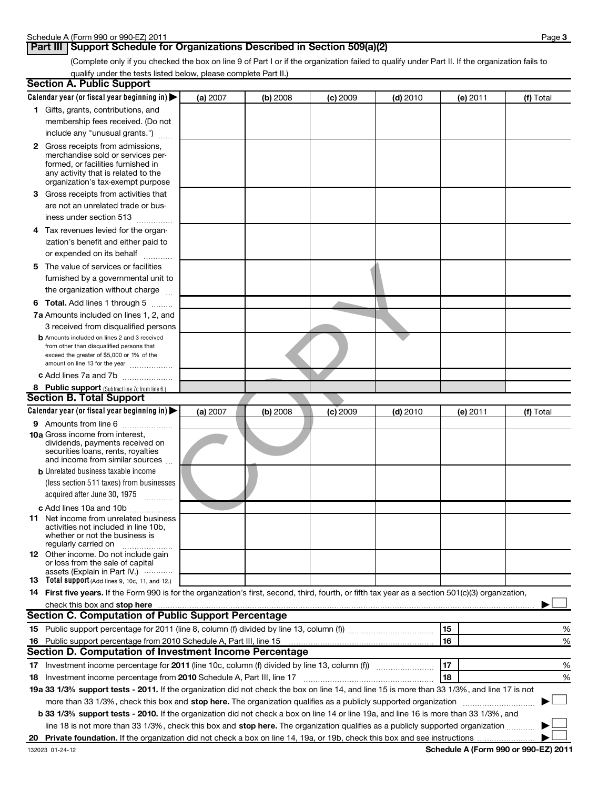# **Part III Support Schedule for Organizations Described in Section 509(a)(2)**

(Complete only if you checked the box on line 9 of Part I or if the organization failed to qualify under Part II. If the organization fails to qualify under the tests listed below, please complete Part II.)

|    | <b>Section A. Public Support</b>                                                                                                                    |          |          |            |            |          |           |
|----|-----------------------------------------------------------------------------------------------------------------------------------------------------|----------|----------|------------|------------|----------|-----------|
|    | Calendar year (or fiscal year beginning in)                                                                                                         | (a) 2007 | (b) 2008 | $(c)$ 2009 | $(d)$ 2010 | (e) 2011 | (f) Total |
|    | 1 Gifts, grants, contributions, and                                                                                                                 |          |          |            |            |          |           |
|    | membership fees received. (Do not                                                                                                                   |          |          |            |            |          |           |
|    | include any "unusual grants.")                                                                                                                      |          |          |            |            |          |           |
|    | 2 Gross receipts from admissions,                                                                                                                   |          |          |            |            |          |           |
|    | merchandise sold or services per-                                                                                                                   |          |          |            |            |          |           |
|    | formed, or facilities furnished in                                                                                                                  |          |          |            |            |          |           |
|    | any activity that is related to the                                                                                                                 |          |          |            |            |          |           |
|    | organization's tax-exempt purpose                                                                                                                   |          |          |            |            |          |           |
|    | 3 Gross receipts from activities that                                                                                                               |          |          |            |            |          |           |
|    | are not an unrelated trade or bus-                                                                                                                  |          |          |            |            |          |           |
|    | iness under section 513                                                                                                                             |          |          |            |            |          |           |
|    | 4 Tax revenues levied for the organ-                                                                                                                |          |          |            |            |          |           |
|    | ization's benefit and either paid to                                                                                                                |          |          |            |            |          |           |
|    | or expended on its behalf<br>.                                                                                                                      |          |          |            |            |          |           |
|    | 5 The value of services or facilities                                                                                                               |          |          |            |            |          |           |
|    | furnished by a governmental unit to                                                                                                                 |          |          |            |            |          |           |
|    | the organization without charge                                                                                                                     |          |          |            |            |          |           |
|    |                                                                                                                                                     |          |          |            |            |          |           |
|    | <b>6 Total.</b> Add lines 1 through 5                                                                                                               |          |          |            |            |          |           |
|    | 7a Amounts included on lines 1, 2, and                                                                                                              |          |          |            |            |          |           |
|    | 3 received from disqualified persons                                                                                                                |          |          |            |            |          |           |
|    | <b>b</b> Amounts included on lines 2 and 3 received                                                                                                 |          |          |            |            |          |           |
|    | from other than disqualified persons that<br>exceed the greater of \$5,000 or 1% of the                                                             |          |          |            |            |          |           |
|    | amount on line 13 for the year                                                                                                                      |          |          |            |            |          |           |
|    | c Add lines 7a and 7b                                                                                                                               |          |          |            |            |          |           |
|    | 8 Public support (Subtract line 7c from line 6.)                                                                                                    |          |          |            |            |          |           |
|    | <b>Section B. Total Support</b>                                                                                                                     |          |          |            |            |          |           |
|    | Calendar year (or fiscal year beginning in)                                                                                                         | (a) 2007 | (b) 2008 | $(c)$ 2009 | $(d)$ 2010 | (e) 2011 | (f) Total |
|    | 9 Amounts from line 6                                                                                                                               |          |          |            |            |          |           |
|    | <b>10a</b> Gross income from interest,                                                                                                              |          |          |            |            |          |           |
|    | dividends, payments received on                                                                                                                     |          |          |            |            |          |           |
|    | securities loans, rents, royalties                                                                                                                  |          |          |            |            |          |           |
|    | and income from similar sources                                                                                                                     |          |          |            |            |          |           |
|    | <b>b</b> Unrelated business taxable income                                                                                                          |          |          |            |            |          |           |
|    | (less section 511 taxes) from businesses                                                                                                            |          |          |            |            |          |           |
|    | acquired after June 30, 1975<br>1.1.1.1.1.1.1.1.1                                                                                                   |          |          |            |            |          |           |
|    | c Add lines 10a and 10b                                                                                                                             |          |          |            |            |          |           |
|    | <b>11</b> Net income from unrelated business                                                                                                        |          |          |            |            |          |           |
|    | activities not included in line 10b,                                                                                                                |          |          |            |            |          |           |
|    | whether or not the business is                                                                                                                      |          |          |            |            |          |           |
|    | regularly carried on<br>12 Other income. Do not include gain                                                                                        |          |          |            |            |          |           |
|    | or loss from the sale of capital                                                                                                                    |          |          |            |            |          |           |
|    | assets (Explain in Part IV.)                                                                                                                        |          |          |            |            |          |           |
|    | 13 Total support (Add lines 9, 10c, 11, and 12.)                                                                                                    |          |          |            |            |          |           |
|    | 14 First five years. If the Form 990 is for the organization's first, second, third, fourth, or fifth tax year as a section 501(c)(3) organization, |          |          |            |            |          |           |
|    |                                                                                                                                                     |          |          |            |            |          |           |
|    | <b>Section C. Computation of Public Support Percentage</b>                                                                                          |          |          |            |            |          |           |
|    |                                                                                                                                                     |          |          |            |            | 15       | %         |
| 16 | Public support percentage from 2010 Schedule A, Part III, line 15                                                                                   |          |          |            |            | 16       | %         |
|    | Section D. Computation of Investment Income Percentage                                                                                              |          |          |            |            |          |           |
|    | 17 Investment income percentage for 2011 (line 10c, column (f) divided by line 13, column (f))                                                      |          |          |            |            | 17       | %         |
|    | 18 Investment income percentage from 2010 Schedule A, Part III, line 17                                                                             |          |          |            |            | 18       | %         |
|    | 19a 33 1/3% support tests - 2011. If the organization did not check the box on line 14, and line 15 is more than 33 1/3%, and line 17 is not        |          |          |            |            |          |           |
|    | more than 33 1/3%, check this box and stop here. The organization qualifies as a publicly supported organization                                    |          |          |            |            |          |           |
|    | b 33 1/3% support tests - 2010. If the organization did not check a box on line 14 or line 19a, and line 16 is more than 33 1/3%, and               |          |          |            |            |          |           |
|    | line 18 is not more than 33 1/3%, check this box and stop here. The organization qualifies as a publicly supported organization                     |          |          |            |            |          |           |
|    |                                                                                                                                                     |          |          |            |            |          |           |
|    |                                                                                                                                                     |          |          |            |            |          |           |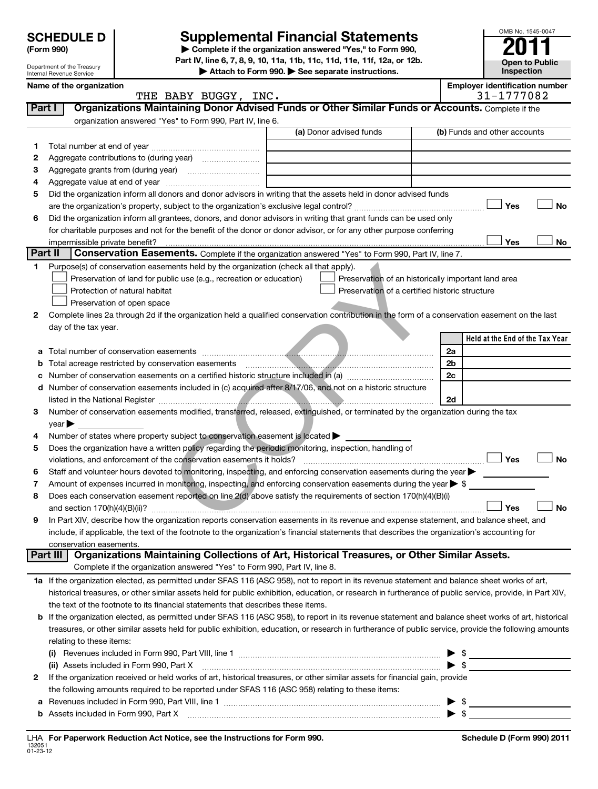# **(Form 990) | Complete if the organization answered "Yes," to Form 990, Supplemental Financial Statements**

**Part IV, line 6, 7, 8, 9, 10, 11a, 11b, 11c, 11d, 11e, 11f, 12a, or 12b.**

**| Attach to Form 990. | See separate instructions.**

|         | Department of the Treasury<br>Internal Revenue Service |                          |                                                    |                                                                                       | Attach to Form 990. See separate instructions.                                                                                                             |    |                                       | Inspection |
|---------|--------------------------------------------------------|--------------------------|----------------------------------------------------|---------------------------------------------------------------------------------------|------------------------------------------------------------------------------------------------------------------------------------------------------------|----|---------------------------------------|------------|
|         |                                                        | Name of the organization |                                                    |                                                                                       |                                                                                                                                                            |    | <b>Employer identification number</b> |            |
|         |                                                        |                          |                                                    | THE BABY BUGGY, INC.                                                                  |                                                                                                                                                            |    | 31-1777082                            |            |
|         | Part I                                                 |                          |                                                    |                                                                                       | Organizations Maintaining Donor Advised Funds or Other Similar Funds or Accounts. Complete if the                                                          |    |                                       |            |
|         |                                                        |                          |                                                    | organization answered "Yes" to Form 990, Part IV, line 6.                             |                                                                                                                                                            |    |                                       |            |
|         |                                                        |                          |                                                    |                                                                                       | (a) Donor advised funds                                                                                                                                    |    | (b) Funds and other accounts          |            |
| 1.      |                                                        |                          |                                                    |                                                                                       |                                                                                                                                                            |    |                                       |            |
| 2       |                                                        |                          |                                                    |                                                                                       |                                                                                                                                                            |    |                                       |            |
| 3       |                                                        |                          |                                                    |                                                                                       |                                                                                                                                                            |    |                                       |            |
| 4       |                                                        |                          |                                                    |                                                                                       |                                                                                                                                                            |    |                                       |            |
| 5       |                                                        |                          |                                                    |                                                                                       | Did the organization inform all donors and donor advisors in writing that the assets held in donor advised funds                                           |    |                                       |            |
|         |                                                        |                          |                                                    |                                                                                       |                                                                                                                                                            |    | Yes                                   | No         |
| 6       |                                                        |                          |                                                    |                                                                                       | Did the organization inform all grantees, donors, and donor advisors in writing that grant funds can be used only                                          |    |                                       |            |
|         |                                                        |                          |                                                    |                                                                                       | for charitable purposes and not for the benefit of the donor or donor advisor, or for any other purpose conferring                                         |    | Yes                                   |            |
| Part II |                                                        |                          | impermissible private benefit?                     |                                                                                       | <b>Conservation Easements.</b> Complete if the organization answered "Yes" to Form 990, Part IV, line 7.                                                   |    |                                       | No         |
| 1.      |                                                        |                          |                                                    | Purpose(s) of conservation easements held by the organization (check all that apply). |                                                                                                                                                            |    |                                       |            |
|         |                                                        |                          |                                                    | Preservation of land for public use (e.g., recreation or education)                   | Preservation of an historically important land area                                                                                                        |    |                                       |            |
|         |                                                        |                          | Protection of natural habitat                      |                                                                                       | Preservation of a certified historic structure                                                                                                             |    |                                       |            |
|         |                                                        |                          | Preservation of open space                         |                                                                                       |                                                                                                                                                            |    |                                       |            |
| 2       |                                                        |                          |                                                    |                                                                                       | Complete lines 2a through 2d if the organization held a qualified conservation contribution in the form of a conservation easement on the last             |    |                                       |            |
|         |                                                        | day of the tax year.     |                                                    |                                                                                       |                                                                                                                                                            |    |                                       |            |
|         |                                                        |                          |                                                    |                                                                                       |                                                                                                                                                            |    | Held at the End of the Tax Year       |            |
| а       |                                                        |                          |                                                    |                                                                                       |                                                                                                                                                            | 2a |                                       |            |
| b       |                                                        |                          | Total acreage restricted by conservation easements |                                                                                       |                                                                                                                                                            | 2b |                                       |            |
|         |                                                        |                          |                                                    |                                                                                       |                                                                                                                                                            | 2c |                                       |            |
| d       |                                                        |                          |                                                    |                                                                                       | Number of conservation easements included in (c) acquired after 8/17/06, and not on a historic structure                                                   |    |                                       |            |
|         |                                                        |                          |                                                    |                                                                                       |                                                                                                                                                            | 2d |                                       |            |
| 3       |                                                        |                          |                                                    |                                                                                       | Number of conservation easements modified, transferred, released, extinguished, or terminated by the organization during the tax                           |    |                                       |            |
|         | year                                                   |                          |                                                    |                                                                                       |                                                                                                                                                            |    |                                       |            |
| 4       |                                                        |                          |                                                    | Number of states where property subject to conservation easement is located >         |                                                                                                                                                            |    |                                       |            |
| 5       |                                                        |                          |                                                    |                                                                                       | Does the organization have a written policy regarding the periodic monitoring, inspection, handling of                                                     |    |                                       | <b>No</b>  |
|         |                                                        |                          |                                                    | violations, and enforcement of the conservation easements it holds?                   | Staff and volunteer hours devoted to monitoring, inspecting, and enforcing conservation easements during the year                                          |    | Yes                                   |            |
| 6       |                                                        |                          |                                                    |                                                                                       | Amount of expenses incurred in monitoring, inspecting, and enforcing conservation easements during the year $\triangleright$ \$                            |    |                                       |            |
| 7<br>8  |                                                        |                          |                                                    |                                                                                       | Does each conservation easement reported on line 2(d) above satisfy the requirements of section 170(h)(4)(B)(i)                                            |    |                                       |            |
|         |                                                        |                          |                                                    |                                                                                       |                                                                                                                                                            |    | Yes                                   | No         |
| 9       |                                                        |                          |                                                    |                                                                                       | In Part XIV, describe how the organization reports conservation easements in its revenue and expense statement, and balance sheet, and                     |    |                                       |            |
|         |                                                        |                          |                                                    |                                                                                       | include, if applicable, the text of the footnote to the organization's financial statements that describes the organization's accounting for               |    |                                       |            |
|         |                                                        | conservation easements.  |                                                    |                                                                                       |                                                                                                                                                            |    |                                       |            |
|         | Part III                                               |                          |                                                    |                                                                                       | Organizations Maintaining Collections of Art, Historical Treasures, or Other Similar Assets.                                                               |    |                                       |            |
|         |                                                        |                          |                                                    | Complete if the organization answered "Yes" to Form 990, Part IV, line 8.             |                                                                                                                                                            |    |                                       |            |
|         |                                                        |                          |                                                    |                                                                                       | 1a If the organization elected, as permitted under SFAS 116 (ASC 958), not to report in its revenue statement and balance sheet works of art,              |    |                                       |            |
|         |                                                        |                          |                                                    |                                                                                       | historical treasures, or other similar assets held for public exhibition, education, or research in furtherance of public service, provide, in Part XIV,   |    |                                       |            |
|         |                                                        |                          |                                                    | the text of the footnote to its financial statements that describes these items.      |                                                                                                                                                            |    |                                       |            |
|         |                                                        |                          |                                                    |                                                                                       | <b>b</b> If the organization elected, as permitted under SFAS 116 (ASC 958), to report in its revenue statement and balance sheet works of art, historical |    |                                       |            |
|         |                                                        |                          |                                                    |                                                                                       | treasures, or other similar assets held for public exhibition, education, or research in furtherance of public service, provide the following amounts      |    |                                       |            |
|         |                                                        | relating to these items: |                                                    |                                                                                       |                                                                                                                                                            |    |                                       |            |
|         |                                                        |                          |                                                    |                                                                                       |                                                                                                                                                            |    |                                       |            |
|         |                                                        |                          | (ii) Assets included in Form 990, Part X           |                                                                                       |                                                                                                                                                            |    | $\blacktriangleright$ \$              |            |
| 2       |                                                        |                          |                                                    |                                                                                       | If the organization received or held works of art, historical treasures, or other similar assets for financial gain, provide                               |    |                                       |            |
|         |                                                        |                          |                                                    |                                                                                       | the following amounts required to be reported under SFAS 116 (ASC 958) relating to these items:                                                            |    |                                       |            |
| а       |                                                        |                          |                                                    |                                                                                       |                                                                                                                                                            |    | $\triangleright$ \$                   |            |
|         |                                                        |                          |                                                    |                                                                                       | Assets included in Form 990, Part X [11, 2006] [2010] Assets included in Form 990, Part X [2010] [2010] [2010                                              |    |                                       |            |

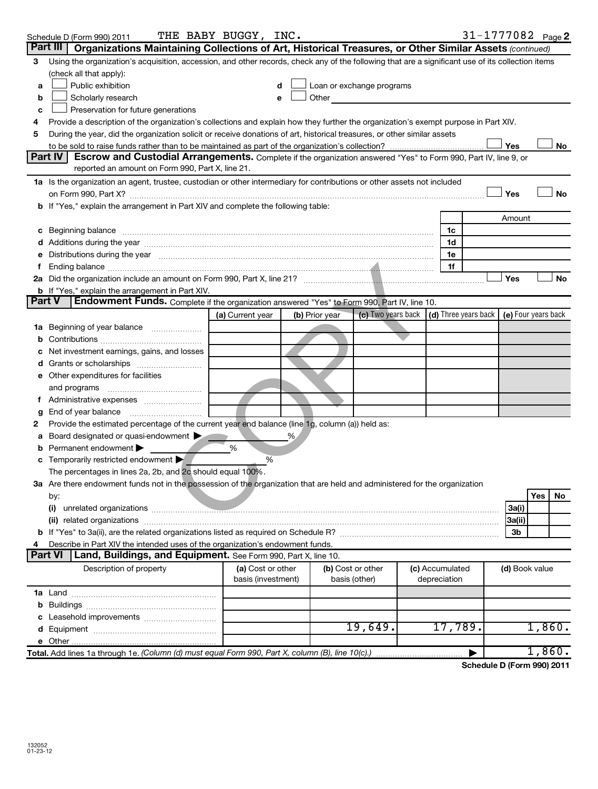|    | Schedule D (Form 990) 2011                                                                                                                                                                                                     | THE BABY BUGGY, INC.                    |   |                |                                                                                                                                                                                                                                |                                 |                | 31-1777082 $_{Page}$ 2 |    |
|----|--------------------------------------------------------------------------------------------------------------------------------------------------------------------------------------------------------------------------------|-----------------------------------------|---|----------------|--------------------------------------------------------------------------------------------------------------------------------------------------------------------------------------------------------------------------------|---------------------------------|----------------|------------------------|----|
|    | Part III<br>Organizations Maintaining Collections of Art, Historical Treasures, or Other Similar Assets (continued)                                                                                                            |                                         |   |                |                                                                                                                                                                                                                                |                                 |                |                        |    |
| 3  | Using the organization's acquisition, accession, and other records, check any of the following that are a significant use of its collection items                                                                              |                                         |   |                |                                                                                                                                                                                                                                |                                 |                |                        |    |
|    | (check all that apply):                                                                                                                                                                                                        |                                         |   |                |                                                                                                                                                                                                                                |                                 |                |                        |    |
| a  | Public exhibition                                                                                                                                                                                                              | d                                       |   |                | Loan or exchange programs                                                                                                                                                                                                      |                                 |                |                        |    |
| b  | Scholarly research                                                                                                                                                                                                             | e                                       |   |                | Other and the control of the control of the control of the control of the control of the control of the control of the control of the control of the control of the control of the control of the control of the control of th |                                 |                |                        |    |
| с  | Preservation for future generations                                                                                                                                                                                            |                                         |   |                |                                                                                                                                                                                                                                |                                 |                |                        |    |
| 4  | Provide a description of the organization's collections and explain how they further the organization's exempt purpose in Part XIV.                                                                                            |                                         |   |                |                                                                                                                                                                                                                                |                                 |                |                        |    |
| 5  | During the year, did the organization solicit or receive donations of art, historical treasures, or other similar assets                                                                                                       |                                         |   |                |                                                                                                                                                                                                                                |                                 |                |                        |    |
|    |                                                                                                                                                                                                                                |                                         |   |                |                                                                                                                                                                                                                                |                                 | Yes            |                        | No |
|    | Part IV<br>Escrow and Custodial Arrangements. Complete if the organization answered "Yes" to Form 990, Part IV, line 9, or                                                                                                     |                                         |   |                |                                                                                                                                                                                                                                |                                 |                |                        |    |
|    | reported an amount on Form 990, Part X, line 21.                                                                                                                                                                               |                                         |   |                |                                                                                                                                                                                                                                |                                 |                |                        |    |
|    | 1a Is the organization an agent, trustee, custodian or other intermediary for contributions or other assets not included                                                                                                       |                                         |   |                |                                                                                                                                                                                                                                |                                 |                |                        |    |
|    |                                                                                                                                                                                                                                |                                         |   |                |                                                                                                                                                                                                                                |                                 | Yes            | <b>No</b>              |    |
|    | b If "Yes," explain the arrangement in Part XIV and complete the following table:                                                                                                                                              |                                         |   |                |                                                                                                                                                                                                                                |                                 |                |                        |    |
|    |                                                                                                                                                                                                                                |                                         |   |                |                                                                                                                                                                                                                                |                                 | Amount         |                        |    |
| c  | Beginning balance measurements are all the contract of the contract of the contract of the contract of the contract of the contract of the contract of the contract of the contract of the contract of the contract of the con |                                         |   |                |                                                                                                                                                                                                                                | 1c                              |                |                        |    |
|    |                                                                                                                                                                                                                                |                                         |   |                |                                                                                                                                                                                                                                | 1d                              |                |                        |    |
|    | Distributions during the year manufactured and an experimental control of the year manufactured and the year manufactured and the year manufactured and the year manufactured and the year manufactured and the state of the s |                                         |   |                |                                                                                                                                                                                                                                | 1е<br>1f                        |                |                        |    |
|    |                                                                                                                                                                                                                                |                                         |   |                |                                                                                                                                                                                                                                |                                 | Yes            | No                     |    |
|    | <b>b</b> If "Yes," explain the arrangement in Part XIV.                                                                                                                                                                        |                                         |   |                |                                                                                                                                                                                                                                |                                 |                |                        |    |
|    | Endowment Funds. Complete if the organization answered "Yes" to Form 990, Part IV, line 10.<br>Part V                                                                                                                          |                                         |   |                |                                                                                                                                                                                                                                |                                 |                |                        |    |
|    |                                                                                                                                                                                                                                | (a) Current year                        |   | (b) Prior year | (c) Two years back $\vert$ (d) Three years back $\vert$                                                                                                                                                                        |                                 |                | (e) Four years back    |    |
| 1a | Beginning of year balance                                                                                                                                                                                                      |                                         |   |                |                                                                                                                                                                                                                                |                                 |                |                        |    |
| b  |                                                                                                                                                                                                                                |                                         |   |                |                                                                                                                                                                                                                                |                                 |                |                        |    |
|    | Net investment earnings, gains, and losses                                                                                                                                                                                     |                                         |   |                |                                                                                                                                                                                                                                |                                 |                |                        |    |
| d  | Grants or scholarships                                                                                                                                                                                                         |                                         |   |                |                                                                                                                                                                                                                                |                                 |                |                        |    |
|    | Other expenditures for facilities                                                                                                                                                                                              |                                         |   |                |                                                                                                                                                                                                                                |                                 |                |                        |    |
|    | and programs                                                                                                                                                                                                                   |                                         |   |                |                                                                                                                                                                                                                                |                                 |                |                        |    |
|    |                                                                                                                                                                                                                                |                                         |   |                |                                                                                                                                                                                                                                |                                 |                |                        |    |
|    | End of year balance                                                                                                                                                                                                            |                                         |   |                |                                                                                                                                                                                                                                |                                 |                |                        |    |
| 2  | Provide the estimated percentage of the current year end balance (line 1g, column (a)) held as:                                                                                                                                |                                         |   |                |                                                                                                                                                                                                                                |                                 |                |                        |    |
| а  | Board designated or quasi-endowment                                                                                                                                                                                            |                                         | ℅ |                |                                                                                                                                                                                                                                |                                 |                |                        |    |
|    | Permanent endowment                                                                                                                                                                                                            | %                                       |   |                |                                                                                                                                                                                                                                |                                 |                |                        |    |
|    | Temporarily restricted endowment                                                                                                                                                                                               | %                                       |   |                |                                                                                                                                                                                                                                |                                 |                |                        |    |
|    | The percentages in lines 2a, 2b, and 2c should equal 100%.                                                                                                                                                                     |                                         |   |                |                                                                                                                                                                                                                                |                                 |                |                        |    |
|    | 3a Are there endowment funds not in the possession of the organization that are held and administered for the organization                                                                                                     |                                         |   |                |                                                                                                                                                                                                                                |                                 |                |                        |    |
|    | by:                                                                                                                                                                                                                            |                                         |   |                |                                                                                                                                                                                                                                |                                 |                | Yes<br>No              |    |
|    | (i)                                                                                                                                                                                                                            |                                         |   |                |                                                                                                                                                                                                                                |                                 | 3a(i)          |                        |    |
|    |                                                                                                                                                                                                                                |                                         |   |                |                                                                                                                                                                                                                                |                                 | 3a(ii)         |                        |    |
|    |                                                                                                                                                                                                                                |                                         |   |                |                                                                                                                                                                                                                                |                                 | 3b             |                        |    |
| 4  | Describe in Part XIV the intended uses of the organization's endowment funds.                                                                                                                                                  |                                         |   |                |                                                                                                                                                                                                                                |                                 |                |                        |    |
|    | <b>Part VI</b><br>Land, Buildings, and Equipment. See Form 990, Part X, line 10.                                                                                                                                               |                                         |   |                |                                                                                                                                                                                                                                |                                 |                |                        |    |
|    | Description of property                                                                                                                                                                                                        | (a) Cost or other<br>basis (investment) |   |                | (b) Cost or other<br>basis (other)                                                                                                                                                                                             | (c) Accumulated<br>depreciation | (d) Book value |                        |    |
|    |                                                                                                                                                                                                                                |                                         |   |                |                                                                                                                                                                                                                                |                                 |                |                        |    |
| b  |                                                                                                                                                                                                                                |                                         |   |                |                                                                                                                                                                                                                                |                                 |                |                        |    |
|    | Leasehold improvements                                                                                                                                                                                                         |                                         |   |                |                                                                                                                                                                                                                                |                                 |                |                        |    |
| d  |                                                                                                                                                                                                                                |                                         |   |                | 19,649.                                                                                                                                                                                                                        | 17,789.                         |                | 1,860.                 |    |
|    |                                                                                                                                                                                                                                |                                         |   |                |                                                                                                                                                                                                                                |                                 |                |                        |    |
|    | Total. Add lines 1a through 1e. (Column (d) must equal Form 990, Part X, column (B), line 10(c).)                                                                                                                              |                                         |   |                |                                                                                                                                                                                                                                |                                 | $R$ $R$ $\sim$ | 1,860.                 |    |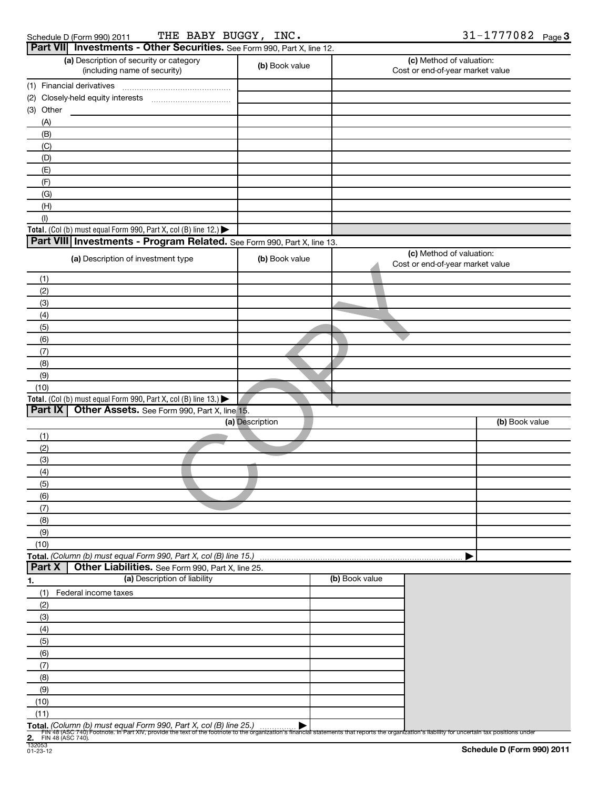| Schedule D (Form 990) 2011 |  |
|----------------------------|--|
|                            |  |

Schedule D (Form 990) 2011 THE BABY BUGGY, INC .  $\text{M}$  and  $\text{M}$  and  $\text{M}$   $\text{M}$   $\text{M}$   $\text{M}$   $\text{M}$   $\text{M}$ THE BABY BUGGY, INC.  $31-1777082$ 

| Part VII Investments - Other Securities. See Form 990, Part X, line 12.                                                                                                                                               |                 |                |                                                              |                            |
|-----------------------------------------------------------------------------------------------------------------------------------------------------------------------------------------------------------------------|-----------------|----------------|--------------------------------------------------------------|----------------------------|
| (a) Description of security or category<br>(including name of security)                                                                                                                                               | (b) Book value  |                | (c) Method of valuation:<br>Cost or end-of-year market value |                            |
| (1) Financial derivatives                                                                                                                                                                                             |                 |                |                                                              |                            |
|                                                                                                                                                                                                                       |                 |                |                                                              |                            |
| (3) Other                                                                                                                                                                                                             |                 |                |                                                              |                            |
| (A)                                                                                                                                                                                                                   |                 |                |                                                              |                            |
| (B)                                                                                                                                                                                                                   |                 |                |                                                              |                            |
| (C)                                                                                                                                                                                                                   |                 |                |                                                              |                            |
| (D)                                                                                                                                                                                                                   |                 |                |                                                              |                            |
| (E)                                                                                                                                                                                                                   |                 |                |                                                              |                            |
| (F)                                                                                                                                                                                                                   |                 |                |                                                              |                            |
| (G)                                                                                                                                                                                                                   |                 |                |                                                              |                            |
| (H)                                                                                                                                                                                                                   |                 |                |                                                              |                            |
| (1)<br>Total. (Col (b) must equal Form 990, Part X, col (B) line 12.)                                                                                                                                                 |                 |                |                                                              |                            |
| Part VIII Investments - Program Related. See Form 990, Part X, line 13.                                                                                                                                               |                 |                |                                                              |                            |
|                                                                                                                                                                                                                       |                 |                | (c) Method of valuation:                                     |                            |
| (a) Description of investment type                                                                                                                                                                                    | (b) Book value  |                | Cost or end-of-year market value                             |                            |
| (1)                                                                                                                                                                                                                   |                 |                |                                                              |                            |
| (2)                                                                                                                                                                                                                   |                 |                |                                                              |                            |
| (3)                                                                                                                                                                                                                   |                 |                |                                                              |                            |
| (4)                                                                                                                                                                                                                   |                 |                |                                                              |                            |
| (5)<br>(6)                                                                                                                                                                                                            |                 |                |                                                              |                            |
| (7)                                                                                                                                                                                                                   |                 |                |                                                              |                            |
| (8)                                                                                                                                                                                                                   |                 |                |                                                              |                            |
| (9)                                                                                                                                                                                                                   |                 |                |                                                              |                            |
| (10)                                                                                                                                                                                                                  |                 |                |                                                              |                            |
| Total. (Col (b) must equal Form 990, Part X, col (B) line 13.) $\blacktriangleright$                                                                                                                                  |                 |                |                                                              |                            |
| Part IX   Other Assets. See Form 990, Part X, line 15.                                                                                                                                                                |                 |                |                                                              |                            |
|                                                                                                                                                                                                                       | (a) Description |                |                                                              | (b) Book value             |
| (1)                                                                                                                                                                                                                   |                 |                |                                                              |                            |
| (2)                                                                                                                                                                                                                   |                 |                |                                                              |                            |
| (3)                                                                                                                                                                                                                   |                 |                |                                                              |                            |
| (4)                                                                                                                                                                                                                   |                 |                |                                                              |                            |
| (5)                                                                                                                                                                                                                   |                 |                |                                                              |                            |
| (6)                                                                                                                                                                                                                   |                 |                |                                                              |                            |
| (7)                                                                                                                                                                                                                   |                 |                |                                                              |                            |
| (8)                                                                                                                                                                                                                   |                 |                |                                                              |                            |
| (9)                                                                                                                                                                                                                   |                 |                |                                                              |                            |
| (10)                                                                                                                                                                                                                  |                 |                |                                                              |                            |
| Total. (Column (b) must equal Form 990, Part X, col (B) line 15.)                                                                                                                                                     |                 |                |                                                              |                            |
| Part X<br>Other Liabilities. See Form 990, Part X, line 25.                                                                                                                                                           |                 |                |                                                              |                            |
| (a) Description of liability<br>1.                                                                                                                                                                                    |                 | (b) Book value |                                                              |                            |
| (1)<br>Federal income taxes                                                                                                                                                                                           |                 |                |                                                              |                            |
| (2)                                                                                                                                                                                                                   |                 |                |                                                              |                            |
| (3)                                                                                                                                                                                                                   |                 |                |                                                              |                            |
| (4)                                                                                                                                                                                                                   |                 |                |                                                              |                            |
| (5)                                                                                                                                                                                                                   |                 |                |                                                              |                            |
| (6)                                                                                                                                                                                                                   |                 |                |                                                              |                            |
| (7)                                                                                                                                                                                                                   |                 |                |                                                              |                            |
| (8)<br>(9)                                                                                                                                                                                                            |                 |                |                                                              |                            |
| (10)                                                                                                                                                                                                                  |                 |                |                                                              |                            |
| (11)                                                                                                                                                                                                                  |                 |                |                                                              |                            |
| Total. (Column (b) must equal Form 990, Part X, col (B) line 25.)                                                                                                                                                     |                 |                |                                                              |                            |
| Fily 48 (ASC 740) Footnote. In Part XIV, provide the text of the footnote to the organization's financial statements that reports the organization's liability for uncertain tax positions under<br>FIN 48 (ASC 740). |                 |                |                                                              |                            |
| 2. Find 132053                                                                                                                                                                                                        |                 |                |                                                              | Schedule D (Form 990) 2011 |
| $01 - 23 - 12$                                                                                                                                                                                                        |                 |                |                                                              |                            |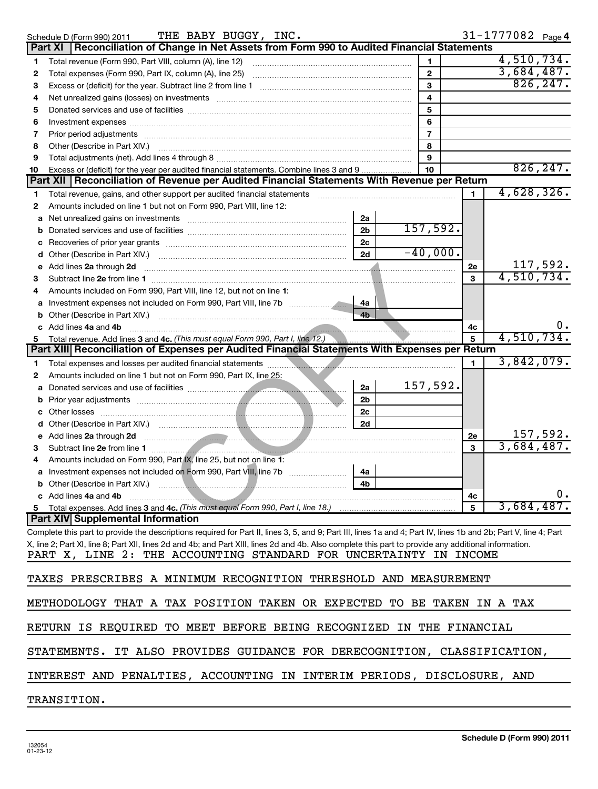|        | THE BABY BUGGY, INC.<br>Schedule D (Form 990) 2011                                                                                                                                                                             |                |              | 31-1777082 Page 4 |
|--------|--------------------------------------------------------------------------------------------------------------------------------------------------------------------------------------------------------------------------------|----------------|--------------|-------------------|
|        | Reconciliation of Change in Net Assets from Form 990 to Audited Financial Statements<br>Part XI                                                                                                                                |                |              |                   |
| 1      | Total revenue (Form 990, Part VIII, column (A), line 12)                                                                                                                                                                       | 1              |              | 4,510,734.        |
| 2      | Total expenses (Form 990, Part IX, column (A), line 25)                                                                                                                                                                        | $\mathbf{2}$   |              | 3,684,487.        |
| 3      |                                                                                                                                                                                                                                | 3              |              | 826, 247.         |
| 4      | Net unrealized gains (losses) on investments [111] matter in the contract of the contract of the contract of the contract of the contract of the contract of the contract of the contract of the contract of the contract of t | 4              |              |                   |
| 5      |                                                                                                                                                                                                                                | 5              |              |                   |
| 6      |                                                                                                                                                                                                                                | 6              |              |                   |
| 7      |                                                                                                                                                                                                                                | $\overline{7}$ |              |                   |
| 8      | Other (Describe in Part XIV.)                                                                                                                                                                                                  | 8              |              |                   |
| 9      |                                                                                                                                                                                                                                | 9              |              |                   |
| 10     | Excess or (deficit) for the year per audited financial statements. Combine lines 3 and 9                                                                                                                                       | 10             |              | 826, 247.         |
|        | Part XII   Reconciliation of Revenue per Audited Financial Statements With Revenue per Return                                                                                                                                  |                |              | 4,628,326.        |
| 1      | Total revenue, gains, and other support per audited financial statements                                                                                                                                                       |                | $\mathbf{1}$ |                   |
| 2      | Amounts included on line 1 but not on Form 990, Part VIII, line 12:                                                                                                                                                            |                |              |                   |
| a      | 2a<br>Net unrealized gains on investments                                                                                                                                                                                      | 157,592.       |              |                   |
| b      | 2 <sub>b</sub>                                                                                                                                                                                                                 |                |              |                   |
| c      | 2c<br>2d                                                                                                                                                                                                                       | $-40,000.$     |              |                   |
| d      | Other (Describe in Part XIV.)<br>Add lines 2a through 2d                                                                                                                                                                       |                |              | 117,592.          |
| е<br>3 |                                                                                                                                                                                                                                |                | 2e<br>3      | 4,510,734.        |
| 4      | Amounts included on Form 990, Part VIII, line 12, but not on line 1:                                                                                                                                                           |                |              |                   |
| a      | 4a                                                                                                                                                                                                                             |                |              |                   |
| b      | 4 <sub>b</sub><br>Other (Describe in Part XIV.)                                                                                                                                                                                |                |              |                   |
| C.     | Add lines 4a and 4b                                                                                                                                                                                                            |                | 4c           |                   |
| 5      | Total revenue. Add lines 3 and 4c. (This must equal Form 990, Part I, line 12.)                                                                                                                                                |                | 5            | 4,510,734.        |
|        | Part XIII Reconciliation of Expenses per Audited Financial Statements With Expenses per Return                                                                                                                                 |                |              |                   |
| 1      |                                                                                                                                                                                                                                |                | $\mathbf{1}$ | 3,842,079.        |
| 2      | Amounts included on line 1 but not on Form 990, Part IX, line 25:                                                                                                                                                              |                |              |                   |
| a      | 2a                                                                                                                                                                                                                             | 157,592.       |              |                   |
| b      | 2 <sub>b</sub>                                                                                                                                                                                                                 |                |              |                   |
| с      | 2 <sub>c</sub><br>Other losses                                                                                                                                                                                                 |                |              |                   |
| d      | 2d                                                                                                                                                                                                                             |                |              |                   |
| е      | Add lines 2a through 2d                                                                                                                                                                                                        |                | 2e           | 157,592.          |
| 3      | Subtract line 2e from line 1                                                                                                                                                                                                   |                | 3            | 3,684,487.        |
| 4      | Amounts included on Form 990, Part IX, line 25, but not on line 1:                                                                                                                                                             |                |              |                   |
|        | 4a                                                                                                                                                                                                                             |                |              |                   |
|        | 4 <sub>b</sub>                                                                                                                                                                                                                 |                |              |                   |
|        | c Add lines 4a and 4b                                                                                                                                                                                                          |                | 4с           | υ.                |
|        |                                                                                                                                                                                                                                |                | 5            | 3,684,487.        |
|        | <b>Part XIV Supplemental Information</b>                                                                                                                                                                                       |                |              |                   |
|        | Complete this part to provide the descriptions required for Part II, lines 3, 5, and 9; Part III, lines 1a and 4; Part IV, lines 1b and 2b; Part V, line 4; Part                                                               |                |              |                   |
|        | X, line 2; Part XI, line 8; Part XII, lines 2d and 4b; and Part XIII, lines 2d and 4b. Also complete this part to provide any additional information.                                                                          |                |              |                   |
|        | PART X, LINE 2: THE ACCOUNTING STANDARD FOR UNCERTAINTY IN INCOME                                                                                                                                                              |                |              |                   |
|        | TAXES PRESCRIBES A MINIMUM RECOGNITION THRESHOLD AND MEASUREMENT                                                                                                                                                               |                |              |                   |
|        | METHODOLOGY THAT A TAX POSITION TAKEN OR EXPECTED TO BE TAKEN IN A TAX                                                                                                                                                         |                |              |                   |
|        | RETURN IS REQUIRED TO MEET BEFORE BEING RECOGNIZED IN THE FINANCIAL                                                                                                                                                            |                |              |                   |
|        | STATEMENTS. IT ALSO PROVIDES GUIDANCE FOR DERECOGNITION, CLASSIFICATION,                                                                                                                                                       |                |              |                   |
|        | INTEREST AND PENALTIES, ACCOUNTING IN INTERIM PERIODS, DISCLOSURE, AND                                                                                                                                                         |                |              |                   |
|        | TRANSITION.                                                                                                                                                                                                                    |                |              |                   |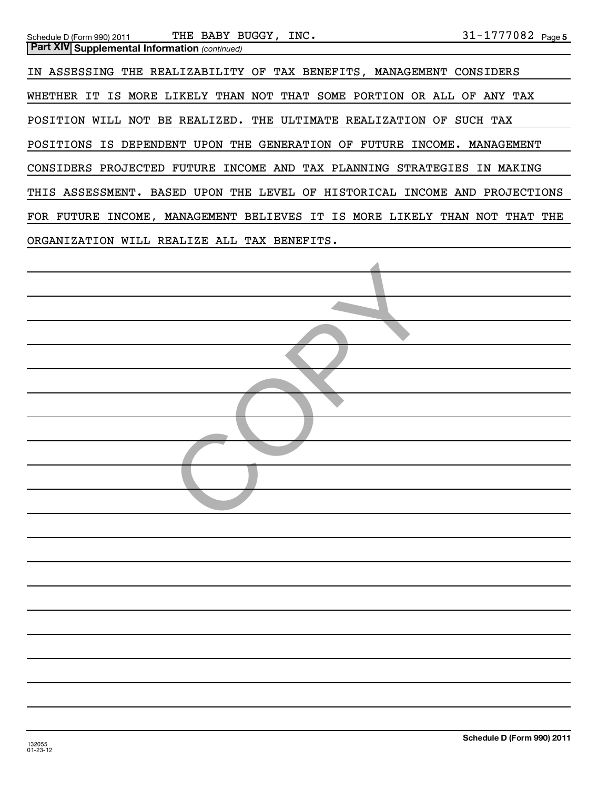| THE BABY BUGGY, INC.<br>Schedule D (Form 990) 2011                                       | $31 - 1777082$ Page 5      |
|------------------------------------------------------------------------------------------|----------------------------|
| <b>Part XIV Supplemental Information (continued)</b>                                     |                            |
| IN ASSESSING THE REALIZABILITY OF TAX BENEFITS, MANAGEMENT CONSIDERS                     |                            |
| IS MORE LIKELY THAN NOT THAT SOME PORTION OR ALL<br>WHETHER IT                           | OF ANY TAX                 |
| ULTIMATE<br>BE REALIZED.<br>THE<br>REALIZATION<br>POSITION<br>WILL NOT<br>OF.            | SUCH TAX                   |
| <b>GENERATION</b><br>IS DEPENDENT<br>UPON<br>THE<br>FUTURE<br>INCOME.<br>POSITIONS<br>OF | MANAGEMENT                 |
| FUTURE INCOME AND<br><b>TAX PLANNING</b><br>CONSIDERS PROJECTED<br>STRATEGIES            | MAKING<br>ΙN.              |
| THIS ASSESSMENT. BASED UPON<br>LEVEL<br>HISTORICAL<br>THE<br>OF<br><b>INCOME</b>         | AND<br>PROJECTIONS         |
| INCOME, MANAGEMENT BELIEVES<br>IT IS MORE LIKELY<br>FOR FUTURE                           | THAN<br>THAT<br>THE<br>NOT |
| WILL REALIZE ALL TAX BENEFITS.<br>ORGANIZATION                                           |                            |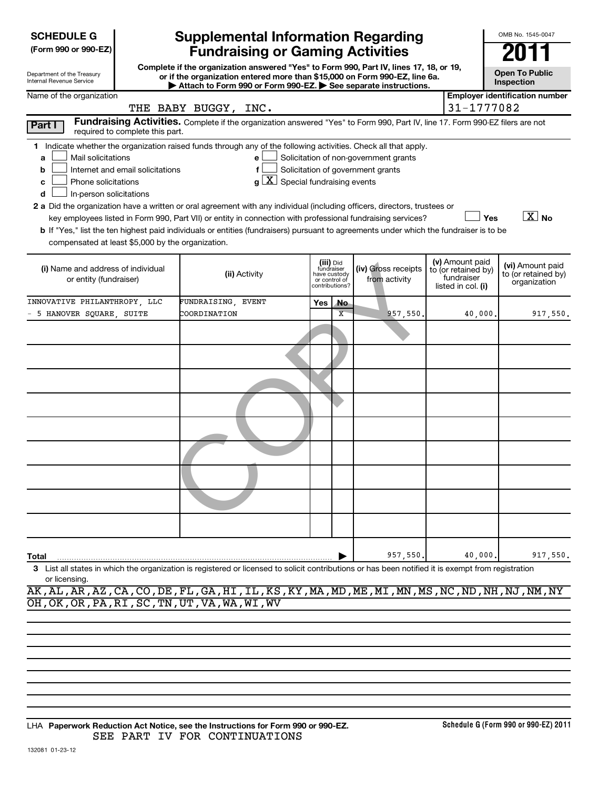| <b>SCHEDULE G</b> |
|-------------------|
|-------------------|

| (Form 990 or 990-EZ) |  |  |  |  |
|----------------------|--|--|--|--|
|----------------------|--|--|--|--|

Department of the Treasury Internal Revenue Service

# **Supplemental Information Regarding Fundraising or Gaming Activities 2011**

**Complete if the organization answered "Yes" to Form 990, Part IV, lines 17, 18, or 19, or if the organization entered more than \$15,000 on Form 990-EZ, line 6a. | Attach to Form 990 or Form 990-EZ. | See separate instructions.**

| <b>Open To Public</b> |
|-----------------------|

OMB No. 1545-0047

| Inspection |
|------------|
|------------|

| Name of the organization                                                                                                               |                                                                                                                               |     |                                                                            |                                       |                                                                            | <b>Employer identification number</b>                   |
|----------------------------------------------------------------------------------------------------------------------------------------|-------------------------------------------------------------------------------------------------------------------------------|-----|----------------------------------------------------------------------------|---------------------------------------|----------------------------------------------------------------------------|---------------------------------------------------------|
|                                                                                                                                        | THE BABY BUGGY, INC.                                                                                                          |     |                                                                            |                                       | 31-1777082                                                                 |                                                         |
| Part I<br>required to complete this part.                                                                                              | Fundraising Activities. Complete if the organization answered "Yes" to Form 990, Part IV, line 17. Form 990-EZ filers are not |     |                                                                            |                                       |                                                                            |                                                         |
| Indicate whether the organization raised funds through any of the following activities. Check all that apply.<br>1.                    |                                                                                                                               |     |                                                                            |                                       |                                                                            |                                                         |
| Mail solicitations<br>a                                                                                                                | e                                                                                                                             |     |                                                                            | Solicitation of non-government grants |                                                                            |                                                         |
| Internet and email solicitations<br>b                                                                                                  | $\mathbf f$                                                                                                                   |     |                                                                            | Solicitation of government grants     |                                                                            |                                                         |
| Phone solicitations<br>c                                                                                                               | $g\left[\overline{X}\right]$ Special fundraising events                                                                       |     |                                                                            |                                       |                                                                            |                                                         |
| In-person solicitations<br>d                                                                                                           |                                                                                                                               |     |                                                                            |                                       |                                                                            |                                                         |
| 2 a Did the organization have a written or oral agreement with any individual (including officers, directors, trustees or              |                                                                                                                               |     |                                                                            |                                       |                                                                            |                                                         |
| key employees listed in Form 990, Part VII) or entity in connection with professional fundraising services?                            |                                                                                                                               |     |                                                                            |                                       | Yes                                                                        | $\boxed{\text{X}}$ No                                   |
| b If "Yes," list the ten highest paid individuals or entities (fundraisers) pursuant to agreements under which the fundraiser is to be |                                                                                                                               |     |                                                                            |                                       |                                                                            |                                                         |
| compensated at least \$5,000 by the organization.                                                                                      |                                                                                                                               |     |                                                                            |                                       |                                                                            |                                                         |
| (i) Name and address of individual<br>or entity (fundraiser)                                                                           | (ii) Activity                                                                                                                 |     | (iii) Did<br>fundraiser<br>have custody<br>or control of<br>contributions? | (iv) Gross receipts<br>from activity  | (v) Amount paid<br>to (or retained by)<br>fundraiser<br>listed in col. (i) | (vi) Amount paid<br>to (or retained by)<br>organization |
| INNOVATIVE PHILANTHROPY, LLC                                                                                                           | FUNDRAISING, EVENT                                                                                                            | Yes | <b>No</b>                                                                  |                                       |                                                                            |                                                         |
| - 5 HANOVER SQUARE, SUITE                                                                                                              | COORDINATION                                                                                                                  |     | $\overline{\mathbf{x}}$                                                    | 957,550.                              | 40,000.                                                                    | 917,550.                                                |
|                                                                                                                                        |                                                                                                                               |     |                                                                            |                                       |                                                                            |                                                         |
|                                                                                                                                        |                                                                                                                               |     |                                                                            |                                       |                                                                            |                                                         |
|                                                                                                                                        |                                                                                                                               |     |                                                                            |                                       |                                                                            |                                                         |
|                                                                                                                                        |                                                                                                                               |     |                                                                            |                                       |                                                                            |                                                         |
|                                                                                                                                        |                                                                                                                               |     |                                                                            |                                       |                                                                            |                                                         |
|                                                                                                                                        |                                                                                                                               |     |                                                                            |                                       |                                                                            |                                                         |
|                                                                                                                                        |                                                                                                                               |     |                                                                            |                                       |                                                                            |                                                         |
|                                                                                                                                        |                                                                                                                               |     |                                                                            |                                       |                                                                            |                                                         |
|                                                                                                                                        |                                                                                                                               |     |                                                                            |                                       |                                                                            |                                                         |
| Total                                                                                                                                  |                                                                                                                               |     |                                                                            | 957,550.                              | 40,000.                                                                    | 917,550.                                                |

**3** List all states in which the organization is registered or licensed to solicit contributions or has been notified it is exempt from registration or licensing.

AK,AL,AR,AZ,CA,CO,DE,FL,GA,HI,IL,KS,KY,MA,MD,ME,MI,MN,MS,NC,ND,NH,NJ,NM,NY OH,OK,OR,PA,RI,SC,TN,UT,VA,WA,WI,WV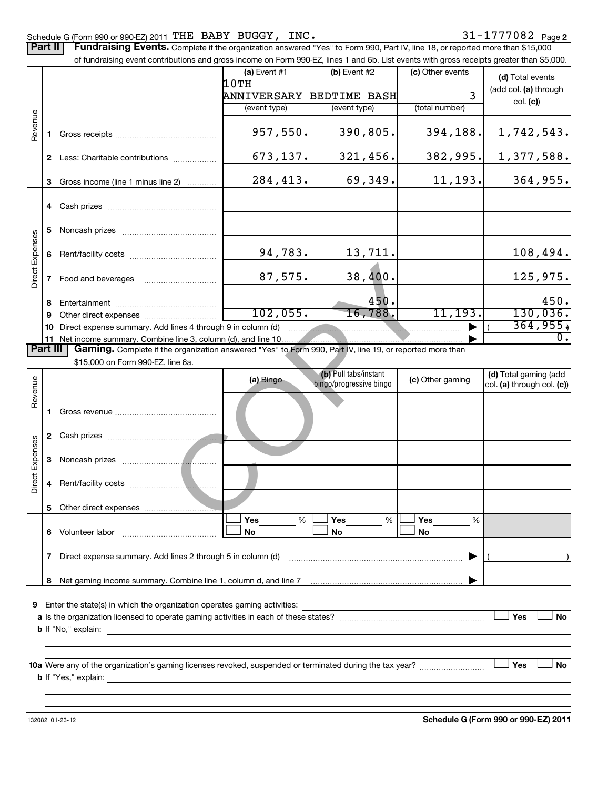Schedule G (Form 990 or 990-EZ) 2011  $\texttt{THE}$  BABY BUGGY, INC.  $31\texttt{-}1777082$  Page Part II | Fundraising Events. Complete if the organization answered "Yes" to Form 990, Part IV, line 18, or reported more than \$15,000 of fundraising event contributions and gross income on Form 990-EZ, lines 1 and 6b. List events with gross receipts greater than \$5,000.  $(a)$  Event #1  $(b)$  Event #2 (c) Other events **(d)**  Total events 10TH (add col. (a) through ANNIVERSARY BEDTIME BASH 3 col. **(c)**) (event type) (event type) (total number) Revenue 957,550. 390,805. 394,188. 1,742,543. **1** Gross receipts ~~~~~~~~~~~~~~ 673,137. 321,456. 382,995. 1,377,588. **2** Less: Charitable contributions ................. 284,413. 69,349. 11,193. 364,955. **3** Gross income (line 1 minus line 2) ........... **4** Cash prizes ~~~~~~~~~~~~~~~ **5** Noncash prizes **www.community.org Direct Expenses** Direct Expenses 94,783. 13,711. 108,494. Rent/facility costs ~~~~~~~~~~~~ **6** 87, 575. 38, 400.<br>450.<br>102, 055. 16, 788.<br>The lines 4 through 9 in column (d)<br>ne line 3, column (d), and line 10.<br>he organization answered "Yes" to Form 990, Part IV, line 19, or reported r<br>line 6a.<br>(a) Bingo (b) Pull tabs 87,575. 38,400. 125,975. **7** Food and beverages **2006** 450. 450. **8** Entertainment **2006 CONVERTS Entertainment** 102,055. 16,788. 11,193. 130,036. **9** Other direct expenses  $\ldots$  **...........................**  $\bullet$   $\bullet$   $\bullet$   $\bullet$   $\bullet$  364,955. **10** Direct expense summary. Add lines 4 through 9 in column (d)  $\overline{0}$  . **11** Net income summary. Combine line 3, column (d), and line 10 | Part III | Gaming. Complete if the organization answered "Yes" to Form 990, Part IV, line 19, or reported more than \$15,000 on Form 990-EZ, line 6a. (b) Pull tabs/instant **(a)** Bingo **(b)** Pull tabs/instant **(c)** Other gaming **(d)** Total gaming (add Revenue bingo/progressive bingo col. **(a)** through col. **(c)**) **1** Gross revenue .. **2** Cash prizes ~~~~~~~~~~~~~~~ Expenses Direct Expenses **3** Noncash prizes **with the contract of the contract of the contract of the contract of the contract of the contract of the contract of the contract of the contract of the contract of the contract of the contract of the c** Direct **4** Rent/facility costs ~~~~~~~~~~~~ **5** Other direct expenses  $|\Box$   $\mathsf{Yes}$  =  $\%$   $|\Box$   $\mathsf{Yes}$  =  $\%$   $|\Box$ **Yes Yes Yes** % % %  $|\Box$  No  $|\Box$  No  $|\Box$ **6** Volunteer labor Volunteer labor ~~~~~~~~~~~~~ **No No No 7** Direct expense summary. Add lines 2 through 5 in column (d) ~~~~~~~~~~~~~~~~~~~~~~~~ | ( ) Net gaming income summary. Combine line 1, column d, and line 7 **8** | **9** Enter the state(s) in which the organization operates gaming activities:  $\Box$  Yes  $\Box$  No **a** Is the organization licensed to operate gaming activities in each of these states? ~~~~~~~~~~~~~~~~~~~~ **b** If "No," explain: **10 a** Were any of the organization's gaming licenses revoked, suspended or terminated during the tax year? ~~~~~~~~~ † †  $\Box$  No **b** If "Yes," explain: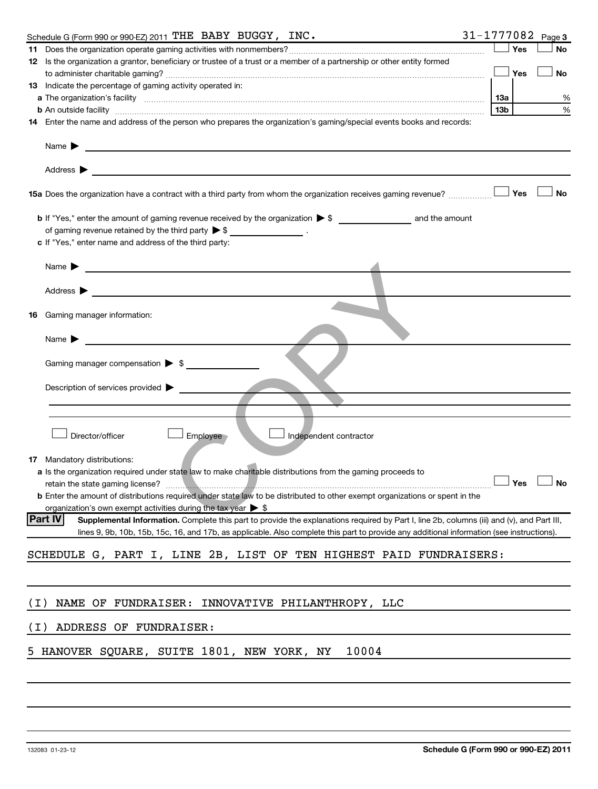|                                    | Schedule G (Form 990 or 990-EZ) 2011 THE BABY BUGGY, INC.                                                                                                                                                           | 31-1777082 Page 3 |     |            |    |
|------------------------------------|---------------------------------------------------------------------------------------------------------------------------------------------------------------------------------------------------------------------|-------------------|-----|------------|----|
|                                    |                                                                                                                                                                                                                     |                   |     | Yes        | No |
|                                    | 12 Is the organization a grantor, beneficiary or trustee of a trust or a member of a partnership or other entity formed                                                                                             |                   |     |            |    |
|                                    |                                                                                                                                                                                                                     |                   |     | <b>Yes</b> | No |
|                                    | <b>13</b> Indicate the percentage of gaming activity operated in:                                                                                                                                                   |                   |     |            |    |
|                                    |                                                                                                                                                                                                                     |                   |     |            | %  |
|                                    |                                                                                                                                                                                                                     |                   | 13b |            | %  |
|                                    | 14 Enter the name and address of the person who prepares the organization's gaming/special events books and records:                                                                                                |                   |     |            |    |
| Name $\blacktriangleright$         | <u> 1989 - Johann Barbara, martin amerikan basal dan berasal dan berasal dalam basal dan berasal dan berasal dan</u>                                                                                                |                   |     |            |    |
| Address $\blacktriangleright$      | <u>and the control of the control of the control of the control of the control of the control of the control of</u>                                                                                                 |                   |     |            |    |
|                                    |                                                                                                                                                                                                                     |                   |     |            | No |
|                                    | of gaming revenue retained by the third party $\triangleright$ \$ _________________.                                                                                                                                |                   |     |            |    |
|                                    | c If "Yes," enter name and address of the third party:                                                                                                                                                              |                   |     |            |    |
|                                    |                                                                                                                                                                                                                     |                   |     |            |    |
|                                    | Name $\blacktriangleright$ $\lrcorner$                                                                                                                                                                              |                   |     |            |    |
| Address $\blacktriangleright$      | <u> 1989 - Johann Barbara, martin amerikan basal da</u>                                                                                                                                                             |                   |     |            |    |
|                                    |                                                                                                                                                                                                                     |                   |     |            |    |
| 16.                                | Gaming manager information:                                                                                                                                                                                         |                   |     |            |    |
| Name $\blacktriangleright$         | <u> 1990 - Johann Barbara, martin a</u>                                                                                                                                                                             |                   |     |            |    |
|                                    | Gaming manager compensation $\triangleright$ \$                                                                                                                                                                     |                   |     |            |    |
|                                    | Description of services provided $\blacktriangleright$                                                                                                                                                              |                   |     |            |    |
|                                    |                                                                                                                                                                                                                     |                   |     |            |    |
|                                    | Director/officer<br>Employee<br>Independent contractor                                                                                                                                                              |                   |     |            |    |
|                                    |                                                                                                                                                                                                                     |                   |     |            |    |
| <b>17</b> Mandatory distributions: | a Is the organization required under state law to make charitable distributions from the gaming proceeds to                                                                                                         |                   |     |            |    |
|                                    | retain the state gaming license? <b>Construction and the state gaming license</b> ? No                                                                                                                              |                   |     |            |    |
|                                    | <b>b</b> Enter the amount of distributions required under state law to be distributed to other exempt organizations or spent in the<br>organization's own exempt activities during the tax year $\triangleright$ \$ |                   |     |            |    |
| <b>Part IV</b>                     | Supplemental Information. Complete this part to provide the explanations required by Part I, line 2b, columns (iii) and (v), and Part III,                                                                          |                   |     |            |    |
|                                    | lines 9, 9b, 10b, 15b, 15c, 16, and 17b, as applicable. Also complete this part to provide any additional information (see instructions).                                                                           |                   |     |            |    |
|                                    | SCHEDULE G, PART I, LINE 2B, LIST OF TEN HIGHEST PAID FUNDRAISERS:                                                                                                                                                  |                   |     |            |    |
|                                    |                                                                                                                                                                                                                     |                   |     |            |    |
|                                    |                                                                                                                                                                                                                     |                   |     |            |    |
| ( I )                              | NAME OF FUNDRAISER: INNOVATIVE PHILANTHROPY, LLC                                                                                                                                                                    |                   |     |            |    |
| ( I )                              | ADDRESS OF FUNDRAISER:                                                                                                                                                                                              |                   |     |            |    |
|                                    |                                                                                                                                                                                                                     |                   |     |            |    |
|                                    | 5 HANOVER SQUARE, SUITE 1801, NEW YORK, NY<br>10004                                                                                                                                                                 |                   |     |            |    |
|                                    |                                                                                                                                                                                                                     |                   |     |            |    |
|                                    |                                                                                                                                                                                                                     |                   |     |            |    |
|                                    |                                                                                                                                                                                                                     |                   |     |            |    |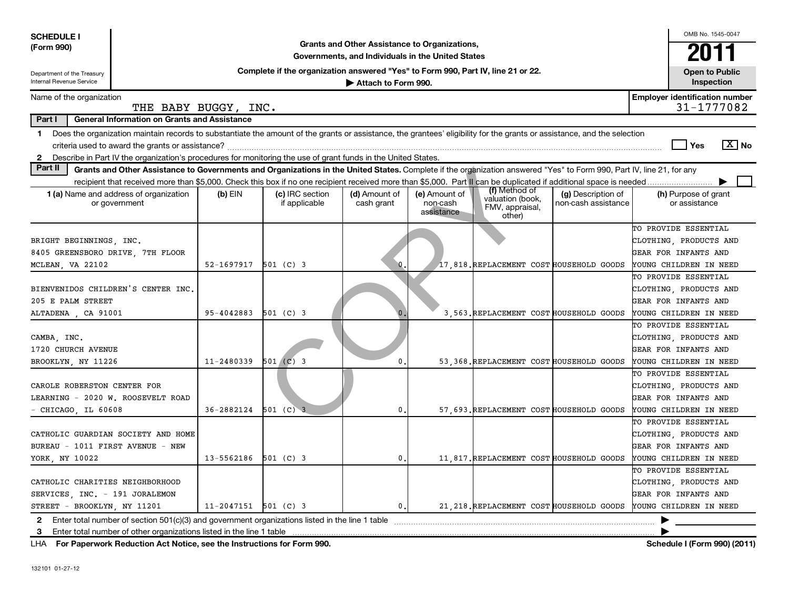| <b>SCHEDULE I</b>                                                                                                                                                                                                                                                                                                             |                          |                                                                                  | Grants and Other Assistance to Organizations,     |                                         |                                                                |                                           | OMB No. 1545-0047                                                                                                                         |  |  |  |
|-------------------------------------------------------------------------------------------------------------------------------------------------------------------------------------------------------------------------------------------------------------------------------------------------------------------------------|--------------------------|----------------------------------------------------------------------------------|---------------------------------------------------|-----------------------------------------|----------------------------------------------------------------|-------------------------------------------|-------------------------------------------------------------------------------------------------------------------------------------------|--|--|--|
| (Form 990)                                                                                                                                                                                                                                                                                                                    |                          |                                                                                  | Governments, and Individuals in the United States |                                         |                                                                |                                           | 2011                                                                                                                                      |  |  |  |
| Department of the Treasury<br>Internal Revenue Service                                                                                                                                                                                                                                                                        |                          | Complete if the organization answered "Yes" to Form 990, Part IV, line 21 or 22. | Attach to Form 990.                               |                                         |                                                                |                                           | <b>Open to Public</b><br>Inspection                                                                                                       |  |  |  |
| Name of the organization                                                                                                                                                                                                                                                                                                      | THE BABY BUGGY, INC.     |                                                                                  |                                                   |                                         |                                                                |                                           | <b>Employer identification number</b><br>31-1777082                                                                                       |  |  |  |
| Part I<br><b>General Information on Grants and Assistance</b>                                                                                                                                                                                                                                                                 |                          |                                                                                  |                                                   |                                         |                                                                |                                           |                                                                                                                                           |  |  |  |
| Does the organization maintain records to substantiate the amount of the grants or assistance, the grantees' eligibility for the grants or assistance, and the selection<br>1.<br>$ \mathbf{X} $ No<br>Yes<br>2 Describe in Part IV the organization's procedures for monitoring the use of grant funds in the United States. |                          |                                                                                  |                                                   |                                         |                                                                |                                           |                                                                                                                                           |  |  |  |
| Part II<br>Grants and Other Assistance to Governments and Organizations in the United States. Complete if the organization answered "Yes" to Form 990, Part IV, line 21, for any                                                                                                                                              |                          |                                                                                  |                                                   |                                         |                                                                |                                           |                                                                                                                                           |  |  |  |
|                                                                                                                                                                                                                                                                                                                               |                          |                                                                                  |                                                   |                                         |                                                                |                                           | ▶                                                                                                                                         |  |  |  |
| <b>1 (a)</b> Name and address of organization<br>or government                                                                                                                                                                                                                                                                | $(b)$ EIN                | (c) IRC section<br>if applicable                                                 | (d) Amount of<br>cash grant                       | (e) Amount of<br>non-cash<br>assistance | (f) Method of<br>valuation (book,<br>FMV, appraisal,<br>other) | (g) Description of<br>non-cash assistance | (h) Purpose of grant<br>or assistance                                                                                                     |  |  |  |
| BRIGHT BEGINNINGS, INC.<br>8405 GREENSBORO DRIVE, 7TH FLOOR                                                                                                                                                                                                                                                                   |                          |                                                                                  |                                                   |                                         |                                                                |                                           | TO PROVIDE ESSENTIAL<br>CLOTHING, PRODUCTS AND<br>GEAR FOR INFANTS AND                                                                    |  |  |  |
| MCLEAN, VA 22102                                                                                                                                                                                                                                                                                                              | 52-1697917               | $501$ (C) 3                                                                      | 0.                                                |                                         | 17,818. REPLACEMENT COST HOUSEHOLD GOODS                       |                                           | YOUNG CHILDREN IN NEED                                                                                                                    |  |  |  |
| BIENVENIDOS CHILDREN'S CENTER INC.<br>205 E PALM STREET<br>ALTADENA, CA 91001                                                                                                                                                                                                                                                 | 95-4042883               | $501$ (C) 3                                                                      | $\mathbf{0}$ .                                    |                                         | 3.563. REPLACEMENT COST HOUSEHOLD GOODS                        |                                           | TO PROVIDE ESSENTIAL<br>CLOTHING, PRODUCTS AND<br>GEAR FOR INFANTS AND<br>YOUNG CHILDREN IN NEED                                          |  |  |  |
| CAMBA, INC.<br>1720 CHURCH AVENUE<br>BROOKLYN, NY 11226                                                                                                                                                                                                                                                                       | 11-2480339               | $501$ (C) 3                                                                      | $\mathbf{0}$                                      |                                         | 53, 368. REPLACEMENT COST HOUSEHOLD GOODS                      |                                           | TO PROVIDE ESSENTIAL<br>CLOTHING, PRODUCTS AND<br>GEAR FOR INFANTS AND<br>YOUNG CHILDREN IN NEED                                          |  |  |  |
| CAROLE ROBERSTON CENTER FOR<br>LEARNING - 2020 W. ROOSEVELT ROAD<br>$-$ CHICAGO, IL 60608                                                                                                                                                                                                                                     | 36-2882124               | 501 (C) 3                                                                        | $\mathbf{0}$                                      |                                         | 57, 693. REPLACEMENT COST HOUSEHOLD GOODS                      |                                           | TO PROVIDE ESSENTIAL<br>CLOTHING, PRODUCTS AND<br>GEAR FOR INFANTS AND<br>YOUNG CHILDREN IN NEED                                          |  |  |  |
| CATHOLIC GUARDIAN SOCIETY AND HOME<br>BUREAU - 1011 FIRST AVENUE - NEW<br>YORK, NY 10022                                                                                                                                                                                                                                      | 13-5562186               | $501$ (C) 3                                                                      | 0.                                                |                                         | 11,817. REPLACEMENT COST HOUSEHOLD GOODS                       |                                           | TO PROVIDE ESSENTIAL<br>CLOTHING, PRODUCTS AND<br>GEAR FOR INFANTS AND<br>YOUNG CHILDREN IN NEED                                          |  |  |  |
| CATHOLIC CHARITIES NEIGHBORHOOD<br>SERVICES, INC. - 191 JORALEMON<br>STREET - BROOKLYN, NY 11201                                                                                                                                                                                                                              | $11 - 2047151$ 501 (C) 3 |                                                                                  | $\mathbf{0}$ .                                    |                                         |                                                                |                                           | TO PROVIDE ESSENTIAL<br>CLOTHING, PRODUCTS AND<br>GEAR FOR INFANTS AND<br>21 218. REPLACEMENT COST HOUSEHOLD GOODS YOUNG CHILDREN IN NEED |  |  |  |
| <b>2</b> Enter total number of section 501(c)(3) and government organizations listed in the line 1 table<br>3<br>Enter total number of other organizations listed in the line 1 table                                                                                                                                         |                          |                                                                                  |                                                   |                                         |                                                                |                                           |                                                                                                                                           |  |  |  |

**For Paperwork Reduction Act Notice, see the Instructions for Form 990. Schedule I (Form 990) (2011)** LHA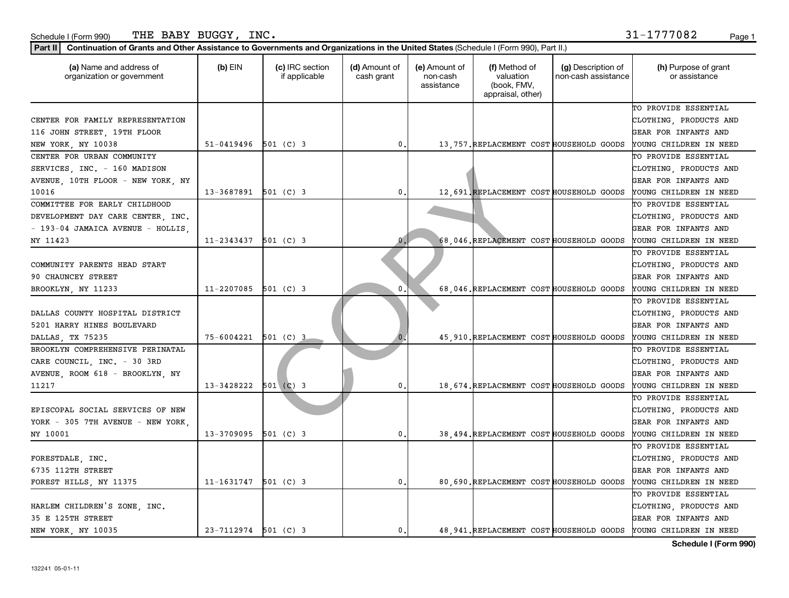| (a) Name and address of<br>organization or government | $(b)$ EIN                | (c) IRC section<br>if applicable | (d) Amount of<br>cash grant | (e) Amount of<br>non-cash<br>assistance | (f) Method of<br>valuation<br>(book, FMV,<br>appraisal, other) | (g) Description of<br>non-cash assistance | (h) Purpose of grant<br>or assistance                            |
|-------------------------------------------------------|--------------------------|----------------------------------|-----------------------------|-----------------------------------------|----------------------------------------------------------------|-------------------------------------------|------------------------------------------------------------------|
|                                                       |                          |                                  |                             |                                         |                                                                |                                           | TO PROVIDE ESSENTIAL                                             |
| CENTER FOR FAMILY REPRESENTATION                      |                          |                                  |                             |                                         |                                                                |                                           | CLOTHING, PRODUCTS AND                                           |
| 116 JOHN STREET, 19TH FLOOR                           |                          |                                  |                             |                                         |                                                                |                                           | GEAR FOR INFANTS AND                                             |
| NEW YORK, NY 10038                                    | $51-0419496$ 501 (C) 3   |                                  | $\mathbf{0}$ .              |                                         | 13, 757. REPLACEMENT COST HOUSEHOLD GOODS                      |                                           | YOUNG CHILDREN IN NEED                                           |
| CENTER FOR URBAN COMMUNITY                            |                          |                                  |                             |                                         |                                                                |                                           | TO PROVIDE ESSENTIAL                                             |
| SERVICES, INC. - 160 MADISON                          |                          |                                  |                             |                                         |                                                                |                                           | CLOTHING, PRODUCTS AND                                           |
| AVENUE, 10TH FLOOR - NEW YORK, NY                     |                          |                                  |                             |                                         |                                                                |                                           | GEAR FOR INFANTS AND                                             |
| 10016                                                 | 13-3687891 501 (C) 3     |                                  | $\mathbf{0}$ .              |                                         | 12,691. REPLACEMENT COST HOUSEHOLD GOODS                       |                                           | YOUNG CHILDREN IN NEED                                           |
| COMMITTEE FOR EARLY CHILDHOOD                         |                          |                                  |                             |                                         |                                                                |                                           | TO PROVIDE ESSENTIAL                                             |
| DEVELOPMENT DAY CARE CENTER, INC.                     |                          |                                  |                             |                                         |                                                                |                                           | CLOTHING, PRODUCTS AND                                           |
| - 193-04 JAMAICA AVENUE - HOLLIS,                     |                          |                                  |                             |                                         |                                                                |                                           | GEAR FOR INFANTS AND                                             |
| NY 11423                                              | 11-2343437               | 501 (C) 3                        | $\bf{0}$                    |                                         | 68,046. REPLACEMENT COST HOUSEHOLD GOODS                       |                                           | YOUNG CHILDREN IN NEED                                           |
|                                                       |                          |                                  |                             |                                         |                                                                |                                           | TO PROVIDE ESSENTIAL                                             |
| COMMUNITY PARENTS HEAD START                          |                          |                                  |                             |                                         |                                                                |                                           | CLOTHING, PRODUCTS AND                                           |
| 90 CHAUNCEY STREET                                    |                          |                                  |                             |                                         |                                                                |                                           | GEAR FOR INFANTS AND                                             |
| BROOKLYN, NY 11233                                    | 11-2207085               | $501$ (C) 3                      | $\mathbf 0$ .               |                                         | 68,046. REPLACEMENT COST HOUSEHOLD GOODS                       |                                           | YOUNG CHILDREN IN NEED                                           |
|                                                       |                          |                                  |                             |                                         |                                                                |                                           | TO PROVIDE ESSENTIAL                                             |
| DALLAS COUNTY HOSPITAL DISTRICT                       |                          |                                  |                             |                                         |                                                                |                                           | CLOTHING, PRODUCTS AND                                           |
| 5201 HARRY HINES BOULEVARD                            |                          |                                  |                             |                                         |                                                                |                                           | GEAR FOR INFANTS AND                                             |
| DALLAS, TX 75235                                      | 75-6004221               | $501$ (C) 3                      |                             |                                         | 45, 910. REPLACEMENT COST HOUSEHOLD GOODS                      |                                           | YOUNG CHILDREN IN NEED                                           |
| BROOKLYN COMPREHENSIVE PERINATAL                      |                          |                                  |                             |                                         |                                                                |                                           | TO PROVIDE ESSENTIAL                                             |
| CARE COUNCIL, INC. - 30 3RD                           |                          |                                  |                             |                                         |                                                                |                                           | CLOTHING, PRODUCTS AND                                           |
| AVENUE, ROOM 618 - BROOKLYN, NY                       |                          |                                  |                             |                                         |                                                                |                                           | GEAR FOR INFANTS AND                                             |
| 11217                                                 | 13-3428222               | 501 (C) 3                        | $\mathbf{0}$ .              |                                         | 18, 674. REPLACEMENT COST HOUSEHOLD GOODS                      |                                           | YOUNG CHILDREN IN NEED                                           |
|                                                       |                          |                                  |                             |                                         |                                                                |                                           | TO PROVIDE ESSENTIAL                                             |
| EPISCOPAL SOCIAL SERVICES OF NEW                      |                          |                                  |                             |                                         |                                                                |                                           | CLOTHING, PRODUCTS AND                                           |
| YORK - 305 7TH AVENUE - NEW YORK,                     |                          |                                  |                             |                                         |                                                                |                                           | GEAR FOR INFANTS AND                                             |
| NY 10001                                              | 13-3709095               | $501$ (C) 3                      | 0.                          |                                         | 38,494. REPLACEMENT COST HOUSEHOLD GOODS                       |                                           | YOUNG CHILDREN IN NEED                                           |
|                                                       |                          |                                  |                             |                                         |                                                                |                                           | TO PROVIDE ESSENTIAL                                             |
| FORESTDALE, INC.                                      |                          |                                  |                             |                                         |                                                                |                                           | CLOTHING, PRODUCTS AND                                           |
| 6735 112TH STREET                                     |                          |                                  |                             |                                         |                                                                |                                           | <b>GEAR FOR INFANTS AND</b>                                      |
| FOREST HILLS, NY 11375                                | 11-1631747               | $501$ (C) 3                      | $\mathbf{0}$ .              |                                         | 80,690. REPLACEMENT COST HOUSEHOLD GOODS                       |                                           | YOUNG CHILDREN IN NEED                                           |
|                                                       |                          |                                  |                             |                                         |                                                                |                                           | TO PROVIDE ESSENTIAL                                             |
| HARLEM CHILDREN'S ZONE, INC.                          |                          |                                  |                             |                                         |                                                                |                                           | CLOTHING, PRODUCTS AND                                           |
| 35 E 125TH STREET                                     |                          |                                  |                             |                                         |                                                                |                                           | <b>GEAR FOR INFANTS AND</b>                                      |
| NEW YORK, NY 10035                                    | $23 - 7112974$ 501 (C) 3 |                                  | $\mathfrak o$ .             |                                         |                                                                |                                           | 48, 941. REPLACEMENT COST HOUSEHOLD GOODS YOUNG CHILDREN IN NEED |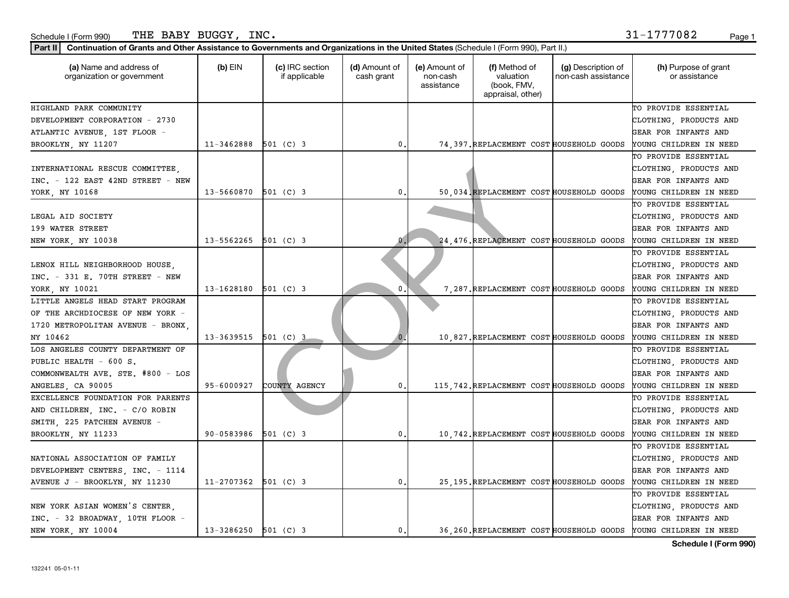| THE BABY BUGGY, INC.<br>Schedule I (Form 990)                                                                                                    |                          |                                  |                             |                                         |                                                                |                                           | 31-1777082<br>Page 1                  |
|--------------------------------------------------------------------------------------------------------------------------------------------------|--------------------------|----------------------------------|-----------------------------|-----------------------------------------|----------------------------------------------------------------|-------------------------------------------|---------------------------------------|
| Continuation of Grants and Other Assistance to Governments and Organizations in the United States (Schedule I (Form 990), Part II.)<br>Part II I |                          |                                  |                             |                                         |                                                                |                                           |                                       |
| (a) Name and address of<br>organization or government                                                                                            | $(b)$ EIN                | (c) IRC section<br>if applicable | (d) Amount of<br>cash grant | (e) Amount of<br>non-cash<br>assistance | (f) Method of<br>valuation<br>(book, FMV,<br>appraisal, other) | (g) Description of<br>non-cash assistance | (h) Purpose of grant<br>or assistance |
| HIGHLAND PARK COMMUNITY                                                                                                                          |                          |                                  |                             |                                         |                                                                |                                           | TO PROVIDE ESSENTIAL                  |
| DEVELOPMENT CORPORATION - 2730                                                                                                                   |                          |                                  |                             |                                         |                                                                |                                           | CLOTHING, PRODUCTS AND                |
| ATLANTIC AVENUE, 1ST FLOOR -                                                                                                                     |                          |                                  |                             |                                         |                                                                |                                           | GEAR FOR INFANTS AND                  |
| BROOKLYN, NY 11207                                                                                                                               | 11-3462888               | 501 (C) 3                        | 0                           |                                         | 74, 397. REPLACEMENT COST HOUSEHOLD GOODS                      |                                           | YOUNG CHILDREN IN NEED                |
|                                                                                                                                                  |                          |                                  |                             |                                         |                                                                |                                           | TO PROVIDE ESSENTIAL                  |
| INTERNATIONAL RESCUE COMMITTEE.                                                                                                                  |                          |                                  |                             |                                         |                                                                |                                           | CLOTHING, PRODUCTS AND                |
| INC. - 122 EAST 42ND STREET - NEW                                                                                                                |                          |                                  |                             |                                         |                                                                |                                           | GEAR FOR INFANTS AND                  |
| YORK, NY 10168                                                                                                                                   | 13-5660870               | $501$ (C) 3                      | 0                           |                                         | 50,034. REPLACEMENT COST HOUSEHOLD GOODS                       |                                           | YOUNG CHILDREN IN NEED                |
|                                                                                                                                                  |                          |                                  |                             |                                         |                                                                |                                           | TO PROVIDE ESSENTIAL                  |
| LEGAL AID SOCIETY                                                                                                                                |                          |                                  |                             |                                         |                                                                |                                           | CLOTHING, PRODUCTS AND                |
| 199 WATER STREET                                                                                                                                 |                          |                                  |                             |                                         |                                                                |                                           | GEAR FOR INFANTS AND                  |
| NEW YORK, NY 10038                                                                                                                               | $13 - 5562265$ 501 (C) 3 |                                  | $\mathbf{0}$                |                                         | 24, 476. REPLACEMENT COST HOUSEHOLD GOODS                      |                                           | YOUNG CHILDREN IN NEED                |
|                                                                                                                                                  |                          |                                  |                             |                                         |                                                                |                                           | TO PROVIDE ESSENTIAL                  |
| LENOX HILL NEIGHBORHOOD HOUSE.                                                                                                                   |                          |                                  |                             |                                         |                                                                |                                           | CLOTHING, PRODUCTS AND                |
| $INC. - 331 E. 70TH$ STREET - NEW                                                                                                                |                          |                                  |                             |                                         |                                                                |                                           | GEAR FOR INFANTS AND                  |
| YORK, NY 10021                                                                                                                                   | 13-1628180               | 501 (C) 3                        | 0                           |                                         | 7.287. REPLACEMENT COST HOUSEHOLD GOODS                        |                                           | YOUNG CHILDREN IN NEED                |
| LITTLE ANGELS HEAD START PROGRAM                                                                                                                 |                          |                                  |                             |                                         |                                                                |                                           | TO PROVIDE ESSENTIAL                  |
| OF THE ARCHDIOCESE OF NEW YORK -                                                                                                                 |                          |                                  |                             |                                         |                                                                |                                           | CLOTHING, PRODUCTS AND                |
| 1720 METROPOLITAN AVENUE - BRONX,                                                                                                                |                          |                                  |                             |                                         |                                                                |                                           | GEAR FOR INFANTS AND                  |
| NY 10462                                                                                                                                         | 13-3639515               | 501 (C) 3                        |                             |                                         | 10,827. REPLACEMENT COST HOUSEHOLD GOODS                       |                                           | YOUNG CHILDREN IN NEED                |
| LOS ANGELES COUNTY DEPARTMENT OF                                                                                                                 |                          |                                  |                             |                                         |                                                                |                                           | TO PROVIDE ESSENTIAL                  |
| PUBLIC HEALTH - 600 S.                                                                                                                           |                          |                                  |                             |                                         |                                                                |                                           | CLOTHING, PRODUCTS AND                |
| COMMONWEALTH AVE. STE. #800 - LOS                                                                                                                |                          |                                  |                             |                                         |                                                                |                                           | GEAR FOR INFANTS AND                  |
| ANGELES, CA 90005                                                                                                                                | 95-6000927               | COUNTY AGENCY                    | $\mathbf{0}$ .              |                                         | 115, 742. REPLACEMENT COST HOUSEHOLD GOODS                     |                                           | YOUNG CHILDREN IN NEED                |
| EXCELLENCE FOUNDATION FOR PARENTS                                                                                                                |                          |                                  |                             |                                         |                                                                |                                           | TO PROVIDE ESSENTIAL                  |
| AND CHILDREN, INC. - C/O ROBIN                                                                                                                   |                          |                                  |                             |                                         |                                                                |                                           | CLOTHING, PRODUCTS AND                |
| SMITH, 225 PATCHEN AVENUE -                                                                                                                      |                          |                                  |                             |                                         |                                                                |                                           | GEAR FOR INFANTS AND                  |

SMITH, 225 PATCHEN AVENUE - GEAR FOR INFANTS AND BROOKLYN, NY 11233 90-0583986 501 (C) 3 0. 10,742.REPLACEMENT COST HOUSEHOLD GOODS YOUNG CHILDREN IN NEED

NATIONAL ASSOCIATION OF FAMILY CLOTHING, PRODUCTS AND DEVELOPMENT CENTERS, INC. - 1114 GEAR FOR INFANTS AND AVENUE J - BROOKLYN, NY 11230 | 11-2707362 501 (C) 3 | 0. 25,195.REPLACEMENT COST HOUSEHOLD GOODS YOUNG CHILDREN IN NEED TO PROVIDE ESSENTIAL NEW YORK ASIAN WOMEN'S CENTER,  $\begin{vmatrix} \cdot & \cdot & \cdot \\ \cdot & \cdot & \cdot \\ \cdot & \cdot & \cdot \end{vmatrix}$  (clothing, products and INC. - 32 BROADWAY, 10TH FLOOR - GEAR FOR INFANTS AND NEW YORK, NY 10004 13-3286250 501 (C) 3 0. 36,260.REPLACEMENT COST HOUSEHOLD GOODS YOUNG CHILDREN IN NEED

**Schedule I (Form 990)**

TO PROVIDE ESSENTIAL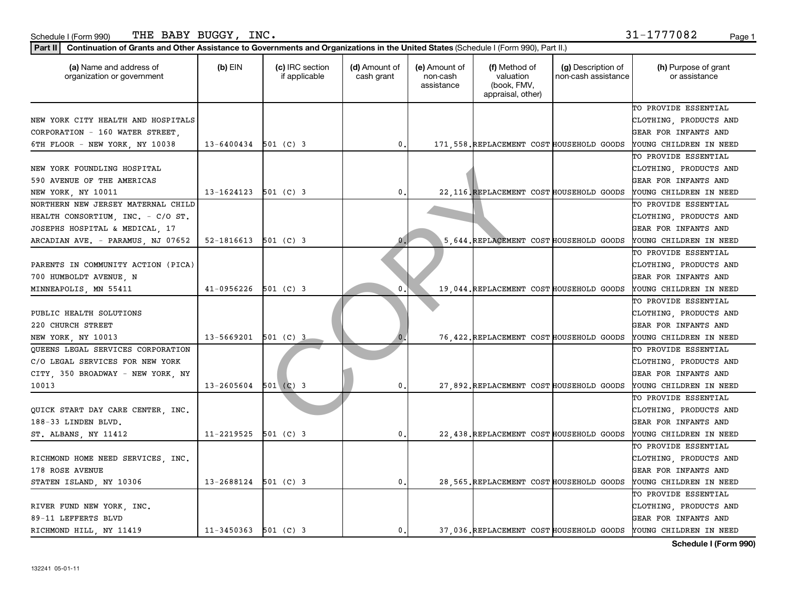| THE<br>BABY<br><b>BUGGY</b><br>INC.<br>l (Form 990)<br>Schedule l | .777082<br>Page<br>⊥ ب |  |
|-------------------------------------------------------------------|------------------------|--|
|-------------------------------------------------------------------|------------------------|--|

| (a) Name and address of<br>organization or government | $(b)$ EIN                | (c) IRC section<br>if applicable | (d) Amount of<br>cash grant | (e) Amount of<br>non-cash<br>assistance | (f) Method of<br>valuation<br>(book, FMV,<br>appraisal, other) | (g) Description of<br>non-cash assistance | (h) Purpose of grant<br>or assistance |
|-------------------------------------------------------|--------------------------|----------------------------------|-----------------------------|-----------------------------------------|----------------------------------------------------------------|-------------------------------------------|---------------------------------------|
|                                                       |                          |                                  |                             |                                         |                                                                |                                           | TO PROVIDE ESSENTIAL                  |
| NEW YORK CITY HEALTH AND HOSPITALS                    |                          |                                  |                             |                                         |                                                                |                                           | CLOTHING, PRODUCTS AND                |
| CORPORATION - 160 WATER STREET,                       |                          |                                  |                             |                                         |                                                                |                                           | GEAR FOR INFANTS AND                  |
| 6TH FLOOR - NEW YORK, NY 10038                        | $13 - 6400434$ 501 (C) 3 |                                  | 0.                          |                                         | 171, 558. REPLACEMENT COST HOUSEHOLD GOODS                     |                                           | YOUNG CHILDREN IN NEED                |
|                                                       |                          |                                  |                             |                                         |                                                                |                                           | TO PROVIDE ESSENTIAL                  |
| NEW YORK FOUNDLING HOSPITAL                           |                          |                                  |                             |                                         |                                                                |                                           | CLOTHING, PRODUCTS AND                |
| 590 AVENUE OF THE AMERICAS                            |                          |                                  |                             |                                         |                                                                |                                           | GEAR FOR INFANTS AND                  |
| NEW YORK, NY 10011                                    | $13 - 1624123$ 501 (C) 3 |                                  | 0.                          |                                         | 22 116. REPLACEMENT COST HOUSEHOLD GOODS                       |                                           | YOUNG CHILDREN IN NEED                |
| NORTHERN NEW JERSEY MATERNAL CHILD                    |                          |                                  |                             |                                         |                                                                |                                           | TO PROVIDE ESSENTIAL                  |
| HEALTH CONSORTIUM, INC. - C/O ST.                     |                          |                                  |                             |                                         |                                                                |                                           | CLOTHING, PRODUCTS AND                |
| JOSEPHS HOSPITAL & MEDICAL, 17                        |                          |                                  |                             |                                         |                                                                |                                           | GEAR FOR INFANTS AND                  |
| ARCADIAN AVE. - PARAMUS, NJ 07652                     | 52-1816613               | $501$ (C) 3                      | $\mathbf{0}$                |                                         | 5,644. REPLACEMENT COST HOUSEHOLD GOODS                        |                                           | YOUNG CHILDREN IN NEED                |
|                                                       |                          |                                  |                             |                                         |                                                                |                                           | TO PROVIDE ESSENTIAL                  |
| PARENTS IN COMMUNITY ACTION (PICA)                    |                          |                                  |                             |                                         |                                                                |                                           | CLOTHING, PRODUCTS AND                |
| 700 HUMBOLDT AVENUE, N                                |                          |                                  |                             |                                         |                                                                |                                           | GEAR FOR INFANTS AND                  |
| MINNEAPOLIS, MN 55411                                 | 41-0956226               | $501$ (C) 3                      | $\mathbf 0$ .               |                                         | 19,044. REPLACEMENT COST HOUSEHOLD GOODS                       |                                           | YOUNG CHILDREN IN NEED                |
|                                                       |                          |                                  |                             |                                         |                                                                |                                           | TO PROVIDE ESSENTIAL                  |
| PUBLIC HEALTH SOLUTIONS                               |                          |                                  |                             |                                         |                                                                |                                           | CLOTHING, PRODUCTS AND                |
| 220 CHURCH STREET                                     |                          |                                  |                             |                                         |                                                                |                                           | GEAR FOR INFANTS AND                  |
| NEW YORK, NY 10013                                    | 13-5669201               | 501 (C) 3                        |                             |                                         | 76, 422. REPLACEMENT COST HOUSEHOLD GOODS                      |                                           | YOUNG CHILDREN IN NEED                |
| QUEENS LEGAL SERVICES CORPORATION                     |                          |                                  |                             |                                         |                                                                |                                           | TO PROVIDE ESSENTIAL                  |
| C/O LEGAL SERVICES FOR NEW YORK                       |                          |                                  |                             |                                         |                                                                |                                           | CLOTHING, PRODUCTS AND                |
| CITY, 350 BROADWAY - NEW YORK, NY                     |                          |                                  |                             |                                         |                                                                |                                           | GEAR FOR INFANTS AND                  |
| 10013                                                 | 13-2605604               | $501$ (C) 3                      | 0.                          |                                         | 27,892. REPLACEMENT COST HOUSEHOLD GOODS                       |                                           | YOUNG CHILDREN IN NEED                |
|                                                       |                          |                                  |                             |                                         |                                                                |                                           | TO PROVIDE ESSENTIAL                  |
| QUICK START DAY CARE CENTER, INC.                     |                          |                                  |                             |                                         |                                                                |                                           | CLOTHING, PRODUCTS AND                |
| 188-33 LINDEN BLVD.                                   |                          |                                  |                             |                                         |                                                                |                                           | GEAR FOR INFANTS AND                  |
| ST. ALBANS, NY 11412                                  | $11 - 2219525$ 501 (C) 3 |                                  | 0.                          |                                         | 22, 438. REPLACEMENT COST HOUSEHOLD GOODS                      |                                           | YOUNG CHILDREN IN NEED                |
|                                                       |                          |                                  |                             |                                         |                                                                |                                           | TO PROVIDE ESSENTIAL                  |
| RICHMOND HOME NEED SERVICES, INC.                     |                          |                                  |                             |                                         |                                                                |                                           | CLOTHING, PRODUCTS AND                |
| 178 ROSE AVENUE                                       |                          |                                  |                             |                                         |                                                                |                                           | GEAR FOR INFANTS AND                  |
| STATEN ISLAND, NY 10306                               | 13-2688124 501 (C) 3     |                                  | 0.                          |                                         | 28, 565. REPLACEMENT COST HOUSEHOLD GOODS                      |                                           | YOUNG CHILDREN IN NEED                |
|                                                       |                          |                                  |                             |                                         |                                                                |                                           | TO PROVIDE ESSENTIAL                  |
| RIVER FUND NEW YORK, INC.                             |                          |                                  |                             |                                         |                                                                |                                           | CLOTHING, PRODUCTS AND                |
| 89-11 LEFFERTS BLVD                                   |                          |                                  |                             |                                         |                                                                |                                           | GEAR FOR INFANTS AND                  |
| RICHMOND HILL, NY 11419                               | $11-3450363$ 501 (C) 3   |                                  | $\mathbf{0}$ .              |                                         | 37.036. REPLACEMENT COST HOUSEHOLD GOODS                       |                                           | YOUNG CHILDREN IN NEED                |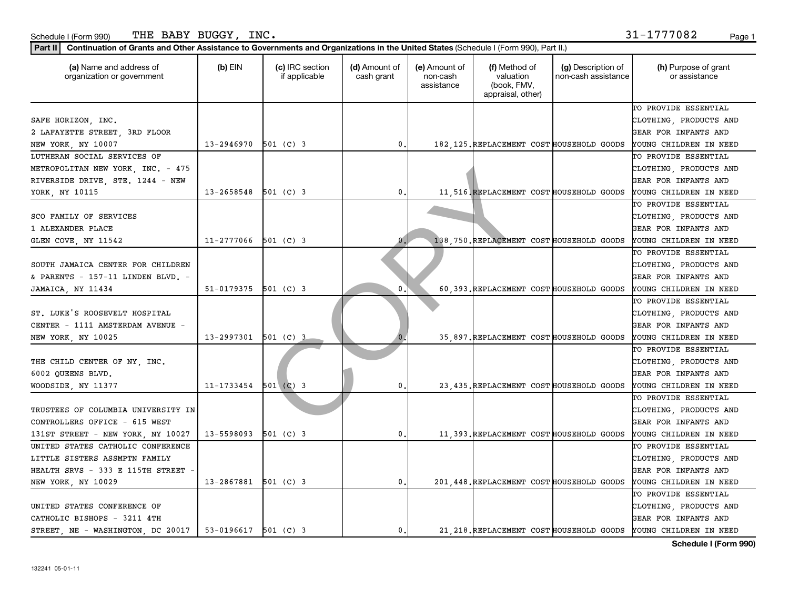| $\frac{2}{3}$ orm 990)<br>Schedule | <b>DITOOV</b><br>THE<br>. A DV<br>DUGG.<br>- | INC.                                                                                                                                | D <sub>2</sub><br>auc |
|------------------------------------|----------------------------------------------|-------------------------------------------------------------------------------------------------------------------------------------|-----------------------|
| <b>Part II</b><br>`^^**********    |                                              | aar<br>ration of Grants and Other Assistance to Governments and Organizations in the United States (Schedule L<br>Part II<br>/⊢orm. |                       |

| (a) Name and address of<br>organization or government | $(b)$ EIN              | (c) IRC section<br>if applicable | (d) Amount of<br>cash grant | (e) Amount of<br>non-cash<br>assistance | (f) Method of<br>valuation<br>(book, FMV,<br>appraisal, other) | (g) Description of<br>non-cash assistance | (h) Purpose of grant<br>or assistance                            |
|-------------------------------------------------------|------------------------|----------------------------------|-----------------------------|-----------------------------------------|----------------------------------------------------------------|-------------------------------------------|------------------------------------------------------------------|
|                                                       |                        |                                  |                             |                                         |                                                                |                                           | TO PROVIDE ESSENTIAL                                             |
| SAFE HORIZON, INC.                                    |                        |                                  |                             |                                         |                                                                |                                           | CLOTHING, PRODUCTS AND                                           |
| 2 LAFAYETTE STREET, 3RD FLOOR                         |                        |                                  |                             |                                         |                                                                |                                           | GEAR FOR INFANTS AND                                             |
| NEW YORK, NY 10007                                    | 13-2946970             | $501$ (C) 3                      | 0.                          |                                         | 182, 125. REPLACEMENT COST HOUSEHOLD GOODS                     |                                           | YOUNG CHILDREN IN NEED                                           |
| LUTHERAN SOCIAL SERVICES OF                           |                        |                                  |                             |                                         |                                                                |                                           | TO PROVIDE ESSENTIAL                                             |
| METROPOLITAN NEW YORK, INC. - 475                     |                        |                                  |                             |                                         |                                                                |                                           | CLOTHING, PRODUCTS AND                                           |
| RIVERSIDE DRIVE, STE. 1244 - NEW                      |                        |                                  |                             |                                         |                                                                |                                           | GEAR FOR INFANTS AND                                             |
| YORK, NY 10115                                        | 13-2658548             | $501$ (C) 3                      | 0                           |                                         | 11,516, REPLACEMENT COST HOUSEHOLD GOODS                       |                                           | YOUNG CHILDREN IN NEED                                           |
|                                                       |                        |                                  |                             |                                         |                                                                |                                           | TO PROVIDE ESSENTIAL                                             |
| SCO FAMILY OF SERVICES                                |                        |                                  |                             |                                         |                                                                |                                           | CLOTHING, PRODUCTS AND                                           |
| 1 ALEXANDER PLACE                                     |                        |                                  |                             |                                         |                                                                |                                           | <b>GEAR FOR INFANTS AND</b>                                      |
| GLEN COVE, NY 11542                                   | 11-2777066             | $501$ (C) 3                      |                             |                                         | 138, 750. REPLACEMENT COST HOUSEHOLD GOODS                     |                                           | YOUNG CHILDREN IN NEED                                           |
|                                                       |                        |                                  |                             |                                         |                                                                |                                           | TO PROVIDE ESSENTIAL                                             |
| SOUTH JAMAICA CENTER FOR CHILDREN                     |                        |                                  |                             |                                         |                                                                |                                           | CLOTHING, PRODUCTS AND                                           |
| & PARENTS - 157-11 LINDEN BLVD. -                     |                        |                                  |                             |                                         |                                                                |                                           | GEAR FOR INFANTS AND                                             |
| JAMAICA, NY 11434                                     | 51-0179375             | $501$ (C) 3                      | 0.                          |                                         | 60.393. REPLACEMENT COST HOUSEHOLD GOODS                       |                                           | YOUNG CHILDREN IN NEED                                           |
|                                                       |                        |                                  |                             |                                         |                                                                |                                           | TO PROVIDE ESSENTIAL                                             |
| ST. LUKE'S ROOSEVELT HOSPITAL                         |                        |                                  |                             |                                         |                                                                |                                           | CLOTHING, PRODUCTS AND                                           |
| CENTER - 1111 AMSTERDAM AVENUE -                      |                        |                                  |                             |                                         |                                                                |                                           | GEAR FOR INFANTS AND                                             |
| NEW YORK, NY 10025                                    | 13-2997301             | $501$ (C) 3                      |                             |                                         | 35,897. REPLACEMENT COST HOUSEHOLD GOODS                       |                                           | YOUNG CHILDREN IN NEED                                           |
|                                                       |                        |                                  |                             |                                         |                                                                |                                           | TO PROVIDE ESSENTIAL                                             |
| THE CHILD CENTER OF NY, INC.                          |                        |                                  |                             |                                         |                                                                |                                           | CLOTHING, PRODUCTS AND                                           |
| 6002 QUEENS BLVD.                                     |                        |                                  |                             |                                         |                                                                |                                           | GEAR FOR INFANTS AND                                             |
| WOODSIDE, NY 11377                                    | 11-1733454             | $501$ (C) 3                      | 0.                          |                                         | 23, 435. REPLACEMENT COST HOUSEHOLD GOODS                      |                                           | YOUNG CHILDREN IN NEED                                           |
|                                                       |                        |                                  |                             |                                         |                                                                |                                           | TO PROVIDE ESSENTIAL                                             |
| TRUSTEES OF COLUMBIA UNIVERSITY IN                    |                        |                                  |                             |                                         |                                                                |                                           | CLOTHING, PRODUCTS AND                                           |
| CONTROLLERS OFFICE - 615 WEST                         |                        |                                  |                             |                                         |                                                                |                                           | <b>GEAR FOR INFANTS AND</b>                                      |
| 131ST STREET - NEW YORK, NY 10027                     | 13-5598093             | 501 (C) 3                        | 0.                          |                                         | 11,393. REPLACEMENT COST HOUSEHOLD GOODS                       |                                           | YOUNG CHILDREN IN NEED                                           |
| UNITED STATES CATHOLIC CONFERENCE                     |                        |                                  |                             |                                         |                                                                |                                           | TO PROVIDE ESSENTIAL                                             |
| LITTLE SISTERS ASSMPTN FAMILY                         |                        |                                  |                             |                                         |                                                                |                                           | CLOTHING, PRODUCTS AND                                           |
| HEALTH SRVS - 333 E 115TH STREET                      |                        |                                  |                             |                                         |                                                                |                                           | GEAR FOR INFANTS AND                                             |
| NEW YORK, NY 10029                                    | 13-2867881             | $501$ (C) 3                      | $\mathbf{0}$ .              |                                         | 201, 448. REPLACEMENT COST HOUSEHOLD GOODS                     |                                           | YOUNG CHILDREN IN NEED                                           |
|                                                       |                        |                                  |                             |                                         |                                                                |                                           | TO PROVIDE ESSENTIAL                                             |
| UNITED STATES CONFERENCE OF                           |                        |                                  |                             |                                         |                                                                |                                           | CLOTHING, PRODUCTS AND                                           |
| CATHOLIC BISHOPS - 3211 4TH                           |                        |                                  |                             |                                         |                                                                |                                           | <b>GEAR FOR INFANTS AND</b>                                      |
| STREET, NE - WASHINGTON, DC 20017                     | $53-0196617$ 501 (C) 3 |                                  | $\mathfrak o$ .             |                                         |                                                                |                                           | 21, 218. REPLACEMENT COST HOUSEHOLD GOODS YOUNG CHILDREN IN NEED |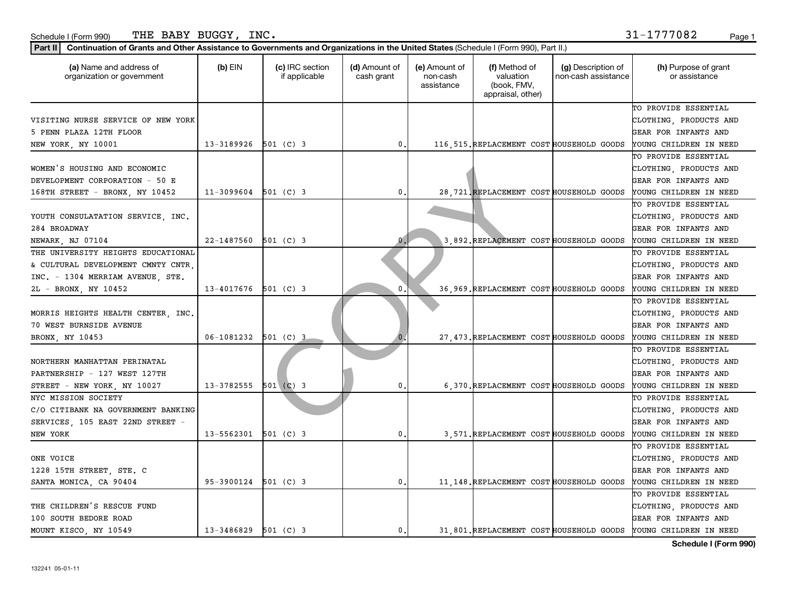| 'Form 990.<br>Schedule I | INC.<br>BABY<br><b>BUGGY</b><br>THE                                                                                                                                                                                                                                                                                                  | '7082 | Page |
|--------------------------|--------------------------------------------------------------------------------------------------------------------------------------------------------------------------------------------------------------------------------------------------------------------------------------------------------------------------------------|-------|------|
|                          | $\overline{D}$ at $\overline{D}$ $\overline{D}$ and $\overline{D}$ and $\overline{D}$ and $\overline{D}$ and $\overline{D}$ are contracted by $\overline{D}$ and $\overline{D}$ and $\overline{D}$ and $\overline{D}$ and $\overline{D}$ and $\overline{D}$ and $\overline{D}$ and $\overline{D}$ and $\overline{D}$ and $\overline$ |       |      |

| (a) Name and address of<br>organization or government | $(b)$ EIN                | (c) IRC section<br>if applicable | (d) Amount of<br>cash grant | (e) Amount of<br>non-cash<br>assistance | (f) Method of<br>valuation<br>(book, FMV,<br>appraisal, other) | (g) Description of<br>non-cash assistance | (h) Purpose of grant<br>or assistance                           |
|-------------------------------------------------------|--------------------------|----------------------------------|-----------------------------|-----------------------------------------|----------------------------------------------------------------|-------------------------------------------|-----------------------------------------------------------------|
|                                                       |                          |                                  |                             |                                         |                                                                |                                           | TO PROVIDE ESSENTIAL                                            |
| VISITING NURSE SERVICE OF NEW YORK                    |                          |                                  |                             |                                         |                                                                |                                           | CLOTHING, PRODUCTS AND                                          |
| 5 PENN PLAZA 12TH FLOOR                               |                          |                                  |                             |                                         |                                                                |                                           | GEAR FOR INFANTS AND                                            |
| NEW YORK, NY 10001                                    | $13 - 3189926$ 501 (C) 3 |                                  | 0.                          |                                         | 116, 515. REPLACEMENT COST HOUSEHOLD GOODS                     |                                           | YOUNG CHILDREN IN NEED                                          |
|                                                       |                          |                                  |                             |                                         |                                                                |                                           | TO PROVIDE ESSENTIAL                                            |
| WOMEN'S HOUSING AND ECONOMIC                          |                          |                                  |                             |                                         |                                                                |                                           | CLOTHING, PRODUCTS AND                                          |
| DEVELOPMENT CORPORATION - 50 E                        |                          |                                  |                             |                                         |                                                                |                                           | GEAR FOR INFANTS AND                                            |
| 168TH STREET - BRONX, NY 10452                        | $11-3099604$ 501 (C) 3   |                                  | 0                           |                                         | 28, 721. REPLACEMENT COST HOUSEHOLD GOODS                      |                                           | YOUNG CHILDREN IN NEED                                          |
|                                                       |                          |                                  |                             |                                         |                                                                |                                           | TO PROVIDE ESSENTIAL                                            |
| YOUTH CONSULATATION SERVICE, INC.                     |                          |                                  |                             |                                         |                                                                |                                           | CLOTHING, PRODUCTS AND                                          |
| 284 BROADWAY                                          |                          |                                  |                             |                                         |                                                                |                                           | GEAR FOR INFANTS AND                                            |
| NEWARK, NJ 07104                                      | 22-1487560               | $501$ (C) 3                      | $\mathbf{0}$                |                                         | 3,892. REPLACEMENT COST HOUSEHOLD GOODS                        |                                           | YOUNG CHILDREN IN NEED                                          |
| THE UNIVERSITY HEIGHTS EDUCATIONAL                    |                          |                                  |                             |                                         |                                                                |                                           | TO PROVIDE ESSENTIAL                                            |
| & CULTURAL DEVELOPMENT CMNTY CNTR,                    |                          |                                  |                             |                                         |                                                                |                                           | CLOTHING, PRODUCTS AND                                          |
| INC. - 1304 MERRIAM AVENUE, STE.                      |                          |                                  |                             |                                         |                                                                |                                           | GEAR FOR INFANTS AND                                            |
| 2L - BRONX, NY 10452                                  | 13-4017676               | 501 (C) 3                        | 0                           |                                         | 36,969. REPLACEMENT COST HOUSEHOLD GOODS                       |                                           | YOUNG CHILDREN IN NEED                                          |
|                                                       |                          |                                  |                             |                                         |                                                                |                                           | TO PROVIDE ESSENTIAL                                            |
| MORRIS HEIGHTS HEALTH CENTER, INC.                    |                          |                                  |                             |                                         |                                                                |                                           | CLOTHING, PRODUCTS AND                                          |
| 70 WEST BURNSIDE AVENUE                               |                          |                                  |                             |                                         |                                                                |                                           | GEAR FOR INFANTS AND                                            |
| BRONX, NY 10453                                       | $06-1081232$ 501 (C) 3   |                                  |                             |                                         | 27, 473. REPLACEMENT COST HOUSEHOLD GOODS                      |                                           | YOUNG CHILDREN IN NEED                                          |
|                                                       |                          |                                  |                             |                                         |                                                                |                                           | TO PROVIDE ESSENTIAL                                            |
| NORTHERN MANHATTAN PERINATAL                          |                          |                                  |                             |                                         |                                                                |                                           | CLOTHING, PRODUCTS AND                                          |
| PARTNERSHIP - 127 WEST 127TH                          |                          |                                  |                             |                                         |                                                                |                                           | GEAR FOR INFANTS AND                                            |
| STREET - NEW YORK, NY 10027                           | $13 - 3782555$ 501 (C) 3 |                                  | 0                           |                                         | 6,370. REPLACEMENT COST HOUSEHOLD GOODS                        |                                           | YOUNG CHILDREN IN NEED                                          |
| NYC MISSION SOCIETY                                   |                          |                                  |                             |                                         |                                                                |                                           | TO PROVIDE ESSENTIAL                                            |
| C/O CITIBANK NA GOVERNMENT BANKING                    |                          |                                  |                             |                                         |                                                                |                                           | CLOTHING, PRODUCTS AND                                          |
| SERVICES, 105 EAST 22ND STREET -                      |                          |                                  |                             |                                         |                                                                |                                           | GEAR FOR INFANTS AND                                            |
| NEW YORK                                              | 13-5562301               | 501 (C) 3                        | 0.                          |                                         | 3,571. REPLACEMENT COST HOUSEHOLD GOODS                        |                                           | YOUNG CHILDREN IN NEED                                          |
|                                                       |                          |                                  |                             |                                         |                                                                |                                           | TO PROVIDE ESSENTIAL                                            |
| ONE VOICE                                             |                          |                                  |                             |                                         |                                                                |                                           | CLOTHING, PRODUCTS AND                                          |
| 1228 15TH STREET, STE. C                              |                          |                                  |                             |                                         |                                                                |                                           | GEAR FOR INFANTS AND                                            |
| SANTA MONICA, CA 90404                                | 95-3900124               | $501$ (C) 3                      | 0.                          |                                         | 11, 148. REPLACEMENT COST HOUSEHOLD GOODS                      |                                           | YOUNG CHILDREN IN NEED                                          |
|                                                       |                          |                                  |                             |                                         |                                                                |                                           | TO PROVIDE ESSENTIAL                                            |
| THE CHILDREN'S RESCUE FUND                            |                          |                                  |                             |                                         |                                                                |                                           | CLOTHING, PRODUCTS AND                                          |
| 100 SOUTH BEDORE ROAD                                 |                          |                                  |                             |                                         |                                                                |                                           | GEAR FOR INFANTS AND                                            |
| MOUNT KISCO, NY 10549                                 | 13-3486829 501 (C) 3     |                                  | 0.1                         |                                         |                                                                |                                           | 31,801. REPLACEMENT COST HOUSEHOLD GOODS YOUNG CHILDREN IN NEED |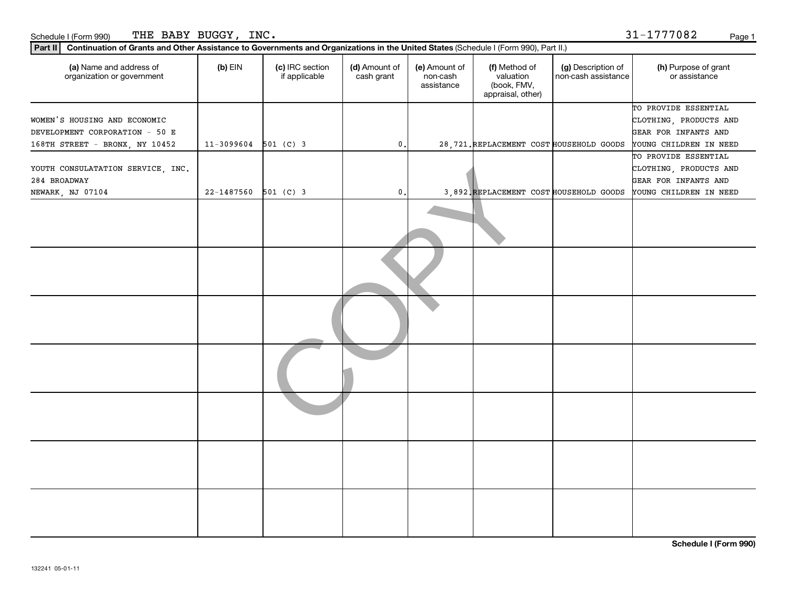| THE BABY BUGGY, INC.<br>Schedule I (Form 990)                                                                                                                                                           |                |                                  |                             |                                         |                                                                |                                           | 31-1777082<br>Page 1                                                                             |
|---------------------------------------------------------------------------------------------------------------------------------------------------------------------------------------------------------|----------------|----------------------------------|-----------------------------|-----------------------------------------|----------------------------------------------------------------|-------------------------------------------|--------------------------------------------------------------------------------------------------|
| Continuation of Grants and Other Assistance to Governments and Organizations in the United States (Schedule I (Form 990), Part II.)<br>Part II<br>(a) Name and address of<br>organization or government | (b) EIN        | (c) IRC section<br>if applicable | (d) Amount of<br>cash grant | (e) Amount of<br>non-cash<br>assistance | (f) Method of<br>valuation<br>(book, FMV,<br>appraisal, other) | (g) Description of<br>non-cash assistance | (h) Purpose of grant<br>or assistance                                                            |
| WOMEN'S HOUSING AND ECONOMIC<br>DEVELOPMENT CORPORATION - 50 E<br>168TH STREET - BRONX, NY 10452                                                                                                        | $11 - 3099604$ | $501$ (C) 3                      | $\mathbf{0}$ .              |                                         | 28.721. REPLACEMENT COST HOUSEHOLD GOODS                       |                                           | TO PROVIDE ESSENTIAL<br>CLOTHING, PRODUCTS AND<br>GEAR FOR INFANTS AND<br>YOUNG CHILDREN IN NEED |
| YOUTH CONSULATATION SERVICE, INC.<br>284 BROADWAY<br>NEWARK, NJ 07104                                                                                                                                   | 22-1487560     | $501$ (C) 3                      | $\mathbf{0}$ .              |                                         | 3 892 REPLACEMENT COST HOUSEHOLD GOODS                         |                                           | TO PROVIDE ESSENTIAL<br>CLOTHING, PRODUCTS AND<br>GEAR FOR INFANTS AND<br>YOUNG CHILDREN IN NEED |
|                                                                                                                                                                                                         |                |                                  |                             |                                         |                                                                |                                           |                                                                                                  |

COPY TO PROVIDE ESSENTIAL CLOTHING, PRODUCTS AND GEAR FOR INFANTS AND SEHOLD GOODS YOUNG CHILDREN IN NEED TO PROVIDE ESSENTIAL CLOTHING, PRODUCTS AND GEAR FOR INFANTS AND SEHOLD GOODS YOUNG CHILDREN IN NEED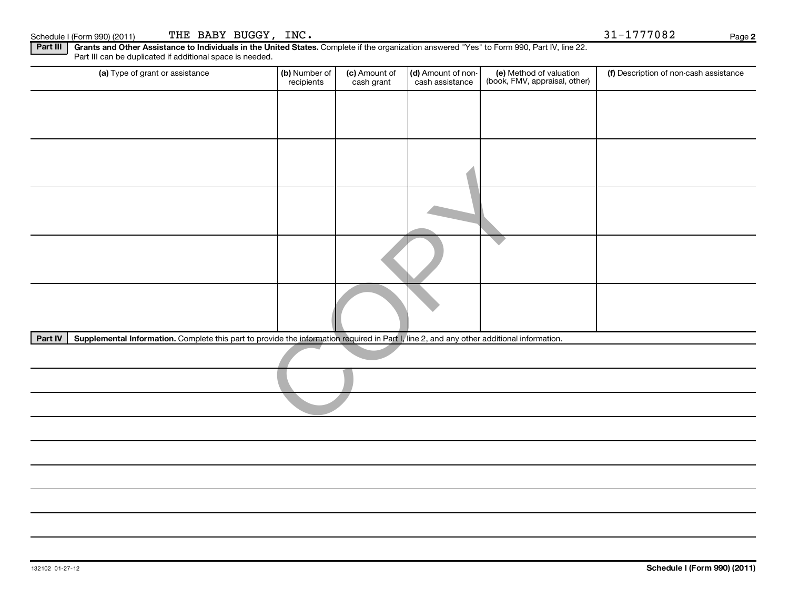| (a) Type of grant or assistance                                                                                                                      | (b) Number of<br>recipients | (c) Amount of<br>cash grant | (d) Amount of non-<br>cash assistance | (e) Method of valuation<br>(book, FMV, appraisal, other) | (f) Description of non-cash assistance |
|------------------------------------------------------------------------------------------------------------------------------------------------------|-----------------------------|-----------------------------|---------------------------------------|----------------------------------------------------------|----------------------------------------|
|                                                                                                                                                      |                             |                             |                                       |                                                          |                                        |
|                                                                                                                                                      |                             |                             |                                       |                                                          |                                        |
|                                                                                                                                                      |                             |                             |                                       |                                                          |                                        |
|                                                                                                                                                      |                             |                             |                                       |                                                          |                                        |
|                                                                                                                                                      |                             |                             |                                       |                                                          |                                        |
|                                                                                                                                                      |                             |                             |                                       |                                                          |                                        |
|                                                                                                                                                      |                             |                             |                                       |                                                          |                                        |
| Supplemental Information. Complete this part to provide the information required in Part I, line 2, and any other additional information.<br>Part IV |                             |                             |                                       |                                                          |                                        |
|                                                                                                                                                      |                             |                             |                                       |                                                          |                                        |
|                                                                                                                                                      |                             |                             |                                       |                                                          |                                        |
|                                                                                                                                                      |                             |                             |                                       |                                                          |                                        |
|                                                                                                                                                      |                             |                             |                                       |                                                          |                                        |
|                                                                                                                                                      |                             |                             |                                       |                                                          |                                        |
|                                                                                                                                                      |                             |                             |                                       |                                                          |                                        |
|                                                                                                                                                      |                             |                             |                                       |                                                          |                                        |

Complete if the organization answered "Yes" to Form 990, Part IV, line 22.

**2**

Schedule I (Form 990) (2011) Page THE BABY BUGGY, INC. 2008 2012 12:31 1777082

**Part III Grants and Other Assistance to Individuals in the United States.** 

Part III can be duplicated if additional space is needed.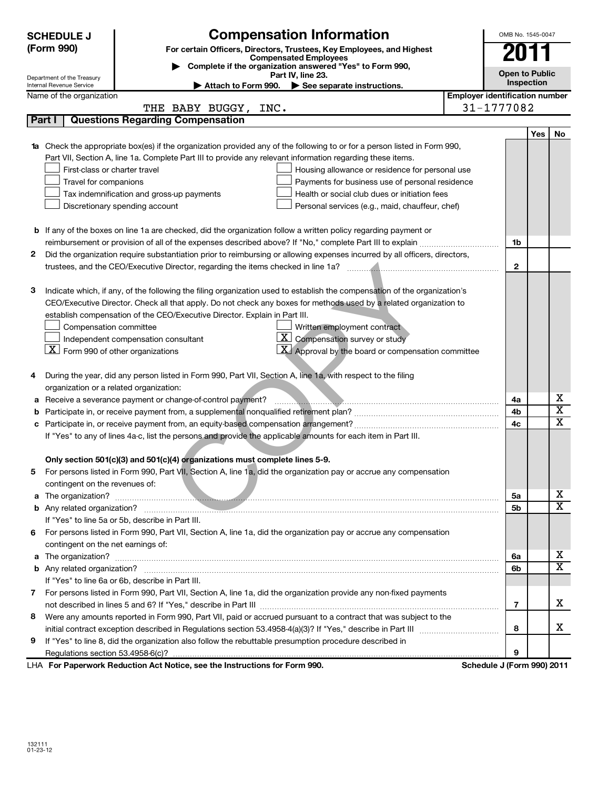|    | <b>Compensation Information</b><br><b>SCHEDULE J</b>                                                                                                                                             |                                       | OMB No. 1545-0047     |                              |  |  |  |
|----|--------------------------------------------------------------------------------------------------------------------------------------------------------------------------------------------------|---------------------------------------|-----------------------|------------------------------|--|--|--|
|    | (Form 990)<br>For certain Officers, Directors, Trustees, Key Employees, and Highest<br><b>Compensated Employees</b>                                                                              |                                       |                       |                              |  |  |  |
|    | Complete if the organization answered "Yes" to Form 990,                                                                                                                                         |                                       | <b>Open to Public</b> |                              |  |  |  |
|    | Part IV, line 23.<br>Department of the Treasury<br>Internal Revenue Service<br>Attach to Form 990. See separate instructions.                                                                    |                                       | Inspection            |                              |  |  |  |
|    | Name of the organization                                                                                                                                                                         | <b>Employer identification number</b> |                       |                              |  |  |  |
|    | THE BABY BUGGY, INC.                                                                                                                                                                             | 31-1777082                            |                       |                              |  |  |  |
|    | <b>Questions Regarding Compensation</b><br>Part I                                                                                                                                                |                                       |                       |                              |  |  |  |
|    |                                                                                                                                                                                                  |                                       | Yes                   | No                           |  |  |  |
|    | 1a Check the appropriate box(es) if the organization provided any of the following to or for a person listed in Form 990,                                                                        |                                       |                       |                              |  |  |  |
|    | Part VII, Section A, line 1a. Complete Part III to provide any relevant information regarding these items.                                                                                       |                                       |                       |                              |  |  |  |
|    | First-class or charter travel<br>Housing allowance or residence for personal use                                                                                                                 |                                       |                       |                              |  |  |  |
|    | Travel for companions<br>Payments for business use of personal residence                                                                                                                         |                                       |                       |                              |  |  |  |
|    | Tax indemnification and gross-up payments<br>Health or social club dues or initiation fees                                                                                                       |                                       |                       |                              |  |  |  |
|    | Discretionary spending account<br>Personal services (e.g., maid, chauffeur, chef)                                                                                                                |                                       |                       |                              |  |  |  |
|    |                                                                                                                                                                                                  |                                       |                       |                              |  |  |  |
|    | <b>b</b> If any of the boxes on line 1a are checked, did the organization follow a written policy regarding payment or                                                                           |                                       |                       |                              |  |  |  |
|    |                                                                                                                                                                                                  | 1b                                    |                       |                              |  |  |  |
| 2  | Did the organization require substantiation prior to reimbursing or allowing expenses incurred by all officers, directors,                                                                       | $\mathbf{2}$                          |                       |                              |  |  |  |
|    |                                                                                                                                                                                                  |                                       |                       |                              |  |  |  |
| з  | Indicate which, if any, of the following the filing organization used to establish the compensation of the organization's                                                                        |                                       |                       |                              |  |  |  |
|    | CEO/Executive Director. Check all that apply. Do not check any boxes for methods used by a related organization to                                                                               |                                       |                       |                              |  |  |  |
|    | establish compensation of the CEO/Executive Director. Explain in Part III.                                                                                                                       |                                       |                       |                              |  |  |  |
|    | Compensation committee<br>Written employment contract                                                                                                                                            |                                       |                       |                              |  |  |  |
|    | $\mathbf{X}$ Compensation survey or study<br>Independent compensation consultant                                                                                                                 |                                       |                       |                              |  |  |  |
|    | $\underline{\mathbf{X}}$ Form 990 of other organizations<br>$\mathbf{X}$ Approval by the board or compensation committee                                                                         |                                       |                       |                              |  |  |  |
|    |                                                                                                                                                                                                  |                                       |                       |                              |  |  |  |
| 4  | During the year, did any person listed in Form 990, Part VII, Section A, line 1a, with respect to the filing                                                                                     |                                       |                       |                              |  |  |  |
|    | organization or a related organization:                                                                                                                                                          |                                       |                       |                              |  |  |  |
| а  | Receive a severance payment or change-of-control payment?                                                                                                                                        | 4a                                    |                       | x                            |  |  |  |
| b  |                                                                                                                                                                                                  | 4b<br>4c                              |                       | $\overline{\textbf{x}}$<br>X |  |  |  |
| с  |                                                                                                                                                                                                  |                                       |                       |                              |  |  |  |
|    | If "Yes" to any of lines 4a-c, list the persons and provide the applicable amounts for each item in Part III.                                                                                    |                                       |                       |                              |  |  |  |
|    |                                                                                                                                                                                                  |                                       |                       |                              |  |  |  |
|    | Only section 501(c)(3) and 501(c)(4) organizations must complete lines 5-9.<br>For persons listed in Form 990, Part VII, Section A, line 1a, did the organization pay or accrue any compensation |                                       |                       |                              |  |  |  |
|    | contingent on the revenues of:                                                                                                                                                                   |                                       |                       |                              |  |  |  |
|    |                                                                                                                                                                                                  | 5a                                    |                       | X                            |  |  |  |
|    |                                                                                                                                                                                                  | 5b                                    |                       | $\overline{\mathtt{x}}$      |  |  |  |
|    | If "Yes" to line 5a or 5b, describe in Part III.                                                                                                                                                 |                                       |                       |                              |  |  |  |
| 6  | For persons listed in Form 990, Part VII, Section A, line 1a, did the organization pay or accrue any compensation                                                                                |                                       |                       |                              |  |  |  |
|    | contingent on the net earnings of:                                                                                                                                                               |                                       |                       |                              |  |  |  |
|    |                                                                                                                                                                                                  | 6a                                    |                       | x                            |  |  |  |
|    |                                                                                                                                                                                                  | 6b                                    |                       | $\overline{\mathtt{x}}$      |  |  |  |
|    | If "Yes" to line 6a or 6b, describe in Part III.                                                                                                                                                 |                                       |                       |                              |  |  |  |
| 7. | For persons listed in Form 990, Part VII, Section A, line 1a, did the organization provide any non-fixed payments                                                                                |                                       |                       |                              |  |  |  |
|    |                                                                                                                                                                                                  | $\overline{7}$                        |                       | x                            |  |  |  |
| 8  | Were any amounts reported in Form 990, Part VII, paid or accrued pursuant to a contract that was subject to the                                                                                  |                                       |                       |                              |  |  |  |
|    |                                                                                                                                                                                                  | 8                                     |                       | x                            |  |  |  |
| 9  | If "Yes" to line 8, did the organization also follow the rebuttable presumption procedure described in                                                                                           |                                       |                       |                              |  |  |  |
|    |                                                                                                                                                                                                  | 9                                     |                       |                              |  |  |  |
|    | LHA For Paperwork Reduction Act Notice, see the Instructions for Form 990.                                                                                                                       | Schedule J (Form 990) 2011            |                       |                              |  |  |  |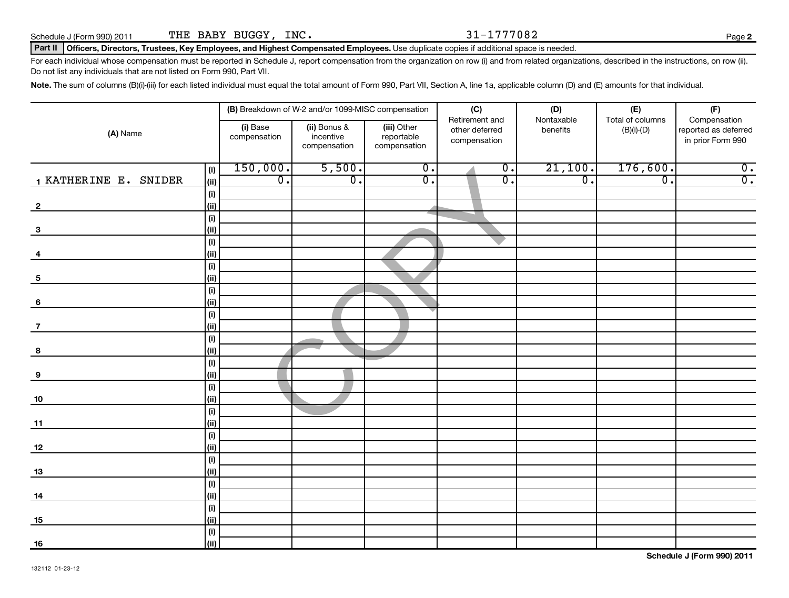### Part II | Officers, Directors, Trustees, Key Employees, and Highest Compensated Employees. Use duplicate copies if additional space is needed.

For each individual whose compensation must be reported in Schedule J, report compensation from the organization on row (i) and from related organizations, described in the instructions, on row (ii). Do not list any individuals that are not listed on Form 990, Part VII.

Note. The sum of columns (B)(i)-(iii) for each listed individual must equal the total amount of Form 990, Part VII, Section A, line 1a, applicable column (D) and (E) amounts for that individual.

|                         |                                      |                                                       | (B) Breakdown of W-2 and/or 1099-MISC compensation |                             | (C)<br>Retirement and       | (D)<br>Nontaxable | (E)<br>Total of columns | (F)<br>Compensation  |
|-------------------------|--------------------------------------|-------------------------------------------------------|----------------------------------------------------|-----------------------------|-----------------------------|-------------------|-------------------------|----------------------|
| (A) Name                |                                      | (i) Base<br>(ii) Bonus &<br>incentive<br>compensation |                                                    | (iii) Other<br>reportable   | other deferred              | benefits          | $(B)(i)-(D)$            | reported as deferred |
|                         |                                      |                                                       | compensation                                       | compensation                | compensation                |                   |                         | in prior Form 990    |
|                         | (i)                                  | 150,000.                                              | 5,500.                                             | $\overline{0}$ .            | $\overline{\mathfrak{o}}$ . | 21,100.           | 176,600.                | $\overline{0}$ .     |
| 1 KATHERINE E. SNIDER   | (ii)                                 | $\overline{0}$ .                                      | $\overline{0}$ .                                   | $\overline{\mathfrak{o}}$ . | $\overline{0}$ .            | $\overline{0}$ .  | $\overline{0}$ .        | $\overline{0}$ .     |
|                         | (i)                                  |                                                       |                                                    |                             |                             |                   |                         |                      |
| $\overline{\mathbf{2}}$ | (ii)                                 |                                                       |                                                    |                             |                             |                   |                         |                      |
|                         | (i)                                  |                                                       |                                                    |                             |                             |                   |                         |                      |
| $\mathbf{3}$            | (ii)                                 |                                                       |                                                    |                             |                             |                   |                         |                      |
|                         | $\qquad \qquad \textbf{(i)}$<br>(ii) |                                                       |                                                    |                             |                             |                   |                         |                      |
| 4                       | (i)                                  |                                                       |                                                    |                             |                             |                   |                         |                      |
| $\overline{\mathbf{5}}$ | (ii)                                 |                                                       |                                                    |                             |                             |                   |                         |                      |
|                         | (i)                                  |                                                       |                                                    |                             |                             |                   |                         |                      |
| 6                       | (ii)                                 |                                                       |                                                    |                             |                             |                   |                         |                      |
|                         | $\qquad \qquad \textbf{(i)}$         |                                                       |                                                    |                             |                             |                   |                         |                      |
| $\overline{7}$          | (ii)                                 |                                                       |                                                    |                             |                             |                   |                         |                      |
|                         | (i)                                  |                                                       |                                                    |                             |                             |                   |                         |                      |
| 8                       | (ii)                                 |                                                       |                                                    |                             |                             |                   |                         |                      |
|                         | (i)                                  |                                                       |                                                    |                             |                             |                   |                         |                      |
| $\boldsymbol{9}$        | (ii)                                 |                                                       |                                                    |                             |                             |                   |                         |                      |
|                         | (i)                                  |                                                       |                                                    |                             |                             |                   |                         |                      |
| 10                      | (ii)                                 |                                                       |                                                    |                             |                             |                   |                         |                      |
|                         | $\overline{(\mathsf{i})}$            |                                                       |                                                    |                             |                             |                   |                         |                      |
| 11                      | (ii)<br>(i)                          |                                                       |                                                    |                             |                             |                   |                         |                      |
| 12                      | (ii)                                 |                                                       |                                                    |                             |                             |                   |                         |                      |
|                         | (i)                                  |                                                       |                                                    |                             |                             |                   |                         |                      |
| 13                      | (ii)                                 |                                                       |                                                    |                             |                             |                   |                         |                      |
|                         | (i)                                  |                                                       |                                                    |                             |                             |                   |                         |                      |
| 14                      | (ii)                                 |                                                       |                                                    |                             |                             |                   |                         |                      |
|                         | (i)                                  |                                                       |                                                    |                             |                             |                   |                         |                      |
| 15                      | (ii)                                 |                                                       |                                                    |                             |                             |                   |                         |                      |
|                         | (i)                                  |                                                       |                                                    |                             |                             |                   |                         |                      |
| 16                      | (ii)                                 |                                                       |                                                    |                             |                             |                   |                         |                      |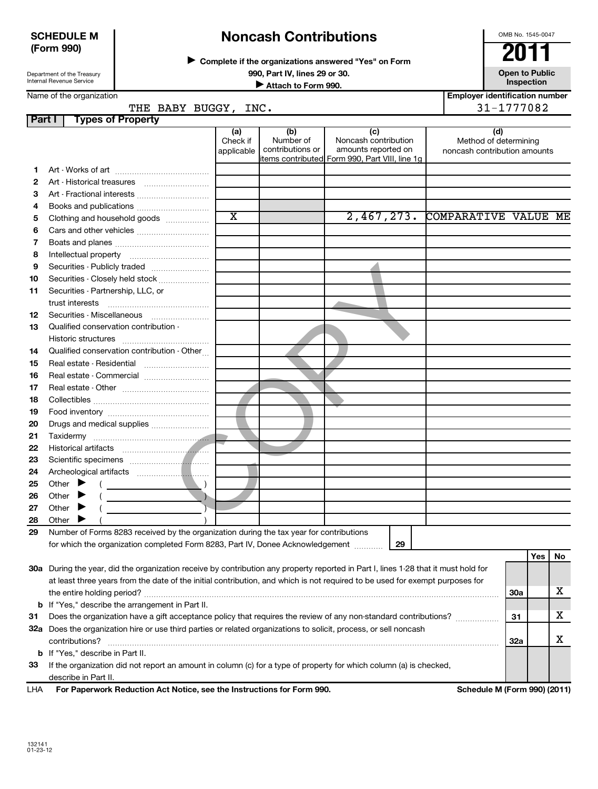# **SCHEDULE M (Form 990)**

# **Noncash Contributions**

**Complete if the organizations answered "Yes" on Form** <sup>J</sup>**2011**

**990, Part IV, lines 29 or 30. Open to Public University of Attach to Form 990. Open to Public University of Attach to Form 990. Inspection Inspection Inspection Inspection Inspection Employer identification number**

OMB No. 1545-0047

Name of the organization

| Part I | <b>Types of Property</b>                                                                                                                                                                                                                   |                       |                               |                                                        |                              |            |     |    |
|--------|--------------------------------------------------------------------------------------------------------------------------------------------------------------------------------------------------------------------------------------------|-----------------------|-------------------------------|--------------------------------------------------------|------------------------------|------------|-----|----|
|        |                                                                                                                                                                                                                                            | (a)                   | (b)                           | (c)                                                    | (d)                          |            |     |    |
|        |                                                                                                                                                                                                                                            | Check if              | Number of<br>contributions or | Noncash contribution<br>amounts reported on            | Method of determining        |            |     |    |
|        |                                                                                                                                                                                                                                            | applicable            |                               | items contr <u>ibuted</u> Form 990, Part VIII, line 1g | noncash contribution amounts |            |     |    |
| 1.     |                                                                                                                                                                                                                                            |                       |                               |                                                        |                              |            |     |    |
| 2      |                                                                                                                                                                                                                                            |                       |                               |                                                        |                              |            |     |    |
| З      | Art - Fractional interests                                                                                                                                                                                                                 |                       |                               |                                                        |                              |            |     |    |
| 4      |                                                                                                                                                                                                                                            |                       |                               |                                                        |                              |            |     |    |
| 5      | Clothing and household goods                                                                                                                                                                                                               | $\overline{\text{x}}$ |                               | 2,467,273.                                             | COMPARATIVE VALUE ME         |            |     |    |
| 6      |                                                                                                                                                                                                                                            |                       |                               |                                                        |                              |            |     |    |
| 7      |                                                                                                                                                                                                                                            |                       |                               |                                                        |                              |            |     |    |
| 8      |                                                                                                                                                                                                                                            |                       |                               |                                                        |                              |            |     |    |
| 9      | Securities - Publicly traded                                                                                                                                                                                                               |                       |                               |                                                        |                              |            |     |    |
| 10     | Securities - Closely held stock                                                                                                                                                                                                            |                       |                               |                                                        |                              |            |     |    |
| 11     | Securities - Partnership, LLC, or                                                                                                                                                                                                          |                       |                               |                                                        |                              |            |     |    |
|        |                                                                                                                                                                                                                                            |                       |                               |                                                        |                              |            |     |    |
| 12     | Securities - Miscellaneous                                                                                                                                                                                                                 |                       |                               |                                                        |                              |            |     |    |
| 13     | Qualified conservation contribution -                                                                                                                                                                                                      |                       |                               |                                                        |                              |            |     |    |
|        |                                                                                                                                                                                                                                            |                       |                               |                                                        |                              |            |     |    |
| 14     | Qualified conservation contribution - Other                                                                                                                                                                                                |                       |                               |                                                        |                              |            |     |    |
| 15     | Real estate - Residential                                                                                                                                                                                                                  |                       |                               |                                                        |                              |            |     |    |
| 16     |                                                                                                                                                                                                                                            |                       |                               |                                                        |                              |            |     |    |
| 17     |                                                                                                                                                                                                                                            |                       |                               |                                                        |                              |            |     |    |
| 18     |                                                                                                                                                                                                                                            |                       |                               |                                                        |                              |            |     |    |
| 19     |                                                                                                                                                                                                                                            |                       |                               |                                                        |                              |            |     |    |
| 20     | Drugs and medical supplies                                                                                                                                                                                                                 |                       |                               |                                                        |                              |            |     |    |
| 21     |                                                                                                                                                                                                                                            |                       |                               |                                                        |                              |            |     |    |
| 22     |                                                                                                                                                                                                                                            |                       |                               |                                                        |                              |            |     |    |
| 23     |                                                                                                                                                                                                                                            |                       |                               |                                                        |                              |            |     |    |
| 24     |                                                                                                                                                                                                                                            |                       |                               |                                                        |                              |            |     |    |
| 25     | Other $\blacktriangleright$                                                                                                                                                                                                                |                       |                               |                                                        |                              |            |     |    |
| 26     | <u>and the control of the control of the control of</u><br>Other $\blacktriangleright$                                                                                                                                                     |                       |                               |                                                        |                              |            |     |    |
| 27     | Other $\blacktriangleright$                                                                                                                                                                                                                |                       |                               |                                                        |                              |            |     |    |
| 28     | Other $\blacktriangleright$                                                                                                                                                                                                                |                       |                               |                                                        |                              |            |     |    |
| 29     | Number of Forms 8283 received by the organization during the tax year for contributions                                                                                                                                                    |                       |                               |                                                        |                              |            |     |    |
|        | for which the organization completed Form 8283, Part IV, Donee Acknowledgement                                                                                                                                                             |                       |                               | 29                                                     |                              |            |     |    |
|        |                                                                                                                                                                                                                                            |                       |                               |                                                        |                              |            | Yes | No |
|        | 30a During the year, did the organization receive by contribution any property reported in Part I, lines 1-28 that it must hold for                                                                                                        |                       |                               |                                                        |                              |            |     |    |
|        | at least three years from the date of the initial contribution, and which is not required to be used for exempt purposes for                                                                                                               |                       |                               |                                                        |                              |            |     |    |
|        |                                                                                                                                                                                                                                            |                       |                               |                                                        |                              | 30a        |     | x  |
|        |                                                                                                                                                                                                                                            |                       |                               |                                                        |                              |            |     |    |
|        | <b>b</b> If "Yes," describe the arrangement in Part II.                                                                                                                                                                                    |                       |                               |                                                        |                              |            |     | x  |
| 31     | Does the organization have a gift acceptance policy that requires the review of any non-standard contributions?<br>31<br>32a Does the organization hire or use third parties or related organizations to solicit, process, or sell noncash |                       |                               |                                                        |                              |            |     |    |
|        | contributions?                                                                                                                                                                                                                             |                       |                               |                                                        |                              |            |     | х  |
|        |                                                                                                                                                                                                                                            |                       |                               |                                                        |                              | <b>32a</b> |     |    |
|        | <b>b</b> If "Yes," describe in Part II.                                                                                                                                                                                                    |                       |                               |                                                        |                              |            |     |    |
| 33     | If the organization did not report an amount in column (c) for a type of property for which column (a) is checked,                                                                                                                         |                       |                               |                                                        |                              |            |     |    |
|        | describe in Part II.<br>For Paperwork Reduction Act Notice, see the Instructions for Form 990.                                                                                                                                             |                       |                               |                                                        |                              |            |     |    |
| LHA    |                                                                                                                                                                                                                                            |                       |                               |                                                        | Schedule M (Form 990) (2011) |            |     |    |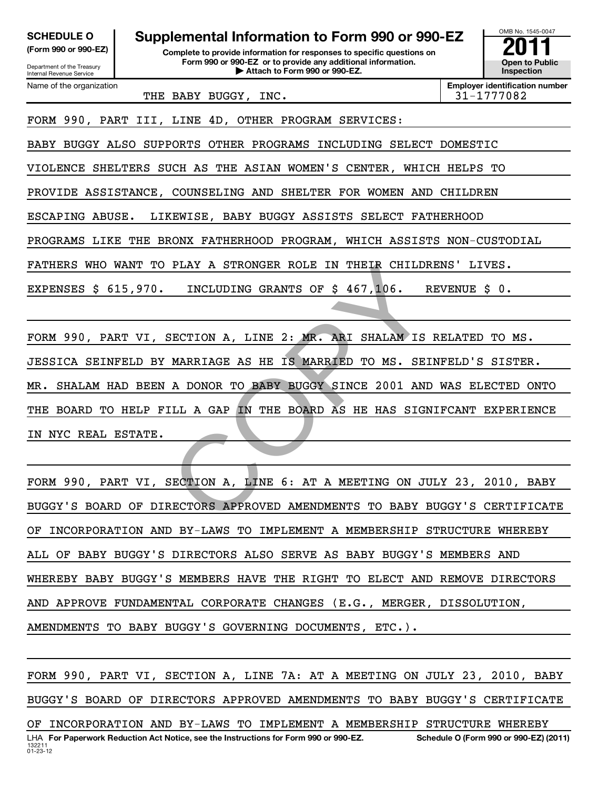| <b>SCHEDULE O</b><br>(Form 990 or 990-EZ)<br>Department of the Treasury<br>Internal Revenue Service | Supplemental Information to Form 990 or 990-EZ<br>Complete to provide information for responses to specific questions on<br>Form 990 or 990-EZ or to provide any additional information.<br>Attach to Form 990 or 990-EZ. |                                                     |  |  |  |  |  |
|-----------------------------------------------------------------------------------------------------|---------------------------------------------------------------------------------------------------------------------------------------------------------------------------------------------------------------------------|-----------------------------------------------------|--|--|--|--|--|
| Name of the organization                                                                            | THE BABY BUGGY, INC.                                                                                                                                                                                                      | <b>Employer identification number</b><br>31-1777082 |  |  |  |  |  |
|                                                                                                     | FORM 990, PART III, LINE 4D, OTHER PROGRAM SERVICES:                                                                                                                                                                      |                                                     |  |  |  |  |  |
|                                                                                                     | BABY BUGGY ALSO SUPPORTS OTHER PROGRAMS INCLUDING SELECT DOMESTIC                                                                                                                                                         |                                                     |  |  |  |  |  |
|                                                                                                     | VIOLENCE SHELTERS SUCH AS THE ASIAN WOMEN'S CENTER, WHICH HELPS TO                                                                                                                                                        |                                                     |  |  |  |  |  |
|                                                                                                     | PROVIDE ASSISTANCE, COUNSELING AND SHELTER FOR WOMEN AND CHILDREN                                                                                                                                                         |                                                     |  |  |  |  |  |
| ESCAPING ABUSE.                                                                                     | LIKEWISE, BABY BUGGY ASSISTS SELECT FATHERHOOD                                                                                                                                                                            |                                                     |  |  |  |  |  |
| PROGRAMS LIKE THE BRONX FATHERHOOD PROGRAM, WHICH ASSISTS NON-CUSTODIAL                             |                                                                                                                                                                                                                           |                                                     |  |  |  |  |  |
| FATHERS WHO WANT TO PLAY A STRONGER ROLE IN THEIR CHILDRENS' LIVES.                                 |                                                                                                                                                                                                                           |                                                     |  |  |  |  |  |
| INCLUDING GRANTS OF \$ 467,106.<br>EXPENSES $$615,970.$<br>REVENUE \$ 0.                            |                                                                                                                                                                                                                           |                                                     |  |  |  |  |  |
|                                                                                                     |                                                                                                                                                                                                                           |                                                     |  |  |  |  |  |
|                                                                                                     |                                                                                                                                                                                                                           |                                                     |  |  |  |  |  |

PLAY A STRONGER ROLE IN THEIR CHILDE<br>
INCLUDING GRANTS OF \$467,106. R<br>
SECTION A, LINE 2: MR. ARI SHALAM IS<br>
MARRIAGE AS HE IS MARRIED TO MS. SEI<br>
A DONOR TO BABY BUGGY SINCE 2001 AND<br>
ILL A GAP IN THE BOARD AS HE HAS SIGN FORM 990, PART VI, SECTION A, LINE 2: MR. ARI SHALAM IS RELATED TO MS. JESSICA SEINFELD BY MARRIAGE AS HE IS MARRIED TO MS. SEINFELD'S SISTER. MR. SHALAM HAD BEEN A DONOR TO BABY BUGGY SINCE 2001 AND WAS ELECTED ONTO THE BOARD TO HELP FILL A GAP IN THE BOARD AS HE HAS SIGNIFCANT EXPERIENCE IN NYC REAL ESTATE.

FORM 990, PART VI, SECTION A, LINE 6: AT A MEETING ON JULY 23, 2010, BABY BUGGY'S BOARD OF DIRECTORS APPROVED AMENDMENTS TO BABY BUGGY'S CERTIFICATE OF INCORPORATION AND BY-LAWS TO IMPLEMENT A MEMBERSHIP STRUCTURE WHEREBY ALL OF BABY BUGGY'S DIRECTORS ALSO SERVE AS BABY BUGGY'S MEMBERS AND WHEREBY BABY BUGGY'S MEMBERS HAVE THE RIGHT TO ELECT AND REMOVE DIRECTORS AND APPROVE FUNDAMENTAL CORPORATE CHANGES (E.G., MERGER, DISSOLUTION, AMENDMENTS TO BABY BUGGY'S GOVERNING DOCUMENTS, ETC.).

132211 01-23-12 LHA For Paperwork Reduction Act Notice, see the Instructions for Form 990 or 990-EZ. Schedule O (Form 990 or 990-EZ) (2011) FORM 990, PART VI, SECTION A, LINE 7A: AT A MEETING ON JULY 23, 2010, BABY BUGGY'S BOARD OF DIRECTORS APPROVED AMENDMENTS TO BABY BUGGY'S CERTIFICATE OF INCORPORATION AND BY-LAWS TO IMPLEMENT A MEMBERSHIP STRUCTURE WHEREBY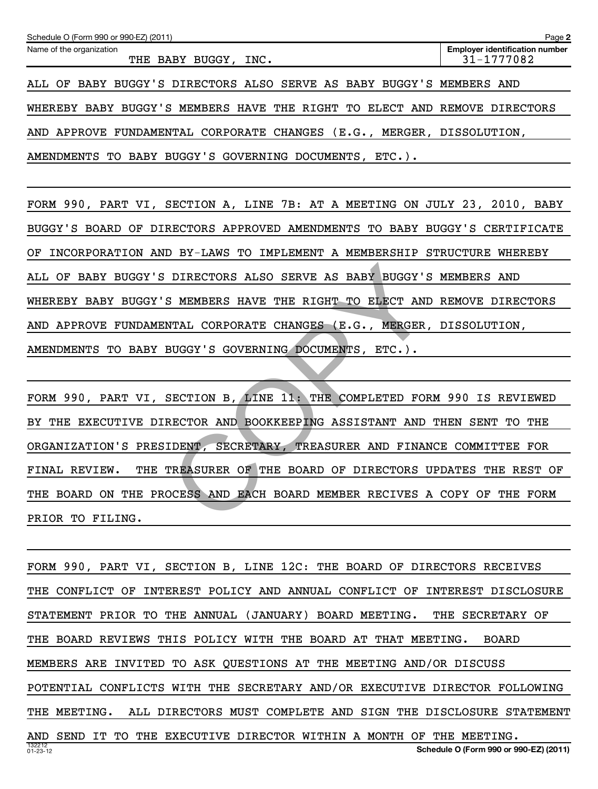| Page 2<br>Schedule O (Form 990 or 990-EZ) (2011)                          |                                                     |  |  |  |  |
|---------------------------------------------------------------------------|-----------------------------------------------------|--|--|--|--|
| Name of the organization<br>THE BABY BUGGY, INC.                          | <b>Employer identification number</b><br>31-1777082 |  |  |  |  |
| ALL OF BABY BUGGY'S DIRECTORS ALSO SERVE AS BABY BUGGY'S MEMBERS AND      |                                                     |  |  |  |  |
| WHEREBY BABY BUGGY'S MEMBERS HAVE THE RIGHT TO ELECT AND REMOVE DIRECTORS |                                                     |  |  |  |  |
| AND APPROVE FUNDAMENTAL CORPORATE CHANGES (E.G., MERGER, DISSOLUTION,     |                                                     |  |  |  |  |
| AMENDMENTS TO BABY BUGGY'S GOVERNING DOCUMENTS, ETC.).                    |                                                     |  |  |  |  |

FORM 990, PART VI, SECTION A, LINE 7B: AT A MEETING ON JULY 23, 2010, BABY BUGGY'S BOARD OF DIRECTORS APPROVED AMENDMENTS TO BABY BUGGY'S CERTIFICATE OF INCORPORATION AND BY-LAWS TO IMPLEMENT A MEMBERSHIP STRUCTURE WHEREBY ALL OF BABY BUGGY'S DIRECTORS ALSO SERVE AS BABY BUGGY'S MEMBERS AND WHEREBY BABY BUGGY'S MEMBERS HAVE THE RIGHT TO ELECT AND REMOVE DIRECTORS AND APPROVE FUNDAMENTAL CORPORATE CHANGES (E.G., MERGER, DISSOLUTION, AMENDMENTS TO BABY BUGGY'S GOVERNING DOCUMENTS, ETC.).

DIRECTORS ALSO SERVE AS BABY BUGGY'S<br>
S MEMBERS HAVE THE RIGHT TO ELECT AND<br>
NTAL CORPORATE CHANGES (E.G., MERGER,<br>
BUGGY'S GOVERNING DOCUMENTS, ETC.).<br>
SECTION B, LINE 11: THE COMPLETED FOR<br>
RECTOR AND BOOKKEEPING ASSISTA FORM 990, PART VI, SECTION B, LINE 11: THE COMPLETED FORM 990 IS REVIEWED BY THE EXECUTIVE DIRECTOR AND BOOKKEEPING ASSISTANT AND THEN SENT TO THE ORGANIZATION'S PRESIDENT, SECRETARY, TREASURER AND FINANCE COMMITTEE FOR FINAL REVIEW. THE TREASURER OF THE BOARD OF DIRECTORS UPDATES THE REST OF THE BOARD ON THE PROCESS AND EACH BOARD MEMBER RECIVES A COPY OF THE FORM PRIOR TO FILING.

132212 01-23-12 **Schedule O (Form 990 or 990-EZ) (2011)** FORM 990, PART VI, SECTION B, LINE 12C: THE BOARD OF DIRECTORS RECEIVES THE CONFLICT OF INTEREST POLICY AND ANNUAL CONFLICT OF INTEREST DISCLOSURE STATEMENT PRIOR TO THE ANNUAL (JANUARY) BOARD MEETING. THE SECRETARY OF THE BOARD REVIEWS THIS POLICY WITH THE BOARD AT THAT MEETING. BOARD MEMBERS ARE INVITED TO ASK QUESTIONS AT THE MEETING AND/OR DISCUSS POTENTIAL CONFLICTS WITH THE SECRETARY AND/OR EXECUTIVE DIRECTOR FOLLOWING THE MEETING. ALL DIRECTORS MUST COMPLETE AND SIGN THE DISCLOSURE STATEMENT AND SEND IT TO THE EXECUTIVE DIRECTOR WITHIN A MONTH OF THE MEETING.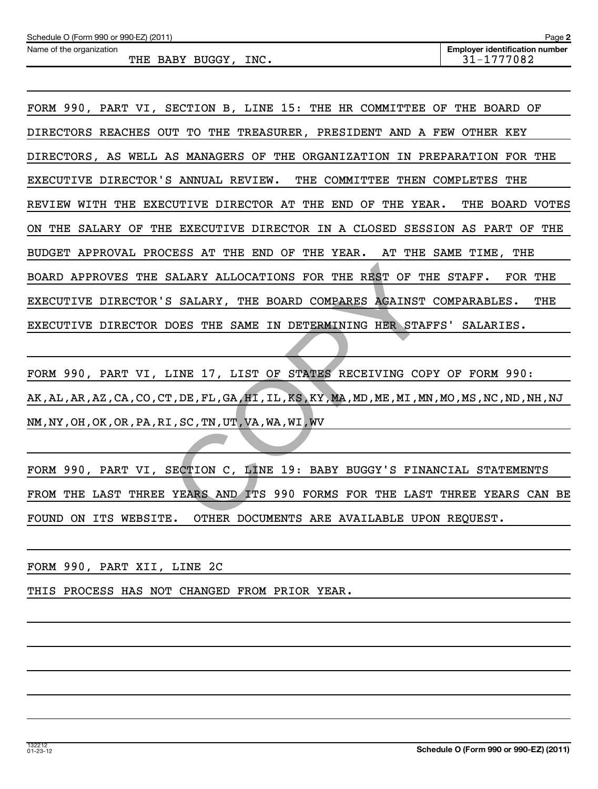SALARY ALLOCATIONS FOR THE REST OF THE<br>S SALARY, THE BOARD COMPARES AGAINST<br>DOES THE SAME IN DETERMINING HER STAF<br>LINE 17, LIST OF STATES RECEIVING COF<br>T, DE, FL, GA, HI, IL, KS, KY, MA, MD, ME, MI, MN<br>I, SC, TN, UT, VA, W FORM 990, PART VI, SECTION B, LINE 15: THE HR COMMITTEE OF THE BOARD OF DIRECTORS REACHES OUT TO THE TREASURER, PRESIDENT AND A FEW OTHER KEY DIRECTORS, AS WELL AS MANAGERS OF THE ORGANIZATION IN PREPARATION FOR THE EXECUTIVE DIRECTOR'S ANNUAL REVIEW. THE COMMITTEE THEN COMPLETES THE REVIEW WITH THE EXECUTIVE DIRECTOR AT THE END OF THE YEAR. THE BOARD VOTES ON THE SALARY OF THE EXECUTIVE DIRECTOR IN A CLOSED SESSION AS PART OF THE BUDGET APPROVAL PROCESS AT THE END OF THE YEAR. AT THE SAME TIME, THE BOARD APPROVES THE SALARY ALLOCATIONS FOR THE REST OF THE STAFF. FOR THE EXECUTIVE DIRECTOR'S SALARY, THE BOARD COMPARES AGAINST COMPARABLES. THE EXECUTIVE DIRECTOR DOES THE SAME IN DETERMINING HER STAFFS' SALARIES.

FORM 990, PART VI, LINE 17, LIST OF STATES RECEIVING COPY OF FORM 990: AK,AL,AR,AZ,CA,CO,CT,DE,FL,GA,HI,IL,KS,KY,MA,MD,ME,MI,MN,MO,MS,NC,ND,NH,NJ NM,NY,OH,OK,OR,PA,RI,SC,TN,UT,VA,WA,WI,WV

FORM 990, PART VI, SECTION C, LINE 19: BABY BUGGY'S FINANCIAL STATEMENTS FROM THE LAST THREE YEARS AND ITS 990 FORMS FOR THE LAST THREE YEARS CAN BE FOUND ON ITS WEBSITE. OTHER DOCUMENTS ARE AVAILABLE UPON REQUEST.

FORM 990, PART XII, LINE 2C

THIS PROCESS HAS NOT CHANGED FROM PRIOR YEAR.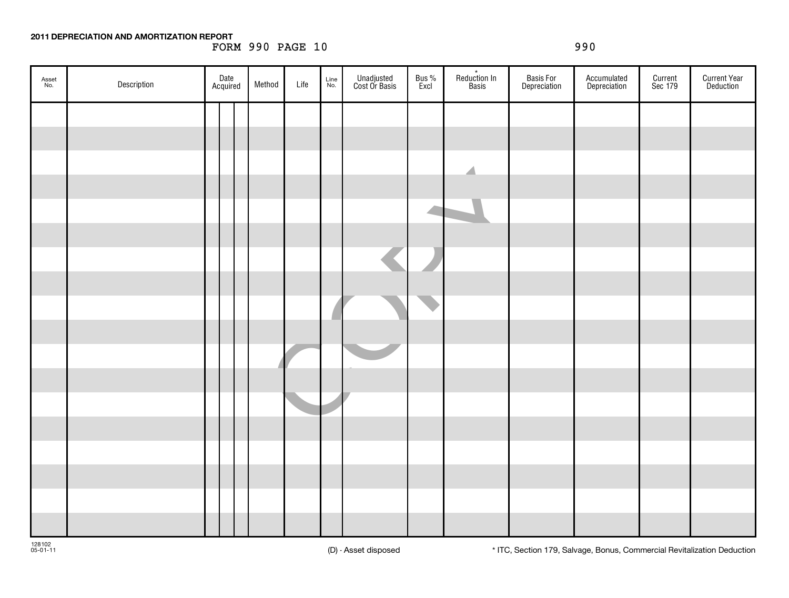### **2011 DEPRECIATION AND AMORTIZATION REPORT**

FORM 990 PAGE 10 990

| Asset<br>No. | Description | Date<br>Acquired |  | Method | Life | Line<br>No. | Unadjusted<br>Cost Or Basis | Bus %<br>Excl | Reduction In<br>Basis    | Basis For<br>Depreciation | Accumulated<br>Depreciation | Current<br>Sec 179 | <b>Current Year</b><br>Deduction |
|--------------|-------------|------------------|--|--------|------|-------------|-----------------------------|---------------|--------------------------|---------------------------|-----------------------------|--------------------|----------------------------------|
|              |             |                  |  |        |      |             |                             |               |                          |                           |                             |                    |                                  |
|              |             |                  |  |        |      |             |                             |               |                          |                           |                             |                    |                                  |
|              |             |                  |  |        |      |             |                             |               | $\overline{\phantom{a}}$ |                           |                             |                    |                                  |
|              |             |                  |  |        |      |             |                             |               |                          |                           |                             |                    |                                  |
|              |             |                  |  |        |      |             |                             |               |                          |                           |                             |                    |                                  |
|              |             |                  |  |        |      |             |                             |               |                          |                           |                             |                    |                                  |
|              |             |                  |  |        |      |             |                             |               |                          |                           |                             |                    |                                  |
|              |             |                  |  |        |      |             |                             |               |                          |                           |                             |                    |                                  |
|              |             |                  |  |        |      |             |                             |               |                          |                           |                             |                    |                                  |
|              |             |                  |  |        |      |             |                             |               |                          |                           |                             |                    |                                  |
|              |             |                  |  |        |      |             |                             |               |                          |                           |                             |                    |                                  |
|              |             |                  |  |        |      |             |                             |               |                          |                           |                             |                    |                                  |
|              |             |                  |  |        |      |             |                             |               |                          |                           |                             |                    |                                  |
|              |             |                  |  |        |      |             |                             |               |                          |                           |                             |                    |                                  |
|              |             |                  |  |        |      |             |                             |               |                          |                           |                             |                    |                                  |
|              |             |                  |  |        |      |             |                             |               |                          |                           |                             |                    |                                  |
|              |             |                  |  |        |      |             |                             |               |                          |                           |                             |                    |                                  |
|              |             |                  |  |        |      |             |                             |               |                          |                           |                             |                    |                                  |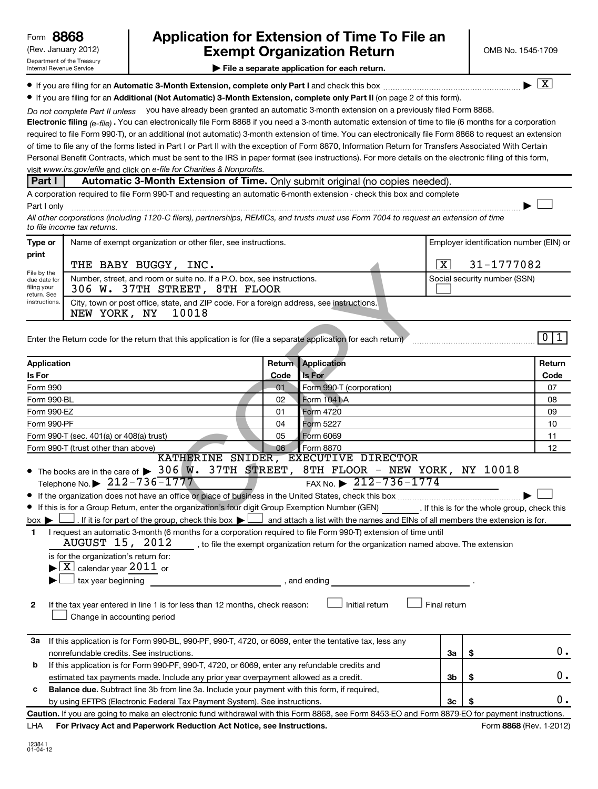# (Rev. January 2012) **Cxempt Organization Return** Manuary 2012) OMB No. 1545-1709 **8868 Application for Extension of Time To File an**

 $\lfloor x \rfloor$ 

 $\Box$ 

**| File a separate application for each return.**

**If you are filing for an Automatic 3-Month Extension, complete only Part I** and check this box  $\ldots$  $\ldots$  $\ldots$  $\ldots$  $\ldots$  $\ldots$ 

**• If you are filing for an Additional (Not Automatic) 3-Month Extension, complete only Part II (on page 2 of this form).** 

Do not complete Part II unless you have already been granted an automatic 3-month extension on a previously filed Form 8868.

**Electronic filing** <sub>(e-file)  $.$  You can electronically file Form 8868 if you need a 3-month automatic extension of time to file (6 months for a corporation</sub> visit www.irs.gov/efile and click on e-file for Charities & Nonprofits. required to file Form 990-T), or an additional (not automatic) 3-month extension of time. You can electronically file Form 8868 to request an extension of time to file any of the forms listed in Part I or Part II with the exception of Form 8870, Information Return for Transfers Associated With Certain Personal Benefit Contracts, which must be sent to the IRS in paper format (see instructions). For more details on the electronic filing of this form,

### **Part I** Automatic 3-Month Extension of Time. Only submit original (no copies needed).

A corporation required to file Form 990-T and requesting an automatic 6-month extension - check this box and complete Part I only ~~~~~~~~~~~~~~~~~~~~~~~~~~~~~~~~~~~~~~~~~~~~~~~~~~~~~~~~~~~~~~ |

*All other corporations (including 1120-C filers), partnerships, REMICs, and trusts must use Form 7004 to request an extension of time to file income tax returns.*

| Type or                                                                    | Name of exempt organization or other filer, see instructions.                                                           | Employer identification number (EIN) or |                              |  |  |  |
|----------------------------------------------------------------------------|-------------------------------------------------------------------------------------------------------------------------|-----------------------------------------|------------------------------|--|--|--|
| print                                                                      | THE BABY BUGGY,<br>INC.                                                                                                 |                                         | 31-1777082                   |  |  |  |
| File by the<br>due date for<br>filing your<br>return. See<br>instructions. | Number, street, and room or suite no. If a P.O. box, see instructions.<br>306 W. 37TH STREET, 8TH FLOOR                 |                                         | Social security number (SSN) |  |  |  |
|                                                                            | City, town or post office, state, and ZIP code. For a foreign address, see instructions.<br>10018<br>ΝY<br>YORK,<br>NEW |                                         |                              |  |  |  |

|                                                           | THE BABY BUGGY, INC.                                                                                                                                                                                                                                                                                                                                                                                                                                                                                                                                                                                                                                                                                                                                          | $\vert X \vert$<br>31-1777082 |                                                                                                                                                                     |              |    |                         |
|-----------------------------------------------------------|---------------------------------------------------------------------------------------------------------------------------------------------------------------------------------------------------------------------------------------------------------------------------------------------------------------------------------------------------------------------------------------------------------------------------------------------------------------------------------------------------------------------------------------------------------------------------------------------------------------------------------------------------------------------------------------------------------------------------------------------------------------|-------------------------------|---------------------------------------------------------------------------------------------------------------------------------------------------------------------|--------------|----|-------------------------|
| File by the<br>due date for<br>filing your<br>return. See | Number, street, and room or suite no. If a P.O. box, see instructions.<br>306 W. 37TH STREET, 8TH FLOOR                                                                                                                                                                                                                                                                                                                                                                                                                                                                                                                                                                                                                                                       |                               | Social security number (SSN)                                                                                                                                        |              |    |                         |
| <i>instructions</i>                                       | City, town or post office, state, and ZIP code. For a foreign address, see instructions.<br>10018<br>NEW YORK, NY                                                                                                                                                                                                                                                                                                                                                                                                                                                                                                                                                                                                                                             |                               |                                                                                                                                                                     |              |    |                         |
|                                                           | Enter the Return code for the return that this application is for (file a separate application for each return)                                                                                                                                                                                                                                                                                                                                                                                                                                                                                                                                                                                                                                               |                               |                                                                                                                                                                     |              |    | 0 1                     |
| Application                                               |                                                                                                                                                                                                                                                                                                                                                                                                                                                                                                                                                                                                                                                                                                                                                               |                               | <b>Return Application</b>                                                                                                                                           |              |    | Return                  |
| Is For                                                    |                                                                                                                                                                                                                                                                                                                                                                                                                                                                                                                                                                                                                                                                                                                                                               | Code                          | <b>Is For</b>                                                                                                                                                       |              |    | Code                    |
| Form 990                                                  |                                                                                                                                                                                                                                                                                                                                                                                                                                                                                                                                                                                                                                                                                                                                                               | 01                            | Form 990-T (corporation)                                                                                                                                            |              |    | 07                      |
| Form 990-BL                                               |                                                                                                                                                                                                                                                                                                                                                                                                                                                                                                                                                                                                                                                                                                                                                               | 02                            | Form 1041-A                                                                                                                                                         |              |    | 08                      |
| Form 990-EZ                                               |                                                                                                                                                                                                                                                                                                                                                                                                                                                                                                                                                                                                                                                                                                                                                               | 01                            | Form 4720                                                                                                                                                           | 09           |    |                         |
| Form 990-PF                                               |                                                                                                                                                                                                                                                                                                                                                                                                                                                                                                                                                                                                                                                                                                                                                               | 04                            | Form 5227                                                                                                                                                           |              |    | 10                      |
|                                                           | Form 990-T (sec. 401(a) or 408(a) trust)                                                                                                                                                                                                                                                                                                                                                                                                                                                                                                                                                                                                                                                                                                                      | 05                            | Form 6069                                                                                                                                                           | 11           |    |                         |
|                                                           | Form 990-T (trust other than above)                                                                                                                                                                                                                                                                                                                                                                                                                                                                                                                                                                                                                                                                                                                           | 06                            | Form 8870<br>KATHERINE SNIDER, EXECUTIVE DIRECTOR                                                                                                                   |              |    | 12                      |
| $box \blacktriangleright$<br>1<br>2                       | Telephone No. $\triangleright$ 212-736-1777<br>If this is for a Group Return, enter the organization's four digit Group Exemption Number (GEN) [If this is for the whole group, check this<br>. If it is for part of the group, check this box $\blacktriangleright$ and attach a list with the names and EINs of all members the extension is for.<br>I request an automatic 3-month (6 months for a corporation required to file Form 990-T) extension of time until<br><b>AUGUST 15, 2012</b><br>is for the organization's return for:<br>$\blacktriangleright$ $\lfloor$ X $\rfloor$ calendar year $2011\,$ or<br>$\Box$ tax year beginning<br>If the tax year entered in line 1 is for less than 12 months, check reason:<br>Change in accounting period |                               | FAX No. $\triangleright$ 212-736-1774<br>, to file the exempt organization return for the organization named above. The extension<br>, and ending<br>Initial return | Final return |    |                         |
| За                                                        | If this application is for Form 990-BL, 990-PF, 990-T, 4720, or 6069, enter the tentative tax, less any                                                                                                                                                                                                                                                                                                                                                                                                                                                                                                                                                                                                                                                       |                               |                                                                                                                                                                     |              |    |                         |
|                                                           | nonrefundable credits. See instructions.                                                                                                                                                                                                                                                                                                                                                                                                                                                                                                                                                                                                                                                                                                                      |                               |                                                                                                                                                                     | За           | \$ | 0.                      |
| b                                                         | If this application is for Form 990-PF, 990-T, 4720, or 6069, enter any refundable credits and                                                                                                                                                                                                                                                                                                                                                                                                                                                                                                                                                                                                                                                                |                               |                                                                                                                                                                     |              |    |                         |
|                                                           | estimated tax payments made. Include any prior year overpayment allowed as a credit.                                                                                                                                                                                                                                                                                                                                                                                                                                                                                                                                                                                                                                                                          |                               |                                                                                                                                                                     | 3b           | \$ | 0.                      |
| с                                                         | Balance due. Subtract line 3b from line 3a. Include your payment with this form, if required,                                                                                                                                                                                                                                                                                                                                                                                                                                                                                                                                                                                                                                                                 |                               |                                                                                                                                                                     |              |    |                         |
|                                                           | by using EFTPS (Electronic Federal Tax Payment System). See instructions.                                                                                                                                                                                                                                                                                                                                                                                                                                                                                                                                                                                                                                                                                     |                               |                                                                                                                                                                     | Зc           |    | 0.                      |
|                                                           | Caution. If you are going to make an electronic fund withdrawal with this Form 8868, see Form 8453-EO and Form 8879-EO for payment instructions.                                                                                                                                                                                                                                                                                                                                                                                                                                                                                                                                                                                                              |                               |                                                                                                                                                                     |              |    |                         |
| LHA                                                       | For Privacy Act and Paperwork Reduction Act Notice, see Instructions.                                                                                                                                                                                                                                                                                                                                                                                                                                                                                                                                                                                                                                                                                         |                               |                                                                                                                                                                     |              |    | Form 8868 (Rev. 1-2012) |